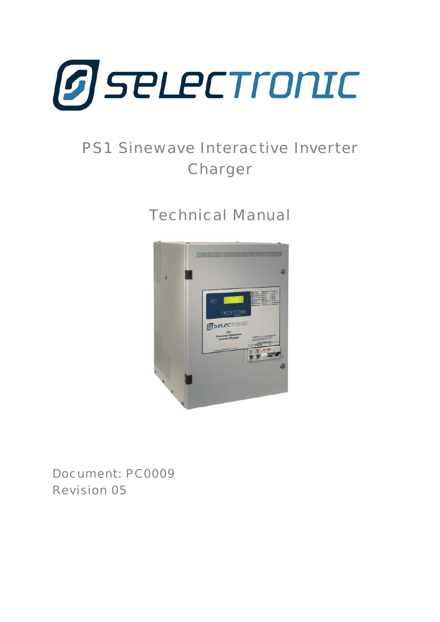

# PS1 Sinewave Interactive Inverter Charger

Technical Manual



Document: PC0009 Revision 05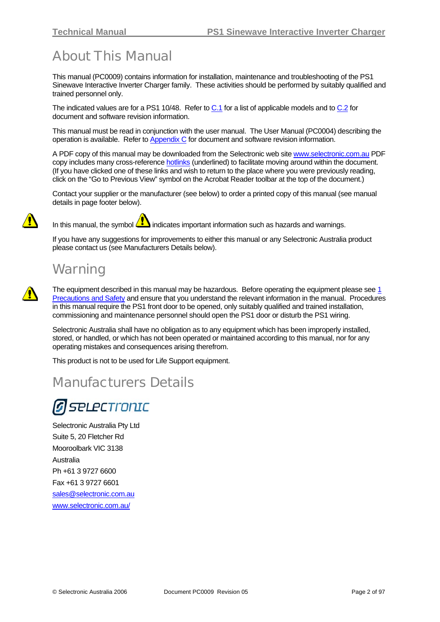## <span id="page-1-0"></span>About This Manual

This manual (PC0009) contains information for installation, maintenance and troubleshooting of the PS1 Sinewave Interactive Inverter Charger family. These activities should be performed by suitably qualified and trained personnel only.

The indicated values are for a PS1 10/48. Refer to  $C.1$  for a list of applicable models and to  $C.2$  for document and software revision information.

This manual must be read in conjunction with the user manual. The User Manual (PC0004) describing the operation is available. Refer to [Appendix C](#page-96-0) for document and software revision information.

A PDF copy of this manual may be downloaded from the Selectronic web site [www.selectronic.com.au](http://www.selectronic.com.au/) PDF copy includes many cross-reference hotlinks (underlined) to facilitate moving around within the document. (If you have clicked one of these links and wish to return to the place where you were previously reading, click on the "Go to Previous View" symbol on the Acrobat Reader toolbar at the top of the document.)

Contact your supplier or the manufacturer (see below) to order a printed copy of this manual (see manual details in page footer below).



In this manual, the symbol  $\langle I \rangle$  indicates important information such as hazards and warnings.

If you have any suggestions for improvements to either this manual or any Selectronic Australia product please contact us (see Manufacturers Details below).

## **Warning**



The equipment described in this manual may be hazardous. Before operating the equipment please see [1](#page-6-0) [Precautions and Safety](#page-6-0) and ensure that you understand the relevant information in the manual. Procedures in this manual require the PS1 front door to be opened, only suitably qualified and trained installation, commissioning and maintenance personnel should open the PS1 door or disturb the PS1 wiring.

Selectronic Australia shall have no obligation as to any equipment which has been improperly installed, stored, or handled, or which has not been operated or maintained according to this manual, nor for any operating mistakes and consequences arising therefrom.

This product is not to be used for Life Support equipment.

## Manufacturers Details

# **SPLECTronIC**

Selectronic Australia Pty Ltd Suite 5, 20 Fletcher Rd Mooroolbark VIC 3138 Australia Ph +61 3 9727 6600 Fax +61 3 9727 6601 sales@selectronic.com.au [www.selectronic.com.au/](http://www.selectronic.com.au/)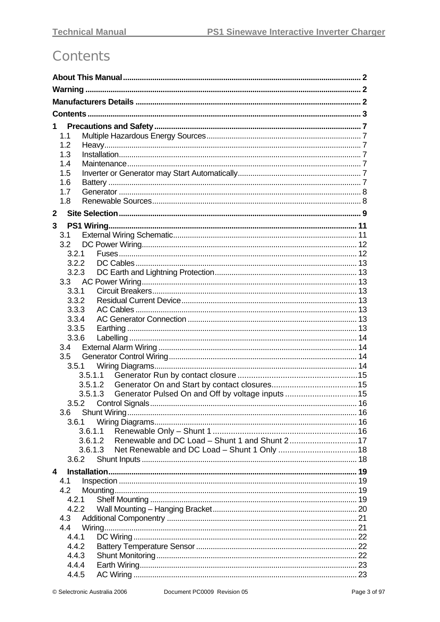## <span id="page-2-0"></span>**Contents**

| 1            |  |
|--------------|--|
| 1.1          |  |
| 1.2          |  |
| 1.3          |  |
| 1.4          |  |
| 1.5          |  |
| 1.6          |  |
| 1.7          |  |
| 1.8          |  |
| $\mathbf{2}$ |  |
| 3            |  |
| 3.1          |  |
| 3.2          |  |
| 3.2.1        |  |
| 3.2.2        |  |
| 3.2.3        |  |
| 3.3          |  |
| 3.3.1        |  |
| 3.3.2        |  |
| 3.3.3        |  |
| 3.3.4        |  |
| 3.3.5        |  |
| 3.3.6        |  |
|              |  |
| 3.5          |  |
| 3.5.1        |  |
| 3.5.1.1      |  |
| 3.5.1.2      |  |
| 3.5.1.3      |  |
|              |  |
| 3.6          |  |
| 3.6.1        |  |
| 3.6.1.1      |  |
| 3.6.1.2      |  |
| 3.6.1.3      |  |
| 3.6.2        |  |
|              |  |
| 4            |  |
| 4.1          |  |
| 4.2          |  |
| 4.2.1        |  |
| 4.2.2        |  |
| 4.3          |  |
| 4.4          |  |
| 4.4.1        |  |
| 4.4.2        |  |
| 4.4.3        |  |
| 4.4.4        |  |
| 4.4.5        |  |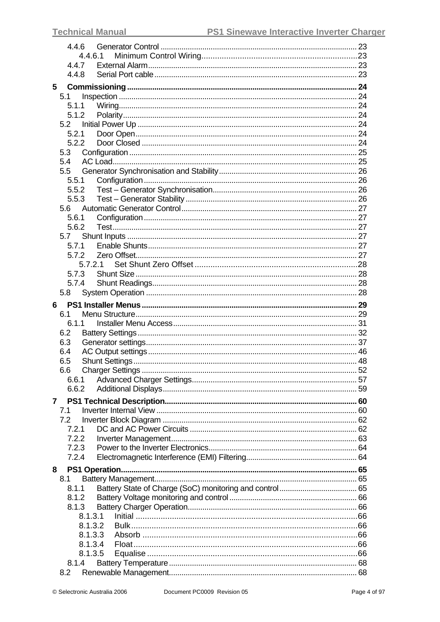| 4.4.6        |  |
|--------------|--|
| 4.4.6.1      |  |
| 4.4.7        |  |
| 4.4.8        |  |
| 5            |  |
| 5.1          |  |
| 5.1.1        |  |
| 5.1.2        |  |
| 5.2          |  |
| 5.2.1        |  |
| 5.2.2        |  |
| 5.3          |  |
| 5.4          |  |
| 5.5          |  |
| 5.5.1        |  |
| 5.5.2        |  |
| 5.5.3        |  |
| 5.6          |  |
| 5.6.1        |  |
| 5.6.2        |  |
| 5.7          |  |
| 5.7.1        |  |
| 5.7.2        |  |
| 5.7.2.1      |  |
| 5.7.3        |  |
| 5.7.4        |  |
| 5.8          |  |
|              |  |
| 6            |  |
| 6.1          |  |
| 6.1.1        |  |
| 6.2          |  |
| 6.3          |  |
| 6.4          |  |
| 6.5          |  |
| 6.6          |  |
| 6.6.1        |  |
| 6.6.2        |  |
| $\mathbf{7}$ |  |
| 7.1          |  |
| 7.2          |  |
| 7.2.1        |  |
| 7.2.2        |  |
| 7.2.3        |  |
| 7.2.4        |  |
| 8            |  |
| 8.1          |  |
| 8.1.1        |  |
| 8.1.2        |  |
| 8.1.3        |  |
| 8.1.3.1      |  |
| 8.1.3.2      |  |
| 8.1.3.3      |  |
| 8.1.3.4      |  |
| 8.1.3.5      |  |
| 8.1.4        |  |
| 8.2          |  |
|              |  |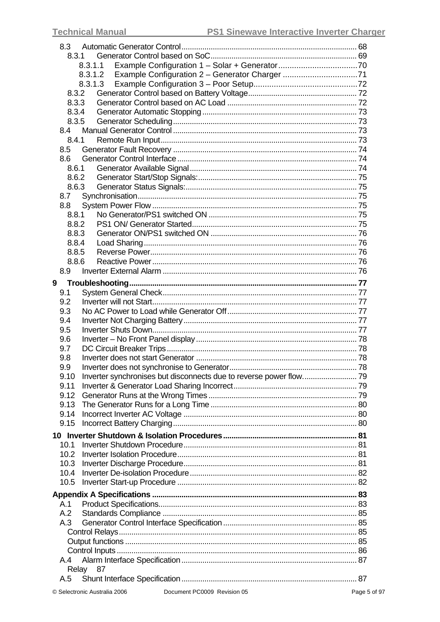| 8.3   |          |  |
|-------|----------|--|
| 8.3.1 |          |  |
|       | 8.3.1.1  |  |
|       | 8.3.1.2  |  |
|       | 8.3.1.3  |  |
| 8.3.2 |          |  |
| 8.3.3 |          |  |
| 8.3.4 |          |  |
| 8.3.5 |          |  |
| 8.4   |          |  |
| 8.4.1 |          |  |
| 8.5   |          |  |
| 8.6   |          |  |
| 8.6.1 |          |  |
| 8.6.2 |          |  |
| 8.6.3 |          |  |
| 8.7   |          |  |
| 8.8   |          |  |
| 8.8.1 |          |  |
| 8.8.2 |          |  |
| 8.8.3 |          |  |
| 8.8.4 |          |  |
| 8.8.5 |          |  |
| 8.8.6 |          |  |
| 8.9   |          |  |
| 9     |          |  |
| 9.1   |          |  |
| 9.2   |          |  |
| 9.3   |          |  |
| 9.4   |          |  |
| 9.5   |          |  |
| 9.6   |          |  |
| 9.7   |          |  |
| 9.8   |          |  |
| 9.9   |          |  |
| 9.10  |          |  |
| 9.11  |          |  |
| 9.12  |          |  |
| 9.13  |          |  |
| 9.14  |          |  |
| 9.15  |          |  |
|       |          |  |
|       |          |  |
| 10.1  |          |  |
| 10.2  |          |  |
| 10.3  |          |  |
| 10.4  |          |  |
| 10.5  |          |  |
|       |          |  |
| A.1   |          |  |
| A.2   |          |  |
| A.3   |          |  |
|       |          |  |
|       |          |  |
|       |          |  |
| A.4   |          |  |
|       | Relay 87 |  |
| A.5   |          |  |
|       |          |  |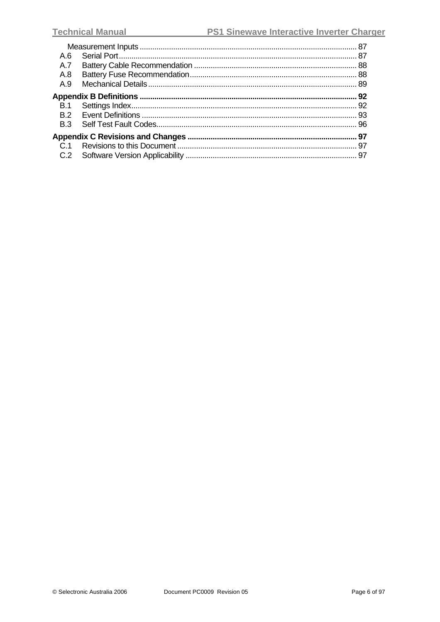| A.6 |  |
|-----|--|
| A.7 |  |
| A.8 |  |
| A.9 |  |
|     |  |
|     |  |
|     |  |
|     |  |
|     |  |
| C.1 |  |
|     |  |
|     |  |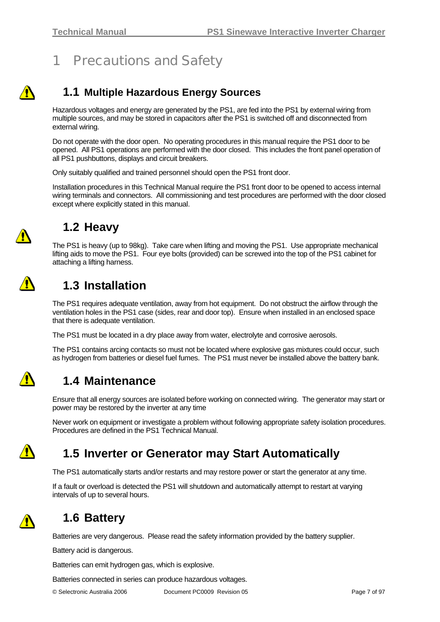# <span id="page-6-0"></span>1 Precautions and Safety

### **1.1 Multiple Hazardous Energy Sources**

Hazardous voltages and energy are generated by the PS1, are fed into the PS1 by external wiring from multiple sources, and may be stored in capacitors after the PS1 is switched off and disconnected from external wiring.

Do not operate with the door open. No operating procedures in this manual require the PS1 door to be opened. All PS1 operations are performed with the door closed. This includes the front panel operation of all PS1 pushbuttons, displays and circuit breakers.

Only suitably qualified and trained personnel should open the PS1 front door.

Installation procedures in this Technical Manual require the PS1 front door to be opened to access internal wiring terminals and connectors. All commissioning and test procedures are performed with the door closed except where explicitly stated in this manual.



## **1.2 Heavy**

The PS1 is heavy (up to 98kg). Take care when lifting and moving the PS1. Use appropriate mechanical lifting aids to move the PS1. Four eye bolts (provided) can be screwed into the top of the PS1 cabinet for attaching a lifting harness.

## **1.3 Installation**

The PS1 requires adequate ventilation, away from hot equipment. Do not obstruct the airflow through the ventilation holes in the PS1 case (sides, rear and door top). Ensure when installed in an enclosed space that there is adequate ventilation.

The PS1 must be located in a dry place away from water, electrolyte and corrosive aerosols.

The PS1 contains arcing contacts so must not be located where explosive gas mixtures could occur, such as hydrogen from batteries or diesel fuel fumes. The PS1 must never be installed above the battery bank.



### **1.4 Maintenance**

Ensure that all energy sources are isolated before working on connected wiring. The generator may start or power may be restored by the inverter at any time

Never work on equipment or investigate a problem without following appropriate safety isolation procedures. Procedures are defined in the PS1 Technical Manual.



## **1.5 Inverter or Generator may Start Automatically**

The PS1 automatically starts and/or restarts and may restore power or start the generator at any time.

If a fault or overload is detected the PS1 will shutdown and automatically attempt to restart at varying intervals of up to several hours.



### **1.6 Battery**

Batteries are very dangerous. Please read the safety information provided by the battery supplier.

Battery acid is dangerous.

Batteries can emit hydrogen gas, which is explosive.

Batteries connected in series can produce hazardous voltages.

© Selectronic Australia 2006 Document PC0009 Revision 05 Page 7 of 97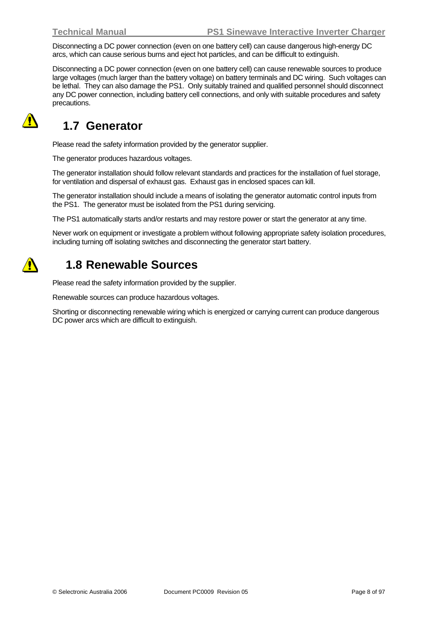<span id="page-7-0"></span>Disconnecting a DC power connection (even on one battery cell) can cause dangerous high-energy DC arcs, which can cause serious burns and eject hot particles, and can be difficult to extinguish.

Disconnecting a DC power connection (even on one battery cell) can cause renewable sources to produce large voltages (much larger than the battery voltage) on battery terminals and DC wiring. Such voltages can be lethal. They can also damage the PS1. Only suitably trained and qualified personnel should disconnect any DC power connection, including battery cell connections, and only with suitable procedures and safety precautions.



### **1.7 Generator**

Please read the safety information provided by the generator supplier.

The generator produces hazardous voltages.

The generator installation should follow relevant standards and practices for the installation of fuel storage, for ventilation and dispersal of exhaust gas. Exhaust gas in enclosed spaces can kill.

The generator installation should include a means of isolating the generator automatic control inputs from the PS1. The generator must be isolated from the PS1 during servicing.

The PS1 automatically starts and/or restarts and may restore power or start the generator at any time.

Never work on equipment or investigate a problem without following appropriate safety isolation procedures, including turning off isolating switches and disconnecting the generator start battery.



### **1.8 Renewable Sources**

Please read the safety information provided by the supplier.

Renewable sources can produce hazardous voltages.

Shorting or disconnecting renewable wiring which is energized or carrying current can produce dangerous DC power arcs which are difficult to extinguish.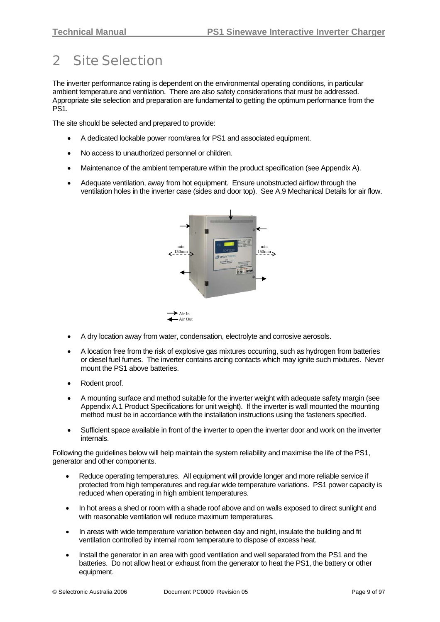# <span id="page-8-0"></span>2 Site Selection

The inverter performance rating is dependent on the environmental operating conditions, in particular ambient temperature and ventilation. There are also safety considerations that must be addressed. Appropriate site selection and preparation are fundamental to getting the optimum performance from the PS<sub>1</sub>.

The site should be selected and prepared to provide:

- A dedicated lockable power room/area for PS1 and associated equipment.
- No access to unauthorized personnel or children.
- Maintenance of the ambient temperature within the product specification (see [Appendix A\)](#page-82-0).
- Adequate ventilation, away from hot equipment. Ensure unobstructed airflow through the ventilation holes in the inverter case (sides and door top). See [A.9 Mechanical Details](#page-88-0) for air flow.



- A dry location away from water, condensation, electrolyte and corrosive aerosols.
- A location free from the risk of explosive gas mixtures occurring, such as hydrogen from batteries or diesel fuel fumes. The inverter contains arcing contacts which may ignite such mixtures. Never mount the PS1 above batteries.
- Rodent proof.
- A mounting surface and method suitable for the inverter weight with adequate safety margin (see Appendix [A.1 Product Specifications](#page-82-0) for unit weight). If the inverter is wall mounted the mounting method must be in accordance with the installation instructions using the fasteners specified.
- Sufficient space available in front of the inverter to open the inverter door and work on the inverter internals.

Following the guidelines below will help maintain the system reliability and maximise the life of the PS1, generator and other components.

- Reduce operating temperatures. All equipment will provide longer and more reliable service if protected from high temperatures and regular wide temperature variations. PS1 power capacity is reduced when operating in high ambient temperatures.
- In hot areas a shed or room with a shade roof above and on walls exposed to direct sunlight and with reasonable ventilation will reduce maximum temperatures.
- In areas with wide temperature variation between day and night, insulate the building and fit ventilation controlled by internal room temperature to dispose of excess heat.
- Install the generator in an area with good ventilation and well separated from the PS1 and the batteries. Do not allow heat or exhaust from the generator to heat the PS1, the battery or other equipment.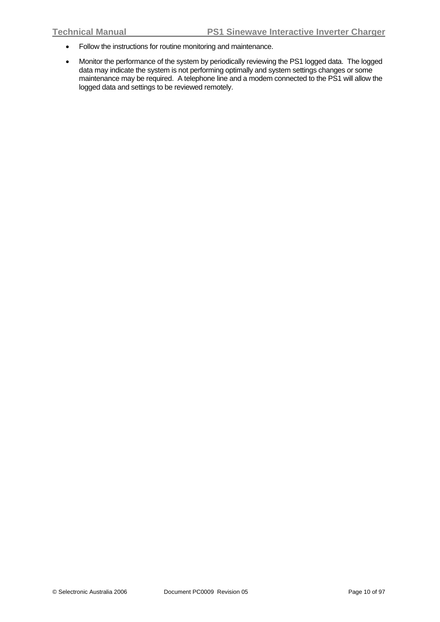- Follow the instructions for routine monitoring and maintenance.
- Monitor the performance of the system by periodically reviewing the PS1 logged data. The logged data may indicate the system is not performing optimally and system settings changes or some maintenance may be required. A telephone line and a modem connected to the PS1 will allow the logged data and settings to be reviewed remotely.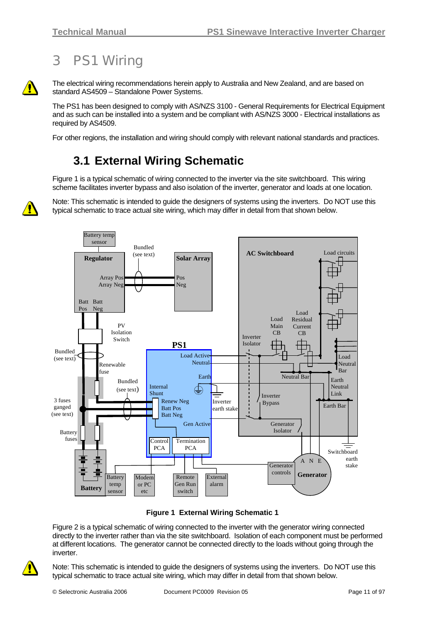## <span id="page-10-0"></span>3 PS1 Wiring



The electrical wiring recommendations herein apply to Australia and New Zealand, and are based on standard AS4509 – Standalone Power Systems.

The PS1 has been designed to comply with AS/NZS 3100 - General Requirements for Electrical Equipment and as such can be installed into a system and be compliant with AS/NZS 3000 - Electrical installations as required by AS4509.

For other regions, the installation and wiring should comply with relevant national standards and practices.

## **3.1 External Wiring Schematic**

Figure 1 is a typical schematic of wiring connected to the inverter via the site switchboard. This wiring scheme facilitates inverter bypass and also isolation of the inverter, generator and loads at one location.

Note: This schematic is intended to guide the designers of systems using the inverters. Do NOT use this typical schematic to trace actual site wiring, which may differ in detail from that shown below.





Figure 2 is a typical schematic of wiring connected to the inverter with the generator wiring connected directly to the inverter rather than via the site switchboard. Isolation of each component must be performed at different locations. The generator cannot be connected directly to the loads without going through the inverter.



Note: This schematic is intended to guide the designers of systems using the inverters. Do NOT use this typical schematic to trace actual site wiring, which may differ in detail from that shown below.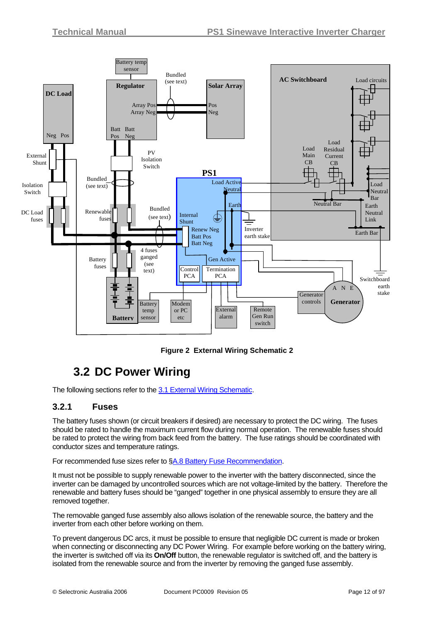<span id="page-11-0"></span>

**Figure 2 External Wiring Schematic 2** 

## **3.2 DC Power Wiring**

The following sections refer to the [3.1 External Wiring Schematic.](#page-10-0)

#### **3.2.1 Fuses**

The battery fuses shown (or circuit breakers if desired) are necessary to protect the DC wiring. The fuses should be rated to handle the maximum current flow during normal operation. The renewable fuses should be rated to protect the wiring from back feed from the battery. The fuse ratings should be coordinated with conductor sizes and temperature ratings.

For recommended fuse sizes refer to [§A.8 Battery Fuse Recommendation](#page-87-0).

It must not be possible to supply renewable power to the inverter with the battery disconnected, since the inverter can be damaged by uncontrolled sources which are not voltage-limited by the battery. Therefore the renewable and battery fuses should be "ganged" together in one physical assembly to ensure they are all removed together.

The removable ganged fuse assembly also allows isolation of the renewable source, the battery and the inverter from each other before working on them.

To prevent dangerous DC arcs, it must be possible to ensure that negligible DC current is made or broken when connecting or disconnecting any DC Power Wiring. For example before working on the battery wiring, the inverter is switched off via its **On/Off** button, the renewable regulator is switched off, and the battery is isolated from the renewable source and from the inverter by removing the ganged fuse assembly.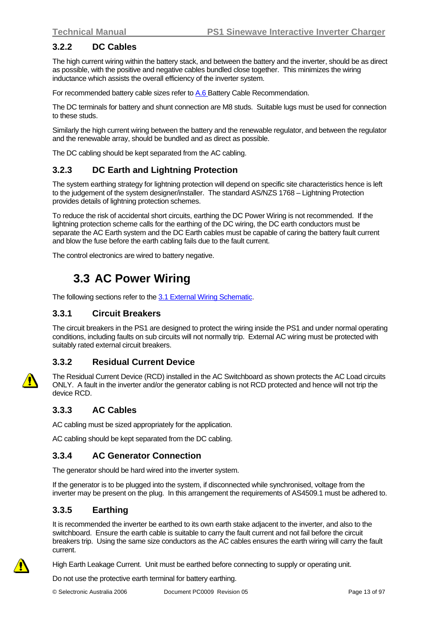#### <span id="page-12-0"></span>**3.2.2 DC Cables**

The high current wiring within the battery stack, and between the battery and the inverter, should be as direct as possible, with the positive and negative cables bundled close together. This minimizes the wiring inductance which assists the overall efficiency of the inverter system.

For recommended battery cable sizes refer to [A.6 Battery Cable Recommendation.](#page-87-0)

The DC terminals for battery and shunt connection are M8 studs. Suitable lugs must be used for connection to these studs.

Similarly the high current wiring between the battery and the renewable regulator, and between the regulator and the renewable array, should be bundled and as direct as possible.

The DC cabling should be kept separated from the AC cabling.

#### **3.2.3 DC Earth and Lightning Protection**

The system earthing strategy for lightning protection will depend on specific site characteristics hence is left to the judgement of the system designer/installer. The standard AS/NZS 1768 – Lightning Protection provides details of lightning protection schemes.

To reduce the risk of accidental short circuits, earthing the DC Power Wiring is not recommended. If the lightning protection scheme calls for the earthing of the DC wiring, the DC earth conductors must be separate the AC Earth system and the DC Earth cables must be capable of caring the battery fault current and blow the fuse before the earth cabling fails due to the fault current.

The control electronics are wired to battery negative.

### **3.3 AC Power Wiring**

The following sections refer to the [3.1 External Wiring Schematic.](#page-10-0)

#### **3.3.1 Circuit Breakers**

The circuit breakers in the PS1 are designed to protect the wiring inside the PS1 and under normal operating conditions, including faults on sub circuits will not normally trip. External AC wiring must be protected with suitably rated external circuit breakers.

#### **3.3.2 Residual Current Device**



The Residual Current Device (RCD) installed in the AC Switchboard as shown protects the AC Load circuits ONLY. A fault in the inverter and/or the generator cabling is not RCD protected and hence will not trip the device RCD.

#### **3.3.3 AC Cables**

AC cabling must be sized appropriately for the application.

AC cabling should be kept separated from the DC cabling.

#### **3.3.4 AC Generator Connection**

The generator should be hard wired into the inverter system.

If the generator is to be plugged into the system, if disconnected while synchronised, voltage from the inverter may be present on the plug. In this arrangement the requirements of AS4509.1 must be adhered to.

#### **3.3.5 Earthing**

It is recommended the inverter be earthed to its own earth stake adjacent to the inverter, and also to the switchboard. Ensure the earth cable is suitable to carry the fault current and not fail before the circuit breakers trip. Using the same size conductors as the AC cables ensures the earth wiring will carry the fault current.



High Earth Leakage Current. Unit must be earthed before connecting to supply or operating unit.

Do not use the protective earth terminal for battery earthing.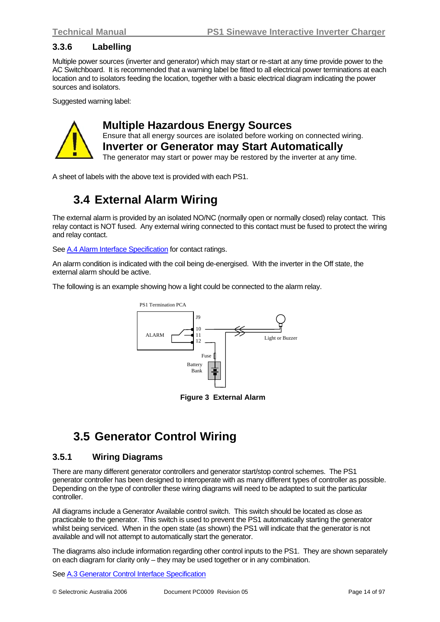#### <span id="page-13-0"></span>**3.3.6 Labelling**

Multiple power sources (inverter and generator) which may start or re-start at any time provide power to the AC Switchboard. It is recommended that a warning label be fitted to all electrical power terminations at each location and to isolators feeding the location, together with a basic electrical diagram indicating the power sources and isolators.

Suggested warning label:



### **Multiple Hazardous Energy Sources**

Ensure that all energy sources are isolated before working on connected wiring. **Inverter or Generator may Start Automatically** 

The generator may start or power may be restored by the inverter at any time.

A sheet of labels with the above text is provided with each PS1.

## **3.4 External Alarm Wiring**

The external alarm is provided by an isolated NO/NC (normally open or normally closed) relay contact. This relay contact is NOT fused. Any external wiring connected to this contact must be fused to protect the wiring and relay contact.

See [A.4 Alarm Interface Specification](#page-86-0) for contact ratings.

An alarm condition is indicated with the coil being de-energised. With the inverter in the Off state, the external alarm should be active.

The following is an example showing how a light could be connected to the alarm relay.



**Figure 3 External Alarm** 

## **3.5 Generator Control Wiring**

#### **3.5.1 Wiring Diagrams**

There are many different generator controllers and generator start/stop control schemes. The PS1 generator controller has been designed to interoperate with as many different types of controller as possible. Depending on the type of controller these wiring diagrams will need to be adapted to suit the particular controller.

All diagrams include a Generator Available control switch. This switch should be located as close as practicable to the generator. This switch is used to prevent the PS1 automatically starting the generator whilst being serviced. When in the open state (as shown) the PS1 will indicate that the generator is not available and will not attempt to automatically start the generator.

The diagrams also include information regarding other control inputs to the PS1. They are shown separately on each diagram for clarity only – they may be used together or in any combination.

See [A.3 Generator Control Interface Specification](#page-84-0)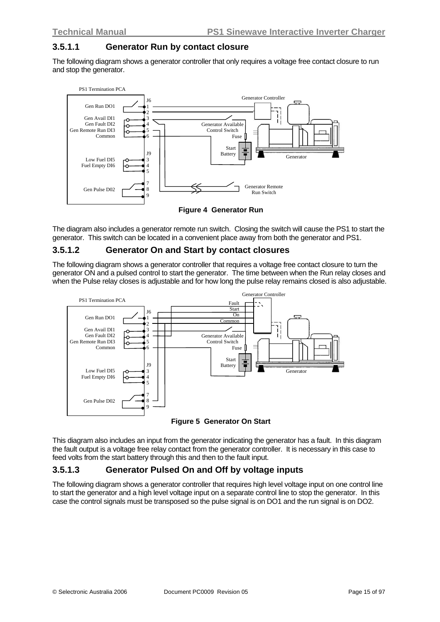#### <span id="page-14-0"></span>**3.5.1.1 Generator Run by contact closure**

The following diagram shows a generator controller that only requires a voltage free contact closure to run and stop the generator.



**Figure 4 Generator Run** 

The diagram also includes a generator remote run switch. Closing the switch will cause the PS1 to start the generator. This switch can be located in a convenient place away from both the generator and PS1.

#### **3.5.1.2 Generator On and Start by contact closures**

The following diagram shows a generator controller that requires a voltage free contact closure to turn the generator ON and a pulsed control to start the generator. The time between when the Run relay closes and when the Pulse relay closes is adjustable and for how long the pulse relay remains closed is also adjustable.



#### **Figure 5 Generator On Start**

This diagram also includes an input from the generator indicating the generator has a fault. In this diagram the fault output is a voltage free relay contact from the generator controller. It is necessary in this case to feed volts from the start battery through this and then to the fault input.

#### **3.5.1.3 Generator Pulsed On and Off by voltage inputs**

The following diagram shows a generator controller that requires high level voltage input on one control line to start the generator and a high level voltage input on a separate control line to stop the generator. In this case the control signals must be transposed so the pulse signal is on DO1 and the run signal is on DO2.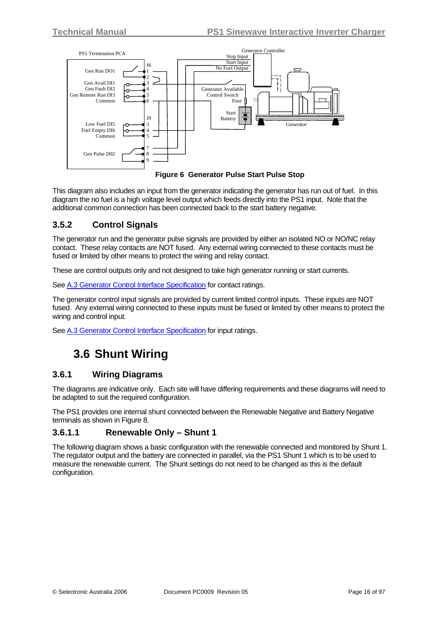<span id="page-15-0"></span>



This diagram also includes an input from the generator indicating the generator has run out of fuel. In this diagram the no fuel is a high voltage level output which feeds directly into the PS1 input. Note that the additional common connection has been connected back to the start battery negative.

#### **3.5.2 Control Signals**

The generator run and the generator pulse signals are provided by either an isolated NO or NO/NC relay contact. These relay contacts are NOT fused. Any external wiring connected to these contacts must be fused or limited by other means to protect the wiring and relay contact.

These are control outputs only and not designed to take high generator running or start currents.

See [A.3 Generator Control Interface Specification](#page-84-0) for contact ratings.

The generator control input signals are provided by current limited control inputs. These inputs are NOT fused. Any external wiring connected to these inputs must be fused or limited by other means to protect the wiring and control input.

See [A.3 Generator Control Interface Specification](#page-84-0) for input ratings.

## **3.6 Shunt Wiring**

#### **3.6.1 Wiring Diagrams**

The diagrams are indicative only. Each site will have differing requirements and these diagrams will need to be adapted to suit the required configuration.

The PS1 provides one internal shunt connected between the Renewable Negative and Battery Negative terminals as shown in Figure 8.

#### **3.6.1.1 Renewable Only – Shunt 1**

The following diagram shows a basic configuration with the renewable connected and monitored by Shunt 1. The regulator output and the battery are connected in parallel, via the PS1 Shunt 1 which is to be used to measure the renewable current. The Shunt settings do not need to be changed as this is the default configuration.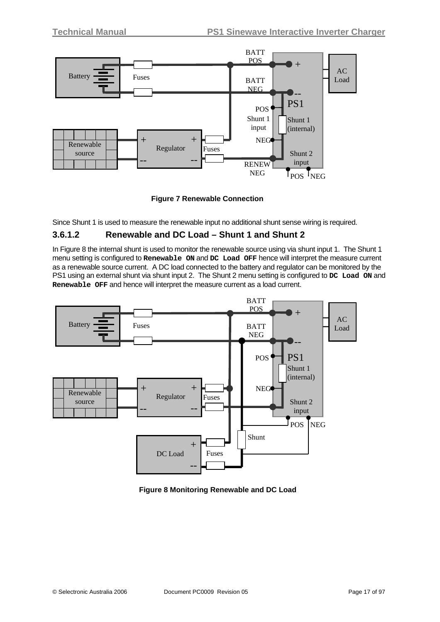<span id="page-16-0"></span>

**Figure 7 Renewable Connection** 

Since Shunt 1 is used to measure the renewable input no additional shunt sense wiring is required.

#### **3.6.1.2 Renewable and DC Load – Shunt 1 and Shunt 2**

In Figure 8 the internal shunt is used to monitor the renewable source using via shunt input 1. The Shunt 1 menu setting is configured to **Renewable ON** and **DC Load OFF** hence will interpret the measure current as a renewable source current. A DC load connected to the battery and regulator can be monitored by the PS1 using an external shunt via shunt input 2. The Shunt 2 menu setting is configured to **DC Load ON** and **Renewable OFF** and hence will interpret the measure current as a load current.



**Figure 8 Monitoring Renewable and DC Load**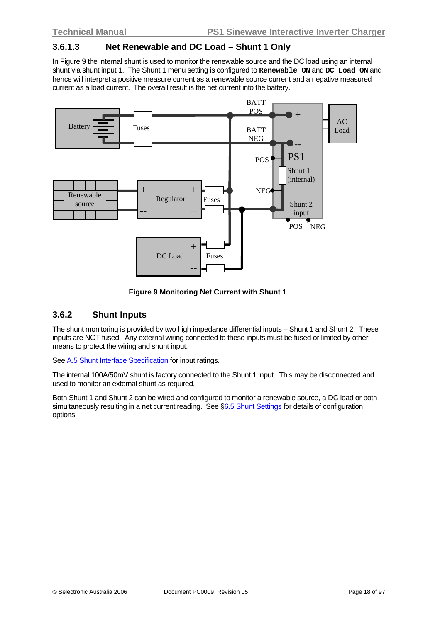#### <span id="page-17-0"></span>**3.6.1.3 Net Renewable and DC Load – Shunt 1 Only**

In Figure 9 the internal shunt is used to monitor the renewable source and the DC load using an internal shunt via shunt input 1. The Shunt 1 menu setting is configured to **Renewable ON** and **DC Load ON** and hence will interpret a positive measure current as a renewable source current and a negative measured current as a load current. The overall result is the net current into the battery.



#### **Figure 9 Monitoring Net Current with Shunt 1**

#### **3.6.2 Shunt Inputs**

The shunt monitoring is provided by two high impedance differential inputs – Shunt 1 and Shunt 2. These inputs are NOT fused. Any external wiring connected to these inputs must be fused or limited by other means to protect the wiring and shunt input.

See [A.5 Shunt Interface Specification](#page-86-0) for input ratings.

The internal 100A/50mV shunt is factory connected to the Shunt 1 input. This may be disconnected and used to monitor an external shunt as required.

Both Shunt 1 and Shunt 2 can be wired and configured to monitor a renewable source, a DC load or both simultaneously resulting in a net current reading. See [§6.5 Shunt Settings](#page-47-0) for details of configuration options.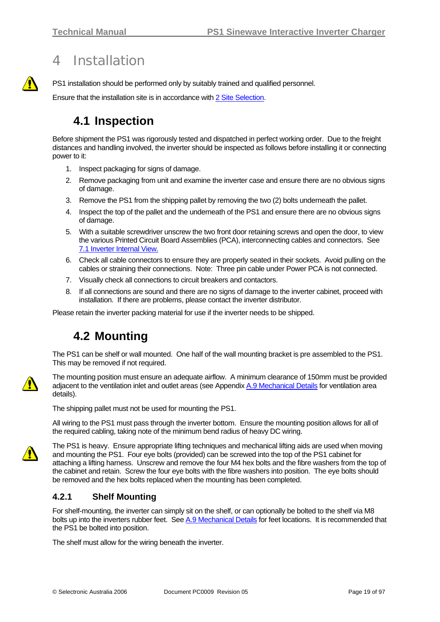## <span id="page-18-0"></span>4 Installation



PS1 installation should be performed only by suitably trained and qualified personnel.

Ensure that the installation site is in accordance with [2 Site Selection](#page-8-0).

## **4.1 Inspection**

Before shipment the PS1 was rigorously tested and dispatched in perfect working order. Due to the freight distances and handling involved, the inverter should be inspected as follows before installing it or connecting power to it:

- 1. Inspect packaging for signs of damage.
- 2. Remove packaging from unit and examine the inverter case and ensure there are no obvious signs of damage.
- 3. Remove the PS1 from the shipping pallet by removing the two (2) bolts underneath the pallet.
- 4. Inspect the top of the pallet and the underneath of the PS1 and ensure there are no obvious signs of damage.
- 5. With a suitable screwdriver unscrew the two front door retaining screws and open the door, to view the various Printed Circuit Board Assemblies (PCA), interconnecting cables and connectors. See [7.1](#page-59-0) [Inverter Internal View.](#page-59-0)
- 6. Check all cable connectors to ensure they are properly seated in their sockets. Avoid pulling on the cables or straining their connections. Note: Three pin cable under Power PCA is not connected.
- 7. Visually check all connections to circuit breakers and contactors.
- 8. If all connections are sound and there are no signs of damage to the inverter cabinet, proceed with installation. If there are problems, please contact the inverter distributor.

Please retain the inverter packing material for use if the inverter needs to be shipped.

### **4.2 Mounting**

The PS1 can be shelf or wall mounted. One half of the wall mounting bracket is pre assembled to the PS1. This may be removed if not required.



The mounting position must ensure an adequate airflow. A minimum clearance of 150mm must be provided adjacent to the ventilation inlet and outlet areas (see Appendix [A.9 Mechanical Details](#page-88-0) for ventilation area details).

The shipping pallet must not be used for mounting the PS1.

All wiring to the PS1 must pass through the inverter bottom. Ensure the mounting position allows for all of the required cabling, taking note of the minimum bend radius of heavy DC wiring.



The PS1 is heavy. Ensure appropriate lifting techniques and mechanical lifting aids are used when moving and mounting the PS1. Four eye bolts (provided) can be screwed into the top of the PS1 cabinet for attaching a lifting harness. Unscrew and remove the four M4 hex bolts and the fibre washers from the top of the cabinet and retain. Screw the four eye bolts with the fibre washers into position. The eye bolts should be removed and the hex bolts replaced when the mounting has been completed.

#### **4.2.1 Shelf Mounting**

For shelf-mounting, the inverter can simply sit on the shelf, or can optionally be bolted to the shelf via M8 bolts up into the inverters rubber feet. See [A.9 Mechanical Details](#page-88-0) for feet locations. It is recommended that the PS1 be bolted into position.

The shelf must allow for the wiring beneath the inverter.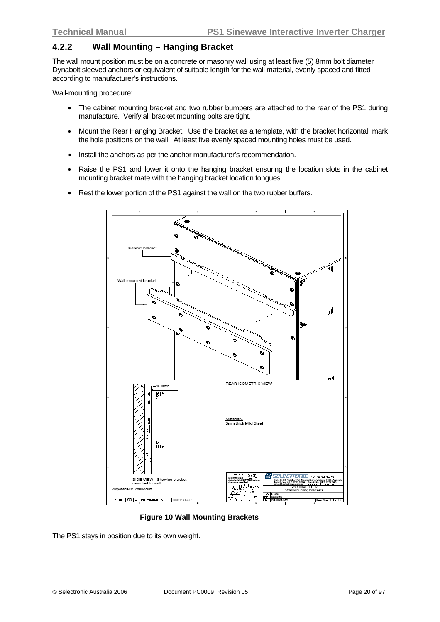#### <span id="page-19-0"></span>**4.2.2 Wall Mounting – Hanging Bracket**

The wall mount position must be on a concrete or masonry wall using at least five (5) 8mm bolt diameter Dynabolt sleeved anchors or equivalent of suitable length for the wall material, evenly spaced and fitted according to manufacturer's instructions.

Wall-mounting procedure:

- The cabinet mounting bracket and two rubber bumpers are attached to the rear of the PS1 during manufacture. Verify all bracket mounting bolts are tight.
- Mount the Rear Hanging Bracket. Use the bracket as a template, with the bracket horizontal, mark the hole positions on the wall. At least five evenly spaced mounting holes must be used.
- Install the anchors as per the anchor manufacturer's recommendation.
- Raise the PS1 and lower it onto the hanging bracket ensuring the location slots in the cabinet mounting bracket mate with the hanging bracket location tongues.
- Rest the lower portion of the PS1 against the wall on the two rubber buffers.



**Figure 10 Wall Mounting Brackets** 

The PS1 stays in position due to its own weight.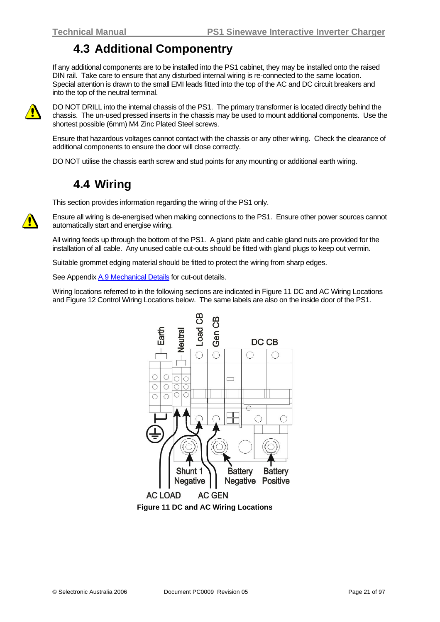### **4.3 Additional Componentry**

<span id="page-20-0"></span>If any additional components are to be installed into the PS1 cabinet, they may be installed onto the raised DIN rail. Take care to ensure that any disturbed internal wiring is re-connected to the same location. Special attention is drawn to the small EMI leads fitted into the top of the AC and DC circuit breakers and into the top of the neutral terminal.



DO NOT DRILL into the internal chassis of the PS1. The primary transformer is located directly behind the chassis. The un-used pressed inserts in the chassis may be used to mount additional components. Use the shortest possible (6mm) M4 Zinc Plated Steel screws.

Ensure that hazardous voltages cannot contact with the chassis or any other wiring. Check the clearance of additional components to ensure the door will close correctly.

DO NOT utilise the chassis earth screw and stud points for any mounting or additional earth wiring.

## **4.4 Wiring**

This section provides information regarding the wiring of the PS1 only.

Ensure all wiring is de-energised when making connections to the PS1. Ensure other power sources cannot automatically start and energise wiring.

All wiring feeds up through the bottom of the PS1. A gland plate and cable gland nuts are provided for the installation of all cable. Any unused cable cut-outs should be fitted with gland plugs to keep out vermin.

Suitable grommet edging material should be fitted to protect the wiring from sharp edges.

See Appendix [A.9 Mechanical Details](#page-88-0) for cut-out details.

Wiring locations referred to in the following sections are indicated in Figure 11 DC and AC Wiring Locations and Figure 12 Control Wiring Locations below. The same labels are also on the inside door of the PS1.

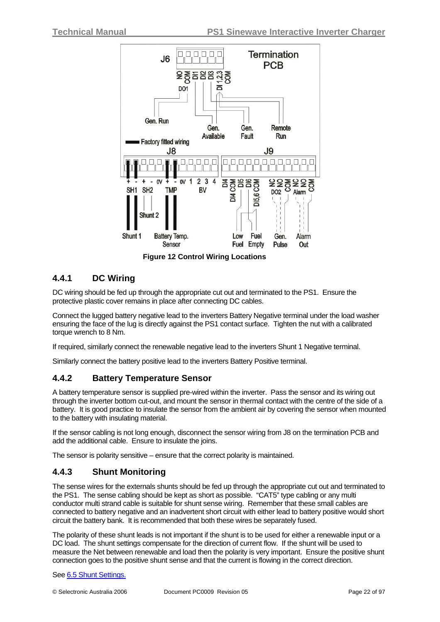<span id="page-21-0"></span>

**Figure 12 Control Wiring Locations** 

#### **4.4.1 DC Wiring**

DC wiring should be fed up through the appropriate cut out and terminated to the PS1. Ensure the protective plastic cover remains in place after connecting DC cables.

Connect the lugged battery negative lead to the inverters Battery Negative terminal under the load washer ensuring the face of the lug is directly against the PS1 contact surface. Tighten the nut with a calibrated torque wrench to 8 Nm.

If required, similarly connect the renewable negative lead to the inverters Shunt 1 Negative terminal.

Similarly connect the battery positive lead to the inverters Battery Positive terminal.

#### **4.4.2 Battery Temperature Sensor**

A battery temperature sensor is supplied pre-wired within the inverter. Pass the sensor and its wiring out through the inverter bottom cut-out, and mount the sensor in thermal contact with the centre of the side of a battery. It is good practice to insulate the sensor from the ambient air by covering the sensor when mounted to the battery with insulating material.

If the sensor cabling is not long enough, disconnect the sensor wiring from J8 on the termination PCB and add the additional cable. Ensure to insulate the joins.

The sensor is polarity sensitive – ensure that the correct polarity is maintained.

#### **4.4.3 Shunt Monitoring**

The sense wires for the externals shunts should be fed up through the appropriate cut out and terminated to the PS1. The sense cabling should be kept as short as possible. "CAT5" type cabling or any multi conductor multi strand cable is suitable for shunt sense wiring. Remember that these small cables are connected to battery negative and an inadvertent short circuit with either lead to battery positive would short circuit the battery bank. It is recommended that both these wires be separately fused.

The polarity of these shunt leads is not important if the shunt is to be used for either a renewable input or a DC load. The shunt settings compensate for the direction of current flow. If the shunt will be used to measure the Net between renewable and load then the polarity is very important. Ensure the positive shunt connection goes to the positive shunt sense and that the current is flowing in the correct direction.

#### See [6.5 Shunt Settings.](#page-47-0)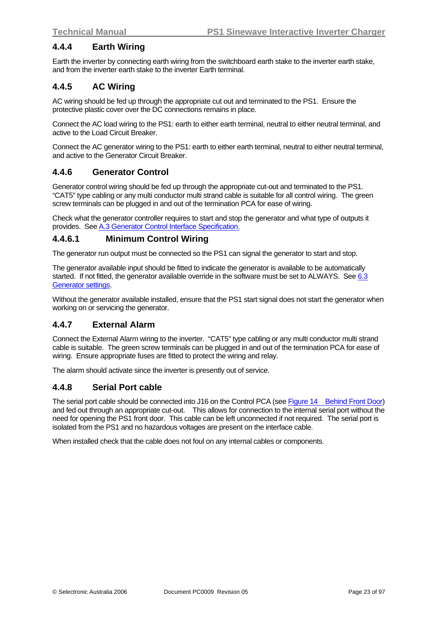#### <span id="page-22-0"></span>**4.4.4 Earth Wiring**

Earth the inverter by connecting earth wiring from the switchboard earth stake to the inverter earth stake, and from the inverter earth stake to the inverter Earth terminal.

#### **4.4.5 AC Wiring**

AC wiring should be fed up through the appropriate cut out and terminated to the PS1. Ensure the protective plastic cover over the DC connections remains in place.

Connect the AC load wiring to the PS1: earth to either earth terminal, neutral to either neutral terminal, and active to the Load Circuit Breaker.

Connect the AC generator wiring to the PS1: earth to either earth terminal, neutral to either neutral terminal, and active to the Generator Circuit Breaker.

#### **4.4.6 Generator Control**

Generator control wiring should be fed up through the appropriate cut-out and terminated to the PS1. "CAT5" type cabling or any multi conductor multi strand cable is suitable for all control wiring. The green screw terminals can be plugged in and out of the termination PCA for ease of wiring.

Check what the generator controller requires to start and stop the generator and what type of outputs it provides. See [A.3](#page-84-0) [Generator Control Interface Specification.](#page-84-0)

#### **4.4.6.1 Minimum Control Wiring**

The generator run output must be connected so the PS1 can signal the generator to start and stop.

The generator available input should be fitted to indicate the generator is available to be automatically started. If not fitted, the generator available override in the software must be set to ALWAYS. See [6.3](#page-36-0) [Generator settings.](#page-36-0)

Without the generator available installed, ensure that the PS1 start signal does not start the generator when working on or servicing the generator.

#### **4.4.7 External Alarm**

Connect the External Alarm wiring to the inverter. "CAT5" type cabling or any multi conductor multi strand cable is suitable. The green screw terminals can be plugged in and out of the termination PCA for ease of wiring. Ensure appropriate fuses are fitted to protect the wiring and relay.

The alarm should activate since the inverter is presently out of service.

#### **4.4.8 Serial Port cable**

The serial port cable should be connected into J16 on the Control PCA (see Figure 14 Behind Front Door) and fed out through an appropriate cut-out. This allows for connection to the internal serial port without the need for opening the PS1 front door. This cable can be left unconnected if not required. The serial port is isolated from the PS1 and no hazardous voltages are present on the interface cable.

When installed check that the cable does not foul on any internal cables or components.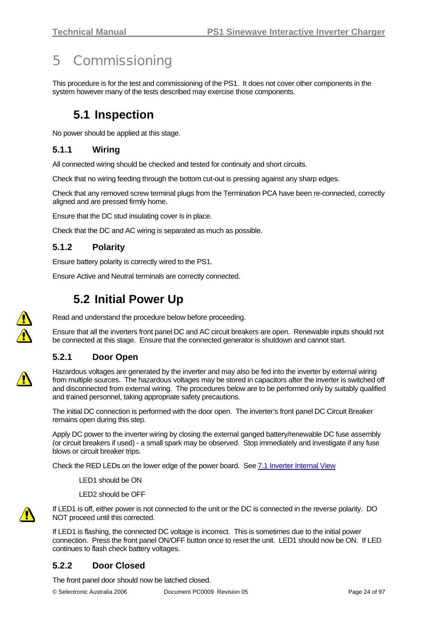## <span id="page-23-0"></span>5 Commissioning

This procedure is for the test and commissioning of the PS1. It does not cover other components in the system however many of the tests described may exercise those components.

### **5.1 Inspection**

No power should be applied at this stage.

#### **5.1.1 Wiring**

All connected wiring should be checked and tested for continuity and short circuits.

Check that no wiring feeding through the bottom cut-out is pressing against any sharp edges.

Check that any removed screw terminal plugs from the Termination PCA have been re-connected, correctly aligned and are pressed firmly home.

Ensure that the DC stud insulating cover is in place.

Check that the DC and AC wiring is separated as much as possible.

#### **5.1.2 Polarity**

Ensure battery polarity is correctly wired to the PS1.

Ensure Active and Neutral terminals are correctly connected.

### **5.2 Initial Power Up**



Read and understand the procedure below before proceeding.

Ensure that all the inverters front panel DC and AC circuit breakers are open. Renewable inputs should not be connected at this stage. Ensure that the connected generator is shutdown and cannot start.

#### **5.2.1 Door Open**

Hazardous voltages are generated by the inverter and may also be fed into the inverter by external wiring from multiple sources. The hazardous voltages may be stored in capacitors after the inverter is switched off and disconnected from external wiring. The procedures below are to be performed only by suitably qualified and trained personnel, taking appropriate safety precautions.

The initial DC connection is performed with the door open. The inverter's front panel DC Circuit Breaker remains open during this step.

Apply DC power to the inverter wiring by closing the external ganged battery/renewable DC fuse assembly (or circuit breakers if used) - a small spark may be observed. Stop immediately and investigate if any fuse blows or circuit breaker trips.

Check the RED LEDs on the lower edge of the power board. See [7.1](#page-59-0) [Inverter Internal View](#page-59-0)

LED1 should be ON

LED2 should be OFF



If LED1 is off, either power is not connected to the unit or the DC is connected in the reverse polarity. DO NOT proceed until this corrected.

If LED1 is flashing, the connected DC voltage is incorrect. This is sometimes due to the initial power connection. Press the front panel ON/OFF button once to reset the unit. LED1 should now be ON. If LED continues to flash check battery voltages.

#### **5.2.2 Door Closed**

The front panel door should now be latched closed.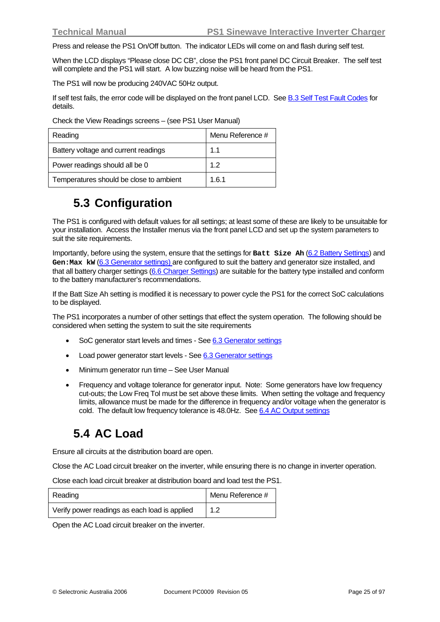<span id="page-24-0"></span>Press and release the PS1 On/Off button. The indicator LEDs will come on and flash during self test.

When the LCD displays "Please close DC CB", close the PS1 front panel DC Circuit Breaker. The self test will complete and the PS1 will start. A low buzzing noise will be heard from the PS1.

The PS1 will now be producing 240VAC 50Hz output.

If self test fails, the error code will be displayed on the front panel LCD. See [B.3 Self Test Fault Codes](#page-95-0) for details.

Check the View Readings screens – (see PS1 User Manual)

| Reading                                 | Menu Reference # |
|-----------------------------------------|------------------|
| Battery voltage and current readings    | 1.1              |
| Power readings should all be 0          | 1.2              |
| Temperatures should be close to ambient | 1.6.1            |

### **5.3 Configuration**

The PS1 is configured with default values for all settings; at least some of these are likely to be unsuitable for your installation. Access the Installer menus via the front panel LCD and set up the system parameters to suit the site requirements.

Importantly, before using the system, ensure that the settings for **Batt Size Ah** ([6.2 Battery Settings](#page-31-0)) and Gen: Max kw [\(6.3 Generator settings\)](#page-36-0) are configured to suit the battery and generator size installed, and that all battery charger settings [\(6.6](#page-51-0) [Charger Settings\)](#page-51-0) are suitable for the battery type installed and conform to the battery manufacturer's recommendations.

If the Batt Size Ah setting is modified it is necessary to power cycle the PS1 for the correct SoC calculations to be displayed.

The PS1 incorporates a number of other settings that effect the system operation. The following should be considered when setting the system to suit the site requirements

- SoC generator start levels and times See [6.3 Generator settings](#page-36-0)
- Load power generator start levels See [6.3](#page-36-0) [Generator settings](#page-36-0)
- Minimum generator run time See User Manual
- Frequency and voltage tolerance for generator input. Note: Some generators have low frequency cut-outs; the Low Freq Tol must be set above these limits. When setting the voltage and frequency limits, allowance must be made for the difference in frequency and/or voltage when the generator is cold. The default low frequency tolerance is 48.0Hz. See [6.4 AC Output settings](#page-45-0)

### **5.4 AC Load**

Ensure all circuits at the distribution board are open.

Close the AC Load circuit breaker on the inverter, while ensuring there is no change in inverter operation.

Close each load circuit breaker at distribution board and load test the PS1.

| Reading                                       | Menu Reference # |
|-----------------------------------------------|------------------|
| Verify power readings as each load is applied | $\vert$ 1.2      |

Open the AC Load circuit breaker on the inverter.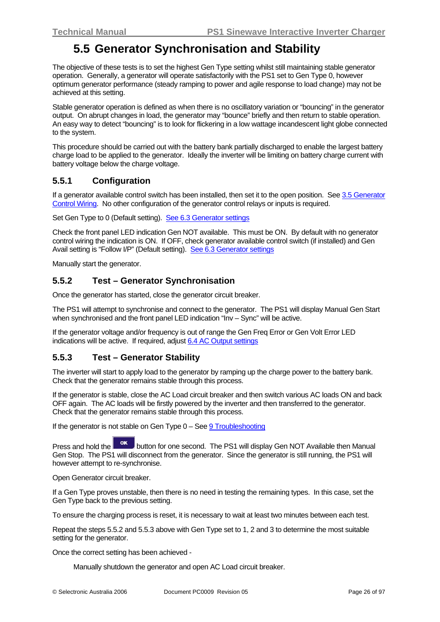### **5.5 Generator Synchronisation and Stability**

<span id="page-25-0"></span>The objective of these tests is to set the highest Gen Type setting whilst still maintaining stable generator operation. Generally, a generator will operate satisfactorily with the PS1 set to Gen Type 0, however optimum generator performance (steady ramping to power and agile response to load change) may not be achieved at this setting.

Stable generator operation is defined as when there is no oscillatory variation or "bouncing" in the generator output. On abrupt changes in load, the generator may "bounce" briefly and then return to stable operation. An easy way to detect "bouncing" is to look for flickering in a low wattage incandescent light globe connected to the system.

This procedure should be carried out with the battery bank partially discharged to enable the largest battery charge load to be applied to the generator. Ideally the inverter will be limiting on battery charge current with battery voltage below the charge voltage.

#### **5.5.1 Configuration**

If a generator available control switch has been installed, then set it to the open position. See [3.5 Generator](#page-13-0) [Control Wiring.](#page-13-0) No other configuration of the generator control relays or inputs is required.

Set Gen Type to 0 (Default setting). See [6.3 Generator settings](#page-36-0)

Check the front panel LED indication Gen NOT available. This must be ON. By default with no generator control wiring the indication is ON. If OFF, check generator available control switch (if installed) and Gen Avail setting is "Follow I/P" (Default setting). See [6.3](#page-36-0) [Generator settings](#page-36-0)

Manually start the generator.

#### **5.5.2 Test – Generator Synchronisation**

Once the generator has started, close the generator circuit breaker.

The PS1 will attempt to synchronise and connect to the generator. The PS1 will display Manual Gen Start when synchronised and the front panel LED indication "Inv – Sync" will be active.

If the generator voltage and/or frequency is out of range the Gen Freq Error or Gen Volt Error LED indications will be active. If required, adjust [6.4](#page-45-0) [AC Output settings](#page-45-0)

#### **5.5.3 Test – Generator Stability**

The inverter will start to apply load to the generator by ramping up the charge power to the battery bank. Check that the generator remains stable through this process.

If the generator is stable, close the AC Load circuit breaker and then switch various AC loads ON and back OFF again. The AC loads will be firstly powered by the inverter and then transferred to the generator. Check that the generator remains stable through this process.

If the generator is not stable on Gen Type  $0 -$  See  $9$  [Troubleshooting](#page-76-0)

Press and hold the **button for one second.** The PS1 will display Gen NOT Available then Manual Gen Stop. The PS1 will disconnect from the generator. Since the generator is still running, the PS1 will however attempt to re-synchronise.

Open Generator circuit breaker.

If a Gen Type proves unstable, then there is no need in testing the remaining types. In this case, set the Gen Type back to the previous setting.

To ensure the charging process is reset, it is necessary to wait at least two minutes between each test.

Repeat the steps [5.5.2](#page-25-0) and [5.5.3](#page-25-0) above with Gen Type set to 1, 2 and 3 to determine the most suitable setting for the generator.

Once the correct setting has been achieved -

Manually shutdown the generator and open AC Load circuit breaker.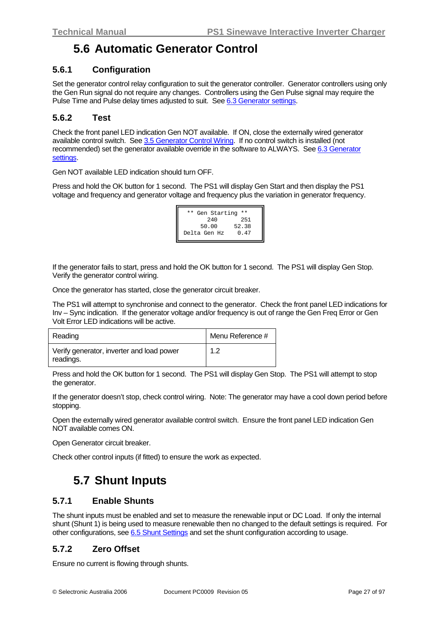### **5.6 Automatic Generator Control**

#### <span id="page-26-0"></span>**5.6.1 Configuration**

Set the generator control relay configuration to suit the generator controller. Generator controllers using only the Gen Run signal do not require any changes. Controllers using the Gen Pulse signal may require the Pulse Time and Pulse delay times adjusted to suit. See [6.3 Generator settings](#page-36-0).

#### **5.6.2 Test**

Check the front panel LED indication Gen NOT available. If ON, close the externally wired generator available control switch. See [3.5](#page-13-0) [Generator Control Wiring.](#page-13-0) If no control switch is installed (not recommended) set the generator available override in the software to ALWAYS. See [6.3 Generator](#page-36-0) [settings](#page-36-0).

Gen NOT available LED indication should turn OFF.

Press and hold the OK button for 1 second. The PS1 will display Gen Start and then display the PS1 voltage and frequency and generator voltage and frequency plus the variation in generator frequency.

| Gen Starting<br>$* *$<br>$***$ |       |
|--------------------------------|-------|
| 240                            | 251   |
| 50.00                          | 52.38 |
| Delta Gen Hz                   | 0.47  |
|                                |       |

If the generator fails to start, press and hold the OK button for 1 second. The PS1 will display Gen Stop. Verify the generator control wiring.

Once the generator has started, close the generator circuit breaker.

The PS1 will attempt to synchronise and connect to the generator. Check the front panel LED indications for Inv – Sync indication. If the generator voltage and/or frequency is out of range the Gen Freq Error or Gen Volt Error LED indications will be active.

| Reading                                                | Menu Reference # |
|--------------------------------------------------------|------------------|
| Verify generator, inverter and load power<br>readings. | 1.2              |

Press and hold the OK button for 1 second. The PS1 will display Gen Stop. The PS1 will attempt to stop the generator.

If the generator doesn't stop, check control wiring. Note: The generator may have a cool down period before stopping.

Open the externally wired generator available control switch. Ensure the front panel LED indication Gen NOT available comes ON.

Open Generator circuit breaker.

Check other control inputs (if fitted) to ensure the work as expected.

### **5.7 Shunt Inputs**

#### **5.7.1 Enable Shunts**

The shunt inputs must be enabled and set to measure the renewable input or DC Load. If only the internal shunt (Shunt 1) is being used to measure renewable then no changed to the default settings is required. For other configurations, see [6.5 Shunt Settings](#page-47-0) and set the shunt configuration according to usage.

#### **5.7.2 Zero Offset**

Ensure no current is flowing through shunts.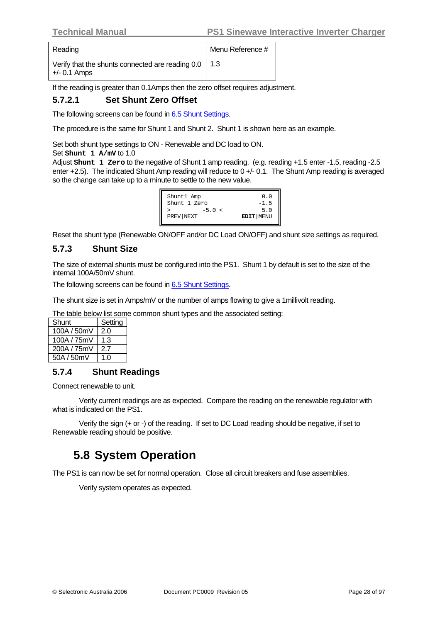<span id="page-27-0"></span>

| Reading                                                                       | Menu Reference # |
|-------------------------------------------------------------------------------|------------------|
| Verify that the shunts connected are reading $0.0 \mid 1.3$<br>$+/- 0.1$ Amps |                  |

If the reading is greater than 0.1Amps then the zero offset requires adjustment.

#### **5.7.2.1 Set Shunt Zero Offset**

The following screens can be found in [6.5 Shunt Settings](#page-47-0).

The procedure is the same for Shunt 1 and Shunt 2. Shunt 1 is shown here as an example.

Set both shunt type settings to ON - Renewable and DC load to ON.

Set **Shunt 1 A/mV** to 1.0

Adjust **Shunt 1 Zero** to the negative of Shunt 1 amp reading. (e.g. reading +1.5 enter -1.5, reading -2.5 enter +2.5). The indicated Shunt Amp reading will reduce to 0 +/- 0.1. The Shunt Amp reading is averaged so the change can take up to a minute to settle to the new value.

| Shunt1 Amp   | 0.0         |
|--------------|-------------|
| Shunt 1 Zero | $-1.5$      |
| $-5.0 <$     | 5.0         |
| PREV NEXT    | EDIT   MENU |
|              |             |

Reset the shunt type (Renewable ON/OFF and/or DC Load ON/OFF) and shunt size settings as required.

#### **5.7.3 Shunt Size**

The size of external shunts must be configured into the PS1. Shunt 1 by default is set to the size of the internal 100A/50mV shunt.

The following screens can be found in [6.5 Shunt Settings](#page-47-0).

The shunt size is set in Amps/mV or the number of amps flowing to give a 1millivolt reading.

The table below list some common shunt types and the associated setting:

| Shunt       | Setting |
|-------------|---------|
| 100A / 50mV | 2.0     |
| 100A / 75mV | 1.3     |
| 200A / 75mV | 2.7     |
| 50A / 50mV  | 1 በ     |

#### **5.7.4 Shunt Readings**

Connect renewable to unit.

 Verify current readings are as expected. Compare the reading on the renewable regulator with what is indicated on the PS1.

 Verify the sign (+ or -) of the reading. If set to DC Load reading should be negative, if set to Renewable reading should be positive.

### **5.8 System Operation**

The PS1 is can now be set for normal operation. Close all circuit breakers and fuse assemblies.

Verify system operates as expected.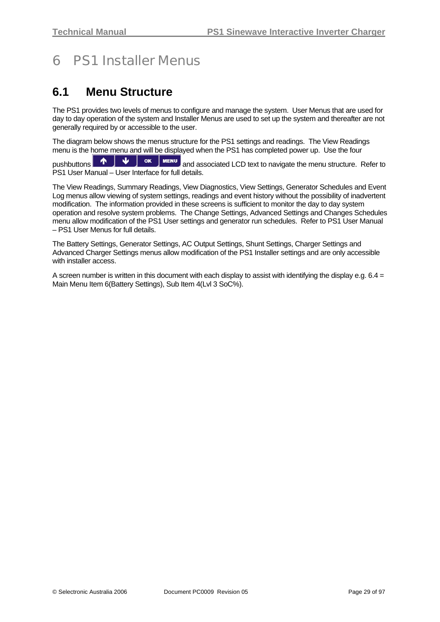# <span id="page-28-0"></span>6 PS1 Installer Menus

### **6.1 Menu Structure**

The PS1 provides two levels of menus to configure and manage the system. User Menus that are used for day to day operation of the system and Installer Menus are used to set up the system and thereafter are not generally required by or accessible to the user.

The diagram below shows the menus structure for the PS1 settings and readings. The View Readings menu is the home menu and will be displayed when the PS1 has completed power up. Use the four

pushbuttons **1 1 1 v v v d ok n and** associated LCD text to navigate the menu structure. Refer to PS1 User Manual – User Interface for full details.

The View Readings, Summary Readings, View Diagnostics, View Settings, Generator Schedules and Event Log menus allow viewing of system settings, readings and event history without the possibility of inadvertent modification. The information provided in these screens is sufficient to monitor the day to day system operation and resolve system problems. The Change Settings, Advanced Settings and Changes Schedules menu allow modification of the PS1 User settings and generator run schedules. Refer to PS1 User Manual – PS1 User Menus for full details.

The Battery Settings, Generator Settings, AC Output Settings, Shunt Settings, Charger Settings and Advanced Charger Settings menus allow modification of the PS1 Installer settings and are only accessible with installer access.

A screen number is written in this document with each display to assist with identifying the display e.g.  $6.4 =$ Main Menu Item 6(Battery Settings), Sub Item 4(Lvl 3 SoC%).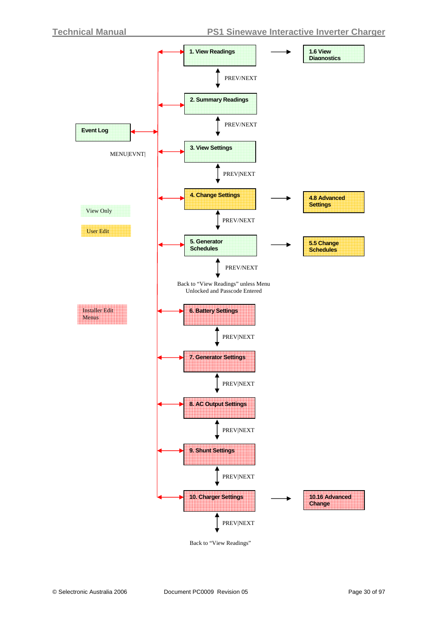

Back to "View Readings"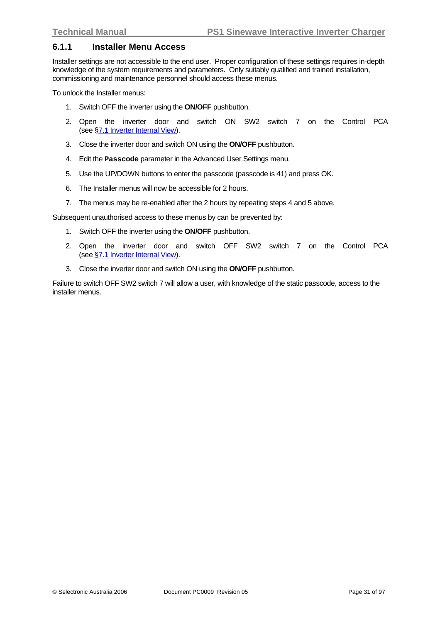#### <span id="page-30-0"></span>**6.1.1 Installer Menu Access**

Installer settings are not accessible to the end user. Proper configuration of these settings requires in-depth knowledge of the system requirements and parameters. Only suitably qualified and trained installation, commissioning and maintenance personnel should access these menus.

To unlock the Installer menus:

- 1. Switch OFF the inverter using the **ON/OFF** pushbutton.
- 2. Open the inverter door and switch ON SW2 switch 7 on the Control PCA (see [§7.1 Inverter Internal View\)](#page-59-0).
- 3. Close the inverter door and switch ON using the **ON/OFF** pushbutton.
- 4. Edit the **Passcode** parameter in the Advanced User Settings menu.
- 5. Use the UP/DOWN buttons to enter the passcode (passcode is 41) and press OK.
- 6. The Installer menus will now be accessible for 2 hours.
- 7. The menus may be re-enabled after the 2 hours by repeating steps 4 and 5 above.

Subsequent unauthorised access to these menus by can be prevented by:

- 1. Switch OFF the inverter using the **ON/OFF** pushbutton.
- 2. Open the inverter door and switch OFF SW2 switch 7 on the Control PCA (see [§7.1 Inverter Internal View\)](#page-59-0).
- 3. Close the inverter door and switch ON using the **ON/OFF** pushbutton.

Failure to switch OFF SW2 switch 7 will allow a user, with knowledge of the static passcode, access to the installer menus.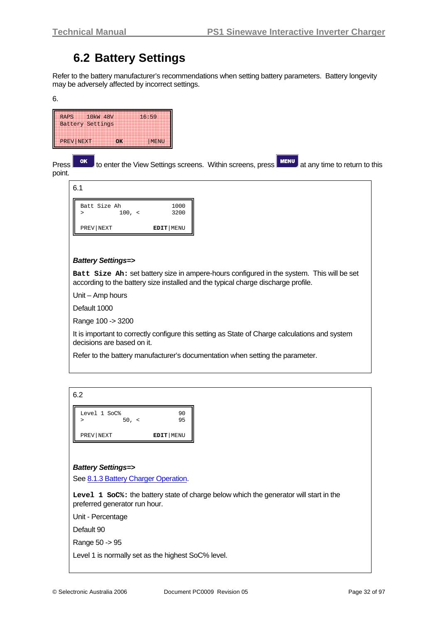## **6.2 Battery Settings**

<span id="page-31-0"></span>Refer to the battery manufacturer's recommendations when setting battery parameters. Battery longevity may be adversely affected by incorrect settings.

#### 6.



Press **ox** to enter the View Settings screens. Within screens, press **At A LOCAL Analy time to return to this** point.

6.1

| υ. ι                   |              |
|------------------------|--------------|
| Batt Size Ah<br>100, < | 1000<br>3200 |
| PREV NEXT              | EDIT   MENU  |

#### *Battery Settings=>*

**Batt Size Ah:** set battery size in ampere-hours configured in the system. This will be set according to the battery size installed and the typical charge discharge profile.

Unit – Amp hours

Default 1000

Range 100 -> 3200

It is important to correctly configure this setting as State of Charge calculations and system decisions are based on it.

Refer to the battery manufacturer's documentation when setting the parameter.

| Level 1 SoC%<br>50, <<br>> | 90<br>95    |
|----------------------------|-------------|
| PREV NEXT                  | EDIT   MENU |

#### *Battery Settings=>*

See [8.1.3 Battery Charger Operation.](#page-65-0)

**Level 1 SoC%:** the battery state of charge below which the generator will start in the preferred generator run hour.

Unit - Percentage

Default 90

Range 50 -> 95

Level 1 is normally set as the highest SoC% level.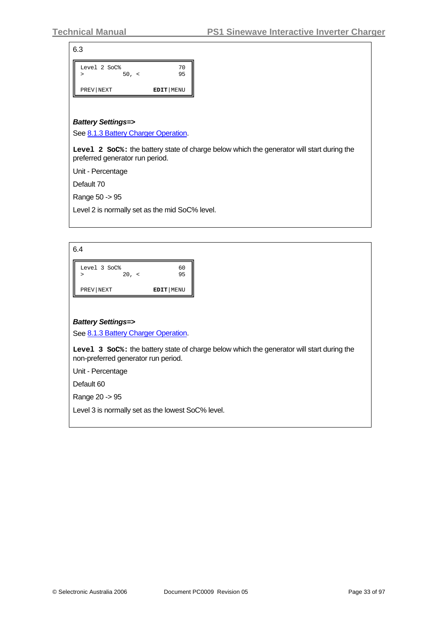6.3

| Level 2 SoC%<br>50, <<br>↘ | 70<br>95  |
|----------------------------|-----------|
| PREV NEXT                  | EDIT MENU |

#### *Battery Settings=>*

See [8.1.3 Battery Charger Operation.](#page-65-0)

**Level 2 SoC%:** the battery state of charge below which the generator will start during the preferred generator run period.

Unit - Percentage

Default 70

Range 50 -> 95

Level 2 is normally set as the mid SoC% level.

| Level 3 SoC% | 60        |
|--------------|-----------|
| 20. <        | 95        |
|              |           |
| PREV NEXT    | EDIT MENU |

#### *Battery Settings=>*

See [8.1.3 Battery Charger Operation.](#page-65-0)

**Level 3 SoC%:** the battery state of charge below which the generator will start during the non-preferred generator run period.

Unit - Percentage

Default 60

Range 20 -> 95

Level 3 is normally set as the lowest SoC% level.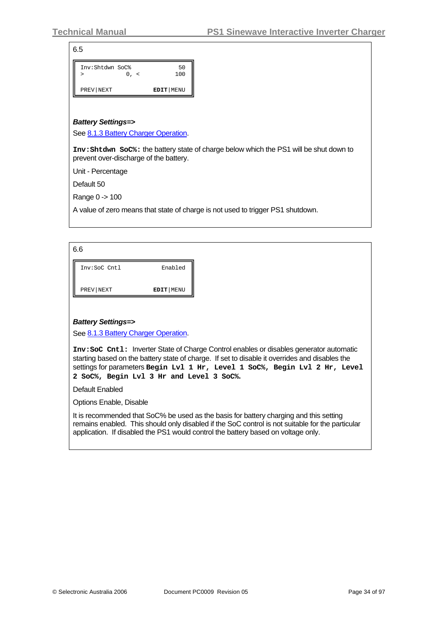| Inv:Shtdwn SoC%<br>$0, \leq$ | 50<br>100   |
|------------------------------|-------------|
| PREV NEXT                    | EDIT   MENU |

#### *Battery Settings=>*

See [8.1.3 Battery Charger Operation.](#page-65-0)

**Inv:Shtdwn SoC%:** the battery state of charge below which the PS1 will be shut down to prevent over-discharge of the battery.

Unit - Percentage

Default 50

Range 0 -> 100

A value of zero means that state of charge is not used to trigger PS1 shutdown.

| Inv:SoC Cntl | Enabled     |
|--------------|-------------|
| PREV NEXT    | EDIT   MENU |

#### *Battery Settings=>*

See [8.1.3 Battery Charger Operation.](#page-65-0)

**Inv:SoC Cntl:** Inverter State of Charge Control enables or disables generator automatic starting based on the battery state of charge. If set to disable it overrides and disables the settings for parameters **Begin Lvl 1 Hr, Level 1 SoC%, Begin Lvl 2 Hr, Level 2 SoC%, Begin Lvl 3 Hr and Level 3 SoC%.** 

Default Enabled

Options Enable, Disable

It is recommended that SoC% be used as the basis for battery charging and this setting remains enabled. This should only disabled if the SoC control is not suitable for the particular application. If disabled the PS1 would control the battery based on voltage only.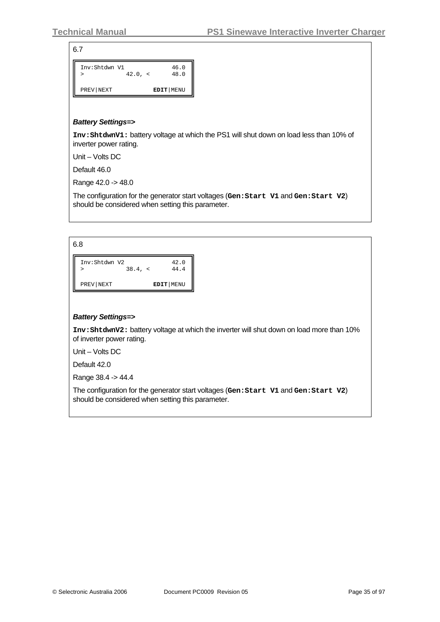6.7

| Inv:Sht.dwn V1<br>$42.0, \times$ | 46.0<br>48.0 |
|----------------------------------|--------------|
| PREV NEXT                        | EDIT   MENU  |

#### *Battery Settings=>*

**Inv:ShtdwnV1:** battery voltage at which the PS1 will shut down on load less than 10% of inverter power rating.

Unit – Volts DC

Default 46.0

Range 42.0 -> 48.0

The configuration for the generator start voltages (**Gen:Start V1** and **Gen:Start V2**) should be considered when setting this parameter.

| 6.8                |         |              |  |
|--------------------|---------|--------------|--|
| Inv:Shtdwn V2<br>⋗ | 38.4, < | 42.0<br>44.4 |  |
| PREV NEXT          |         | EDIT   MENU  |  |

#### *Battery Settings=>*

**Inv:ShtdwnV2:** battery voltage at which the inverter will shut down on load more than 10% of inverter power rating.

Unit – Volts DC

Default 42.0

Range 38.4 -> 44.4

The configuration for the generator start voltages (**Gen:Start V1** and **Gen:Start V2**) should be considered when setting this parameter.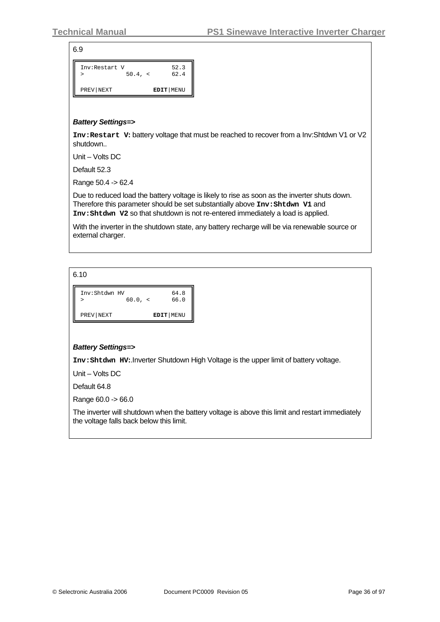6.9

```
Inv:Restart V 52.3<br>> 50.4, < 62.4> 50.4, <
PREV|NEXT EDIT|MENU
```
#### *Battery Settings=>*

**Inv:Restart V:** battery voltage that must be reached to recover from a Inv:Shtdwn V1 or V2 shutdown..

Unit – Volts DC

Default 52.3

Range 50.4 -> 62.4

Due to reduced load the battery voltage is likely to rise as soon as the inverter shuts down. Therefore this parameter should be set substantially above **Inv:Shtdwn V1** and **Inv:Shtdwn V2** so that shutdown is not re-entered immediately a load is applied.

With the inverter in the shutdown state, any battery recharge will be via renewable source or external charger.

6.10

| Inv:Shtdwn HV | $60.0, \le$ | 64.8<br>66.0 |
|---------------|-------------|--------------|
| PREV NEXT     |             | EDIT MENU    |

#### *Battery Settings=>*

**Inv:Shtdwn HV:**.Inverter Shutdown High Voltage is the upper limit of battery voltage.

Unit – Volts DC

Default 64.8

Range 60.0 -> 66.0

The inverter will shutdown when the battery voltage is above this limit and restart immediately the voltage falls back below this limit.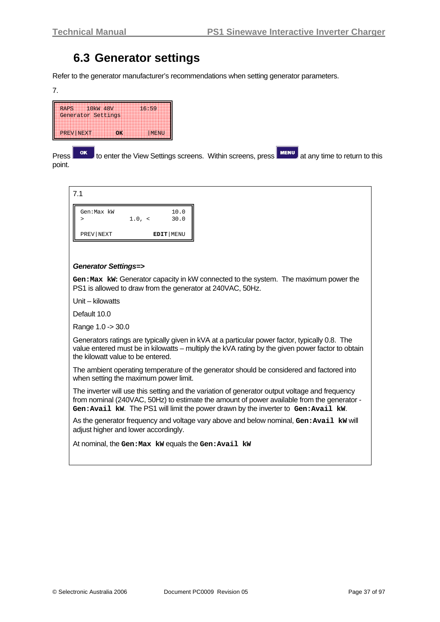## **6.3 Generator settings**

Refer to the generator manufacturer's recommendations when setting generator parameters.

7.

| $10$ <sub>K</sub> W $48$ V<br><b>RAPS</b> | 16:59 |
|-------------------------------------------|-------|
| Generator Settings                        |       |
|                                           |       |
| PREV NEXT<br>e pre                        |       |
|                                           | MENU  |

Press **ok** to enter the View Settings screens. Within screens, press **MENU** at any time to return to this point.

| 7.1                  |                        |  |
|----------------------|------------------------|--|
| Gen:Max kW<br>$\geq$ | 10.0<br>30.0<br>1.0, < |  |
| PREV NEXT            | EDIT   MENU            |  |

#### *Generator Settings=>*

**Gen:Max kW:** Generator capacity in kW connected to the system. The maximum power the PS1 is allowed to draw from the generator at 240VAC, 50Hz.

Unit – kilowatts

Default 10.0

Range 1.0 -> 30.0

Generators ratings are typically given in kVA at a particular power factor, typically 0.8. The value entered must be in kilowatts – multiply the kVA rating by the given power factor to obtain the kilowatt value to be entered.

The ambient operating temperature of the generator should be considered and factored into when setting the maximum power limit.

The inverter will use this setting and the variation of generator output voltage and frequency from nominal (240VAC, 50Hz) to estimate the amount of power available from the generator - **Gen:Avail kW**. The PS1 will limit the power drawn by the inverter to **Gen:Avail kW**.

As the generator frequency and voltage vary above and below nominal, Gen: Avail kw will adjust higher and lower accordingly.

At nominal, the **Gen:Max kW** equals the **Gen:Avail kW**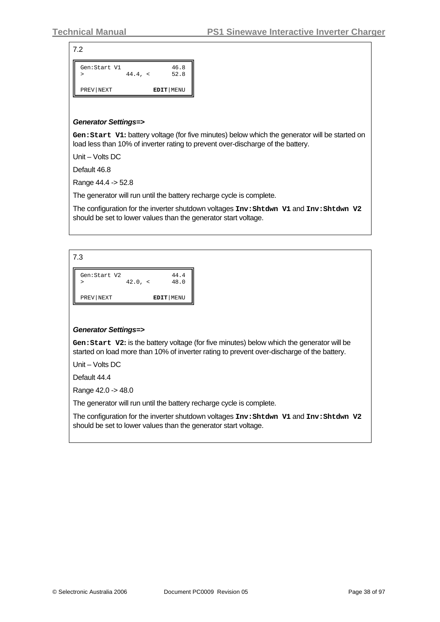```
7.2 
Gen:Start V1 44.4, < 45.8<br>> 44.4, < 52.8> 44.4, <
PREV|NEXT EDIT|MENU
```
#### *Generator Settings=>*

**Gen:Start V1:** battery voltage (for five minutes) below which the generator will be started on load less than 10% of inverter rating to prevent over-discharge of the battery.

Unit – Volts DC

Default 46.8

Range 44.4 -> 52.8

The generator will run until the battery recharge cycle is complete.

The configuration for the inverter shutdown voltages **Inv:Shtdwn V1** and **Inv:Shtdwn V2** should be set to lower values than the generator start voltage.

7.3

| Gen:Start V2 | $42.0, \times$ | 44.4<br>48.0 |
|--------------|----------------|--------------|
| PREV NEXT    |                | EDIT MENU    |

#### *Generator Settings=>*

Gen: Start V2: is the battery voltage (for five minutes) below which the generator will be started on load more than 10% of inverter rating to prevent over-discharge of the battery.

Unit – Volts DC

Default 44.4

Range 42.0 -> 48.0

The generator will run until the battery recharge cycle is complete.

The configuration for the inverter shutdown voltages **Inv:Shtdwn V1** and **Inv:Shtdwn V2** should be set to lower values than the generator start voltage.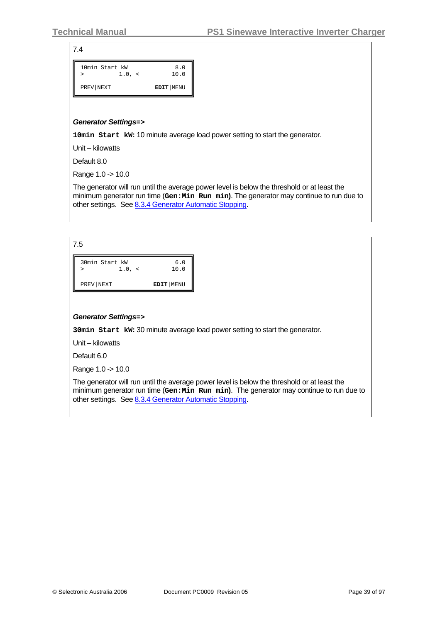```
7.4
```

| 10min Start kW<br>1.0, < | 8.0<br>10.0 |
|--------------------------|-------------|
| PREV NEXT                | EDIT   MENU |

#### *Generator Settings=>*

**10min Start kW:** 10 minute average load power setting to start the generator.

Unit – kilowatts

Default 8.0

Range 1.0 -> 10.0

The generator will run until the average power level is below the threshold or at least the minimum generator run time (**Gen:Min Run min)**. The generator may continue to run due to other settings. See [8.3.4 Generator Automatic Stopping](#page-72-0).

| 7.5                                |             |
|------------------------------------|-------------|
| 30min Start kW<br>1.0, <<br>$\geq$ | 6.0<br>10.0 |
| PREV NEXT                          | EDIT   MENU |

#### *Generator Settings=>*

**30min Start kW:** 30 minute average load power setting to start the generator.

Unit – kilowatts

Default 6.0

Range 1.0 -> 10.0

The generator will run until the average power level is below the threshold or at least the minimum generator run time (**Gen:Min Run min)**. The generator may continue to run due to other settings. See [8.3.4 Generator Automatic Stopping](#page-72-0).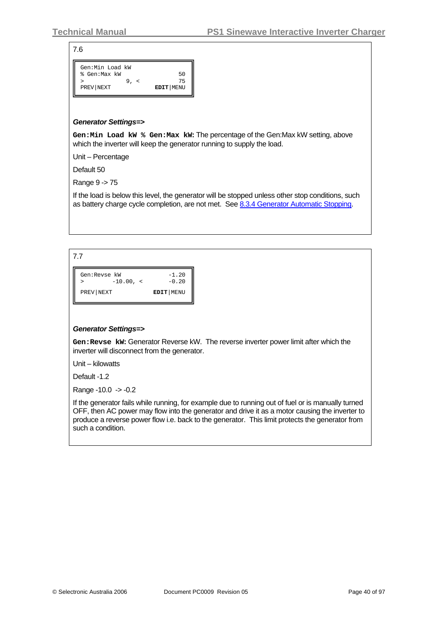| Gen:Min Load kW<br>% Gen:Max kW |      | 50          |
|---------------------------------|------|-------------|
|                                 | 9. < | 75          |
| PREV NEXT                       |      | EDIT   MENU |

#### *Generator Settings=>*

**Gen:Min Load kW % Gen:Max kW:** The percentage of the Gen:Max kW setting, above which the inverter will keep the generator running to supply the load.

Unit – Percentage

Default 50

Range 9 -> 75

If the load is below this level, the generator will be stopped unless other stop conditions, such as battery charge cycle completion, are not met. See [8.3.4](#page-72-0) [Generator Automatic Stopping](#page-72-0).

7.7

| Gen:Revse kW | $-1.20$     |
|--------------|-------------|
| $-10.00, <$  | $-0.20$     |
| PREV NEXT    | EDIT   MENU |

#### *Generator Settings=>*

**Gen:Revse kW:** Generator Reverse kW. The reverse inverter power limit after which the inverter will disconnect from the generator.

Unit – kilowatts

Default -1.2

Range -10.0 -> -0.2

If the generator fails while running, for example due to running out of fuel or is manually turned OFF, then AC power may flow into the generator and drive it as a motor causing the inverter to produce a reverse power flow i.e. back to the generator. This limit protects the generator from such a condition.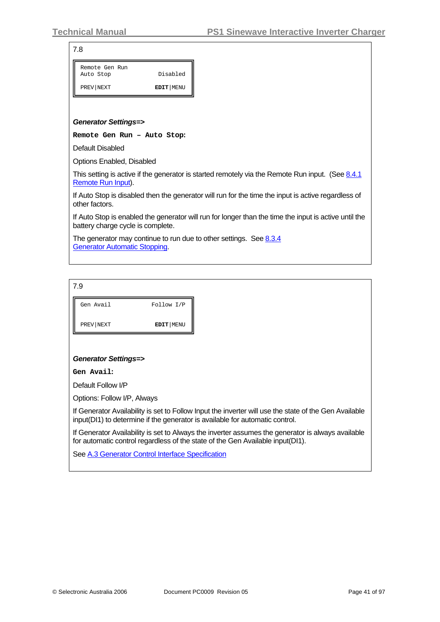| ٠<br>×<br>۰.<br>×<br>۰. |
|-------------------------|
|-------------------------|

| Remote Gen Run<br>Auto Stop | Disabled  |
|-----------------------------|-----------|
| PREV NEXT                   | EDIT MENU |

#### *Generator Settings=>*

**Remote Gen Run – Auto Stop:**

Default Disabled

Options Enabled, Disabled

This setting is active if the generator is started remotely via the Remote Run input. (See [8.4.1](#page-72-0)) [Remote Run Input\)](#page-72-0).

If Auto Stop is disabled then the generator will run for the time the input is active regardless of other factors.

If Auto Stop is enabled the generator will run for longer than the time the input is active until the battery charge cycle is complete.

The generator may continue to run due to other settings. See [8.3.4](#page-72-0) [Generator Automatic Stopping](#page-72-0).

| 7.9       |            |  |
|-----------|------------|--|
| Gen Avail | Follow I/P |  |

PREV|NEXT **EDIT**|MENU

#### *Generator Settings=>*

**Gen Avail:** 

Default Follow I/P

Options: Follow I/P, Always

If Generator Availability is set to Follow Input the inverter will use the state of the Gen Available input(DI1) to determine if the generator is available for automatic control.

If Generator Availability is set to Always the inverter assumes the generator is always available for automatic control regardless of the state of the Gen Available input(DI1).

See [A.3 Generator Control Interface Specification](#page-84-0)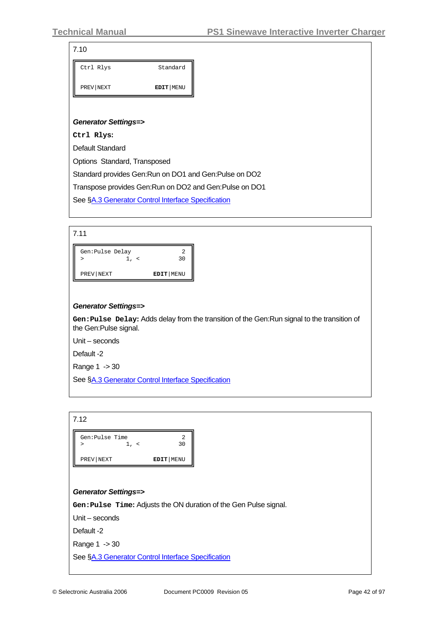| Standard    |
|-------------|
| EDIT   MENU |
|             |

#### *Generator Settings=>*

**Ctrl Rlys:**

Default Standard

Options Standard, Transposed

Standard provides Gen:Run on DO1 and Gen:Pulse on DO2

Transpose provides Gen:Run on DO2 and Gen:Pulse on DO1

See §[A.3 Generator Control Interface Specification](#page-84-0)

7.11

| Gen:Pulse Delay | 2<br>30     |
|-----------------|-------------|
| PREV NEXT       | EDIT   MENU |

#### *Generator Settings=>*

**Gen:Pulse Delay:** Adds delay from the transition of the Gen:Run signal to the transition of the Gen:Pulse signal.

Unit – seconds

Default -2

Range 1 -> 30

See §[A.3 Generator Control Interface Specification](#page-84-0)

7.12

| Gen:Pulse Time | 30          |
|----------------|-------------|
| PREV NEXT      | EDIT   MENU |

#### *Generator Settings=>*

**Gen:Pulse Time:** Adjusts the ON duration of the Gen Pulse signal.

Unit – seconds

Default -2

Range 1 -> 30

See §[A.3 Generator Control Interface Specification](#page-84-0)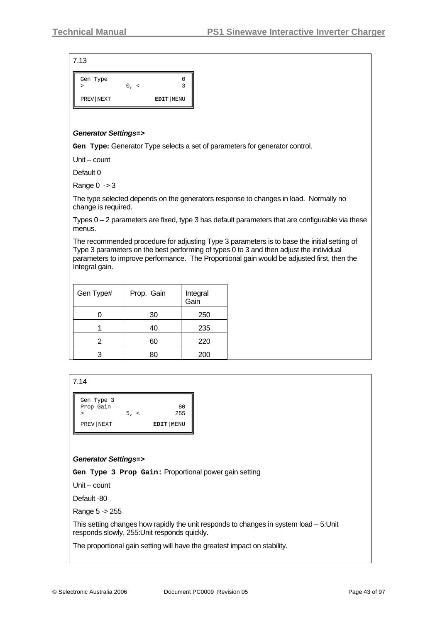| Gen Type  | $0, \leq$ | ิว          |
|-----------|-----------|-------------|
| PREV NEXT |           | EDIT   MENU |

#### *Generator Settings=>*

**Gen Type:** Generator Type selects a set of parameters for generator control.

Unit – count

Default 0

Range 0 -> 3

The type selected depends on the generators response to changes in load. Normally no change is required.

Types 0 – 2 parameters are fixed, type 3 has default parameters that are configurable via these menus.

The recommended procedure for adjusting Type 3 parameters is to base the initial setting of Type 3 parameters on the best performing of types 0 to 3 and then adjust the individual parameters to improve performance. The Proportional gain would be adjusted first, then the Integral gain.

| Gen Type# | Prop. Gain | Integral<br>Gain |
|-----------|------------|------------------|
|           | 30         | 250              |
|           | 40         | 235              |
| 2         | 60         | 220              |
|           | 80         | 200              |

7.14

| Gen Type 3<br>Prop Gain | 5, < | 80<br>255   |
|-------------------------|------|-------------|
| PREV NEXT               |      | EDIT   MENU |

#### *Generator Settings=>*

**Gen Type 3 Prop Gain:** Proportional power gain setting

Unit – count

Default -80

Range 5 -> 255

This setting changes how rapidly the unit responds to changes in system load – 5:Unit responds slowly, 255:Unit responds quickly.

The proportional gain setting will have the greatest impact on stability.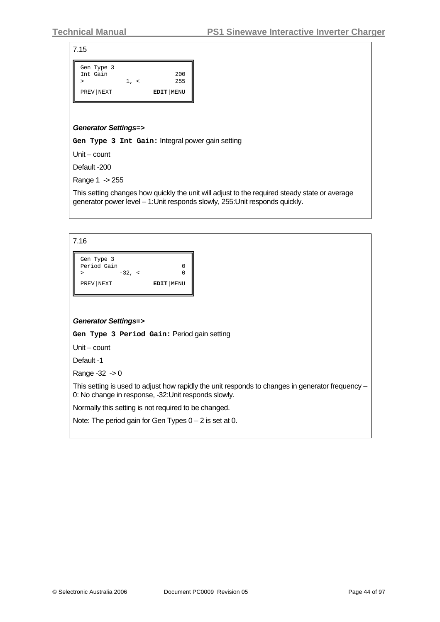| Gen Type 3<br>Int. Gain<br>> | $1, \leq$ | 200<br>255  |
|------------------------------|-----------|-------------|
| PREV NEXT                    |           | EDIT   MENU |

#### *Generator Settings=>*

**Gen Type 3 Int Gain:** Integral power gain setting

Unit – count

Default -200

Range 1 -> 255

This setting changes how quickly the unit will adjust to the required steady state or average generator power level – 1:Unit responds slowly, 255:Unit responds quickly.

7.16

| Gen Type 3<br>Period Gain |          |             |
|---------------------------|----------|-------------|
| ⋗                         | $-32, <$ |             |
| PREV NEXT                 |          | EDIT   MENU |

#### *Generator Settings=>*

**Gen Type 3 Period Gain:** Period gain setting

Unit – count

Default -1

Range -32 -> 0

This setting is used to adjust how rapidly the unit responds to changes in generator frequency – 0: No change in response, -32:Unit responds slowly.

Normally this setting is not required to be changed.

Note: The period gain for Gen Types 0 – 2 is set at 0.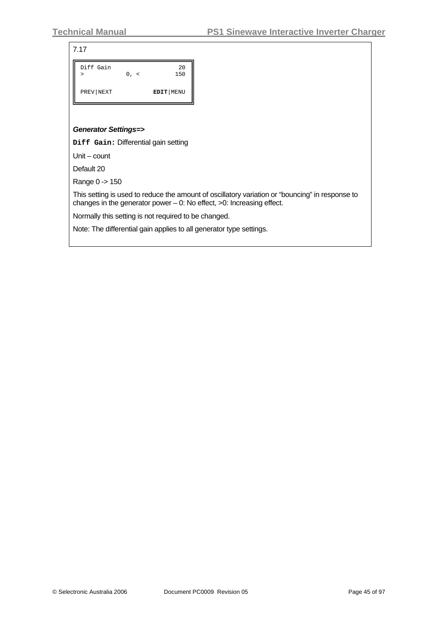```
7.17
```
Diff Gain  $20$ <br>>  $0, <$   $150$  $> 0, <$ PREV|NEXT **EDIT**|MENU

#### *Generator Settings=>*

**Diff Gain:** Differential gain setting

Unit – count

Default 20

Range 0 -> 150

This setting is used to reduce the amount of oscillatory variation or "bouncing" in response to changes in the generator power – 0: No effect, >0: Increasing effect.

Normally this setting is not required to be changed.

Note: The differential gain applies to all generator type settings.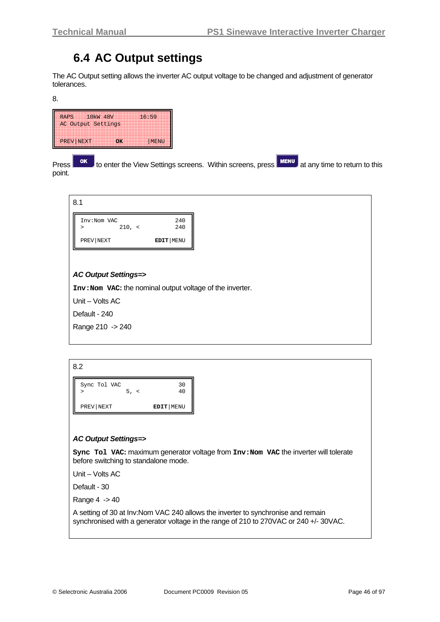## **6.4 AC Output settings**

The AC Output setting allows the inverter AC output voltage to be changed and adjustment of generator tolerances.

8.

| $10$ <sub>K</sub> W $48$ V<br><b>RAPS</b><br>AC Output Settings | 16:59 |
|-----------------------------------------------------------------|-------|
| PREV NEXT                                                       | MENU  |

Press **or** to enter the View Settings screens. Within screens, press **MENU** at any time to return to this point.



#### *AC Output Settings=>*

**Inv:Nom VAC:** the nominal output voltage of the inverter.

Unit – Volts AC

Default - 240

Range 210 -> 240

#### 8.2



#### *AC Output Settings=>*

**Sync Tol VAC:** maximum generator voltage from **Inv:Nom VAC** the inverter will tolerate before switching to standalone mode.

Unit – Volts AC

Default - 30

Range 4 -> 40

A setting of 30 at Inv:Nom VAC 240 allows the inverter to synchronise and remain synchronised with a generator voltage in the range of 210 to 270VAC or 240 +/- 30VAC.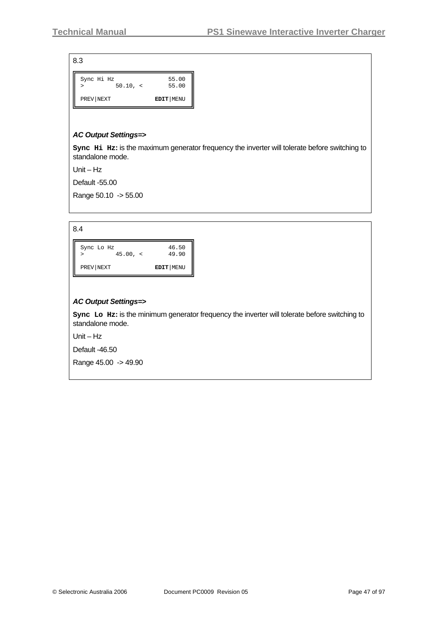| Sync Hi Hz<br>↘ |              | 55.00<br>55.00 |
|-----------------|--------------|----------------|
|                 | $50.10, \le$ |                |
| PREV NEXT       |              | EDIT MENU      |

#### *AC Output Settings=>*

**Sync Hi Hz:** is the maximum generator frequency the inverter will tolerate before switching to standalone mode.

Unit – Hz

Default -55.00

Range 50.10 -> 55.00

8.4

| Sync Lo Hz | $45.00, \le$ | 46.50<br>49.90 |
|------------|--------------|----------------|
| PREV NEXT  |              | EDIT   MENU    |

#### *AC Output Settings=>*

**Sync Lo Hz:** is the minimum generator frequency the inverter will tolerate before switching to standalone mode.

Unit – Hz

Default -46.50

Range 45.00 -> 49.90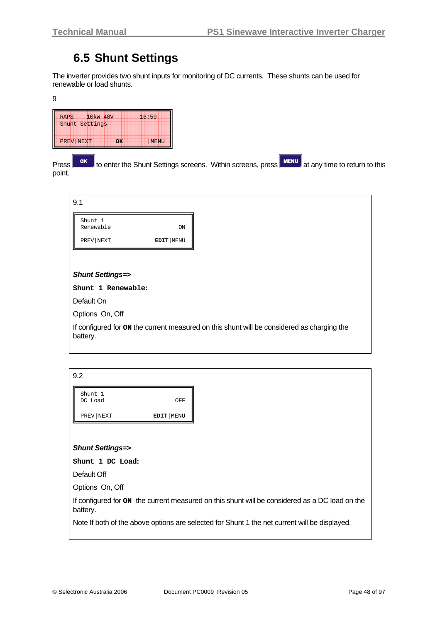## **6.5 Shunt Settings**

The inverter provides two shunt inputs for monitoring of DC currents. These shunts can be used for renewable or load shunts.

9

| $10$ KW $48V$<br><b>RAPS</b> | 16:59 |
|------------------------------|-------|
| Shunt Settings               |       |
|                              |       |
| PREV NEXT                    | MENU  |

Press or both to enter the Shunt Settings screens. Within screens, press **ALL AND At any time to return to this** point.



| 9.2                        |                                                                                                |
|----------------------------|------------------------------------------------------------------------------------------------|
| Shunt 1<br>DC Load<br>OFF  |                                                                                                |
| EDIT   MENU<br>PREV NEXT   |                                                                                                |
|                            |                                                                                                |
| <b>Shunt Settings=&gt;</b> |                                                                                                |
| Shunt 1 DC Load:           |                                                                                                |
| Default Off                |                                                                                                |
| Options On, Off            |                                                                                                |
| battery.                   | If configured for ON the current measured on this shunt will be considered as a DC load on the |
|                            | Note If both of the above options are selected for Shunt 1 the net current will be displayed.  |
|                            |                                                                                                |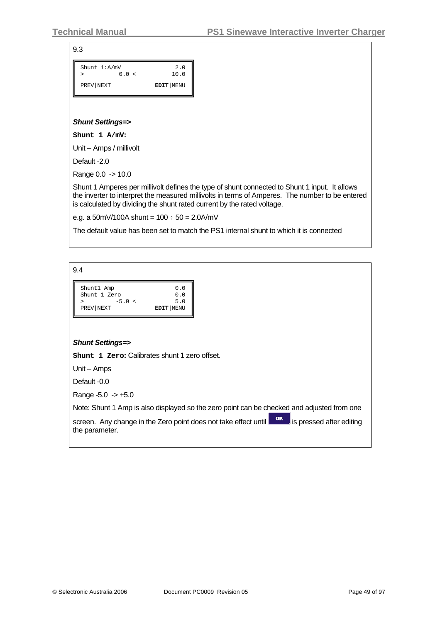```
9.3
```

| Shunt $1: A/mV$<br>0.0 < | 2.0<br>10.0 |
|--------------------------|-------------|
| PREV NEXT                | EDIT MENU   |

#### *Shunt Settings=>*

**Shunt 1 A/mV:**

Unit – Amps / millivolt

Default -2.0

Range 0.0 -> 10.0

Shunt 1 Amperes per millivolt defines the type of shunt connected to Shunt 1 input. It allows the inverter to interpret the measured millivolts in terms of Amperes. The number to be entered is calculated by dividing the shunt rated current by the rated voltage.

e.g. a  $50$ mV/100A shunt =  $100 \div 50 = 2.0$ A/mV

The default value has been set to match the PS1 internal shunt to which it is connected

9.4

| Shunt1 Amp   |          | 0.0         |
|--------------|----------|-------------|
| Shunt 1 Zero |          | 0.0         |
|              | $-5.0 <$ | 5.0         |
| PREV NEXT    |          | EDIT   MENU |

#### *Shunt Settings=>*

**Shunt 1 Zero:** Calibrates shunt 1 zero offset.

Unit – Amps

Default -0.0

Range  $-5.0 \rightarrow +5.0$ 

Note: Shunt 1 Amp is also displayed so the zero point can be checked and adjusted from one

screen. Any change in the Zero point does not take effect until  $\begin{bmatrix} \text{or} \\ \text{or} \end{bmatrix}$  is pressed after editing the parameter.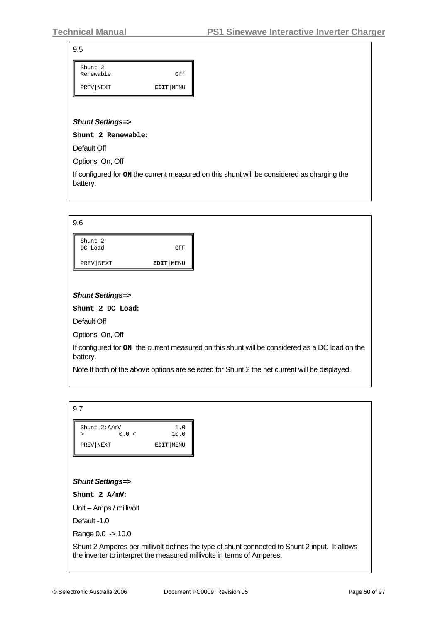| I<br>۰,<br>I<br>٠<br>w<br>۰,<br>×<br>۰, |
|-----------------------------------------|
|-----------------------------------------|

| Shunt 2<br>Renewable | Off         |
|----------------------|-------------|
| PREV NEXT            | EDIT   MENU |

#### *Shunt Settings=>*

**Shunt 2 Renewable:**

Default Off

Options On, Off

If configured for **ON** the current measured on this shunt will be considered as charging the battery.

| 9.6                                                                                                        |             |  |
|------------------------------------------------------------------------------------------------------------|-------------|--|
| Shunt 2<br>DC Load                                                                                         | OFF         |  |
| PREV NEXT                                                                                                  | EDIT   MENU |  |
|                                                                                                            |             |  |
| <b>Shunt Settings=&gt;</b>                                                                                 |             |  |
| Shunt 2 DC Load:                                                                                           |             |  |
| Default Off                                                                                                |             |  |
| Options On, Off                                                                                            |             |  |
| If configured for on the current measured on this shunt will be considered as a DC load on the<br>battery. |             |  |
| Note If both of the above options are selected for Shunt 2 the net current will be displayed.              |             |  |

| ٠<br>I<br>۰,<br>w |
|-------------------|
|-------------------|

| Shunt $2: A/mV$<br>> | 0.0 < | 1.0<br>10.0 |
|----------------------|-------|-------------|
| PREV NEXT            |       | EDIT   MENU |

#### *Shunt Settings=>*

**Shunt 2 A/mV:**

Unit – Amps / millivolt

Default -1.0

Range 0.0 -> 10.0

Shunt 2 Amperes per millivolt defines the type of shunt connected to Shunt 2 input. It allows the inverter to interpret the measured millivolts in terms of Amperes.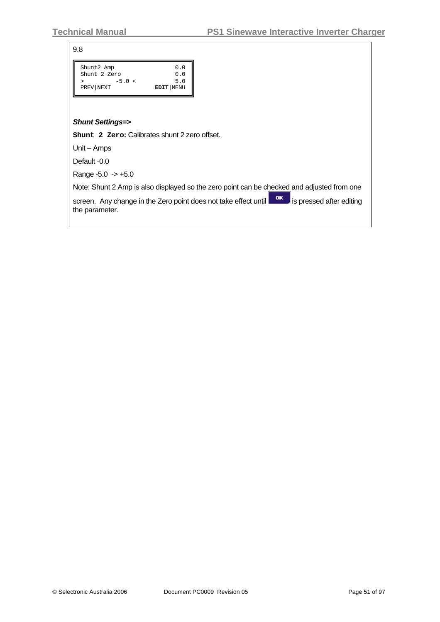Shunt2 Amp 0.0<br>Shunt 2 Zero 0.0 Shunt 2 Zero  $0.0$ <br>>  $-5.0 <$   $5.0$ > -5.0 < -5.0 < PREV|NEXT **EDIT**|MENU

#### *Shunt Settings=>*

**Shunt 2 Zero:** Calibrates shunt 2 zero offset.

Unit – Amps

Default -0.0

Range  $-5.0 \rightarrow +5.0$ 

Note: Shunt 2 Amp is also displayed so the zero point can be checked and adjusted from one

screen. Any change in the Zero point does not take effect until  $\begin{bmatrix} 0 & 0 & 0 \\ 0 & s & 0 \end{bmatrix}$  is pressed after editing the parameter.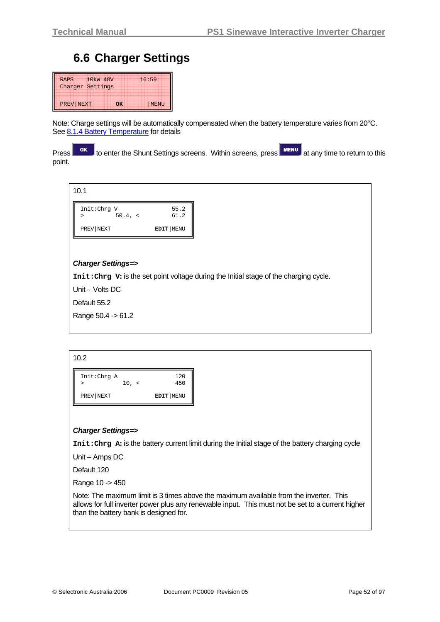## **6.6 Charger Settings**

| <b>RAPS</b> | $10kW$ $48V$<br>16.59 |      |
|-------------|-----------------------|------|
|             | Charger Settings      |      |
|             |                       |      |
| PREV NEXT   | OK                    | MENU |

Note: Charge settings will be automatically compensated when the battery temperature varies from 20°C. See [8.1.4 Battery Temperature](#page-67-0) for details

Press **or** to enter the Shunt Settings screens. Within screens, press **ALLOCATE AT A LIGATE 10 AT A LIGATE 10** at any time to return to this point.

| 10.1             |         |              |
|------------------|---------|--------------|
| Init:Chrg V<br>⋗ | 50.4, < | 55.2<br>61.2 |
| PREV NEXT        |         | EDIT   MENU  |

#### *Charger Settings=>*

**Init:Chrg V:** is the set point voltage during the Initial stage of the charging cycle.

Unit – Volts DC

Default 55.2

Range 50.4 -> 61.2

| ۰       |  |
|---------|--|
| ×<br>۰. |  |

| Init:Chrg A<br>$10, \leq$ | 120<br>450 |
|---------------------------|------------|
| PREV NEXT                 | EDIT MENU  |

#### *Charger Settings=>*

**Init:Chrg A:** is the battery current limit during the Initial stage of the battery charging cycle

Unit – Amps DC

Default 120

Range 10 -> 450

Note: The maximum limit is 3 times above the maximum available from the inverter. This allows for full inverter power plus any renewable input. This must not be set to a current higher than the battery bank is designed for.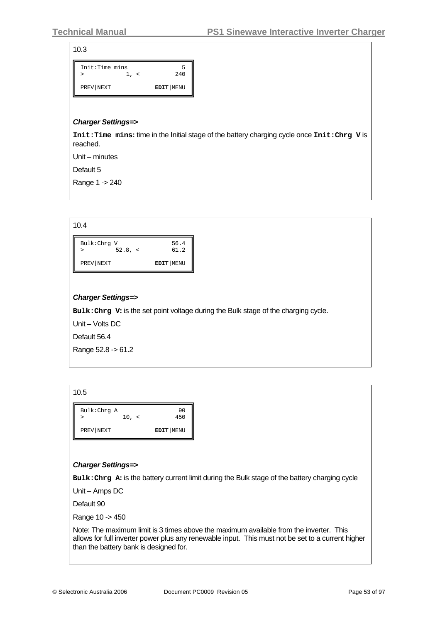| Init:Time mins |  | 5           |
|----------------|--|-------------|
|                |  | 240         |
|                |  |             |
| PREV NEXT      |  | EDIT   MENU |
|                |  |             |

#### *Charger Settings=>*

**Init:Time mins:** time in the Initial stage of the battery charging cycle once **Init:Chrg V** is reached.

Unit – minutes

Default 5

Range 1 -> 240

| Bulk:Chrq V | 52.8, < | 56.4<br>61.2 |
|-------------|---------|--------------|
| PREV NEXT   |         | EDIT   MENU  |

#### *Charger Settings=>*

**Bulk:Chrg V:** is the set point voltage during the Bulk stage of the charging cycle.

Unit – Volts DC

Default 56.4

Range 52.8 -> 61.2

#### 10.5

| Bulk:Chrq A<br>> | 10. < | 90<br>450   |
|------------------|-------|-------------|
| PREV NEXT        |       | EDIT   MENU |

#### *Charger Settings=>*

**Bulk:Chrg A:** is the battery current limit during the Bulk stage of the battery charging cycle

Unit – Amps DC

Default 90

Range 10 -> 450

Note: The maximum limit is 3 times above the maximum available from the inverter. This allows for full inverter power plus any renewable input. This must not be set to a current higher than the battery bank is designed for.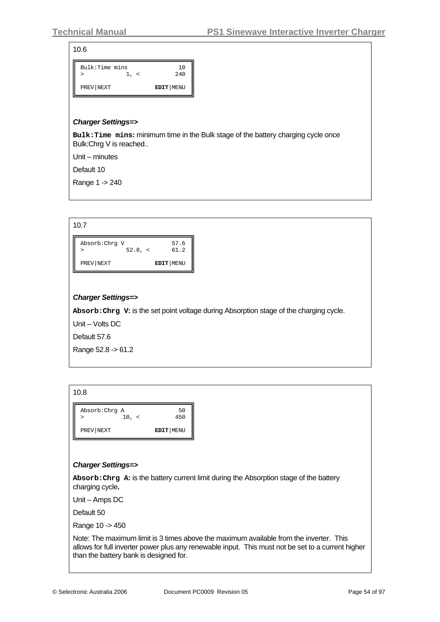| Bulk:Time mins | 1 O<br>240 |
|----------------|------------|
| PREV NEXT      | EDIT MENU  |

#### *Charger Settings=>*

**Bulk:Time mins:** minimum time in the Bulk stage of the battery charging cycle once Bulk:Chrg V is reached..

Unit – minutes

Default 10

Range 1 -> 240

| I<br>×<br>۰. |  |  |  |
|--------------|--|--|--|
|--------------|--|--|--|

| Absorb: Chrq V | 52.8, < | 57.6<br>61.2 |
|----------------|---------|--------------|
| PREV NEXT      |         | EDIT   MENU  |

#### *Charger Settings=>*

**Absorb:Chrg V:** is the set point voltage during Absorption stage of the charging cycle.

Unit – Volts DC

Default 57.6

Range 52.8 -> 61.2

#### 10.8

| Absorb: Chrg A | 10, < | 50<br>450   |
|----------------|-------|-------------|
| PREV NEXT      |       | EDIT   MENU |

#### *Charger Settings=>*

**Absorb:Chrg A:** is the battery current limit during the Absorption stage of the battery charging cycle**.**

Unit – Amps DC

Default 50

Range 10 -> 450

Note: The maximum limit is 3 times above the maximum available from the inverter. This allows for full inverter power plus any renewable input. This must not be set to a current higher than the battery bank is designed for.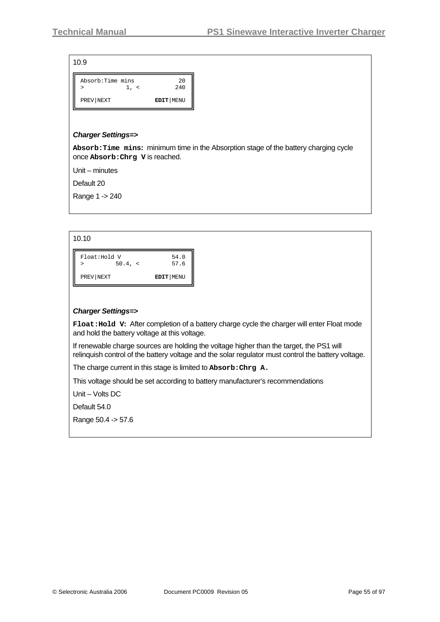| Absorb: Time mins<br>1. < | 20<br>240 |
|---------------------------|-----------|
| PREV NEXT                 | EDIT MENU |

#### *Charger Settings=>*

**Absorb:Time mins:** minimum time in the Absorption stage of the battery charging cycle once **Absorb:Chrg V** is reached.

Unit – minutes

Default 20

Range 1 -> 240

| ۰.<br>×<br>۰. |  |
|---------------|--|
|---------------|--|

| Float: Hold V |             | 54.0<br>57.6 |
|---------------|-------------|--------------|
| PREV NEXT     | $50.4, \le$ | EDIT   MENU  |

#### *Charger Settings=>*

**Float:Hold V:** After completion of a battery charge cycle the charger will enter Float mode and hold the battery voltage at this voltage.

If renewable charge sources are holding the voltage higher than the target, the PS1 will relinquish control of the battery voltage and the solar regulator must control the battery voltage.

The charge current in this stage is limited to **Absorb:Chrg A.**

This voltage should be set according to battery manufacturer's recommendations

Unit – Volts DC

Default 54.0

Range 50.4 -> 57.6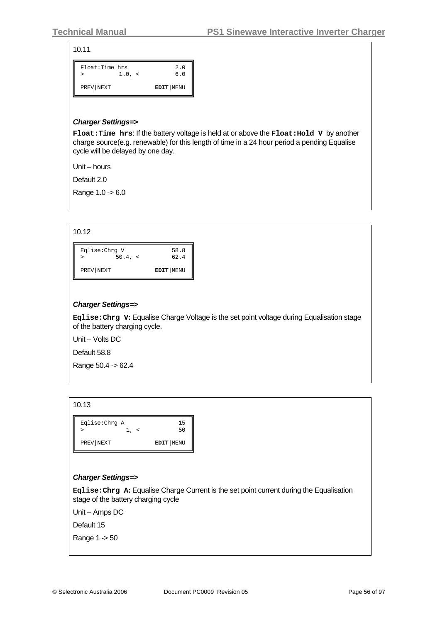| Float:Time hrs<br>1.0, < | 2.0<br>6.0  |
|--------------------------|-------------|
| PREV NEXT                | EDIT   MENU |

#### *Charger Settings=>*

**Float:Time hrs**: If the battery voltage is held at or above the **Float:Hold V** by another charge source(e.g. renewable) for this length of time in a 24 hour period a pending Equalise cycle will be delayed by one day.

Unit – hours

Default 2.0

Range 1.0 -> 6.0

| ×<br>۰. |  |
|---------|--|
|---------|--|

| Eqlise:Chrq V | 50.4, < | 58.8<br>62.4 |
|---------------|---------|--------------|
| PREV NEXT     |         | EDIT   MENU  |

#### *Charger Settings=>*

**Eqlise:Chrg V:** Equalise Charge Voltage is the set point voltage during Equalisation stage of the battery charging cycle.

Unit – Volts DC

Default 58.8

Range 50.4 -> 62.4

#### 10.13

| Eqlise: Chrg A | 15<br>50  |
|----------------|-----------|
| PREV NEXT      | EDIT MENU |

#### *Charger Settings=>*

**Eqlise:Chrg A:** Equalise Charge Current is the set point current during the Equalisation stage of the battery charging cycle

Unit – Amps DC

Default 15

Range 1 -> 50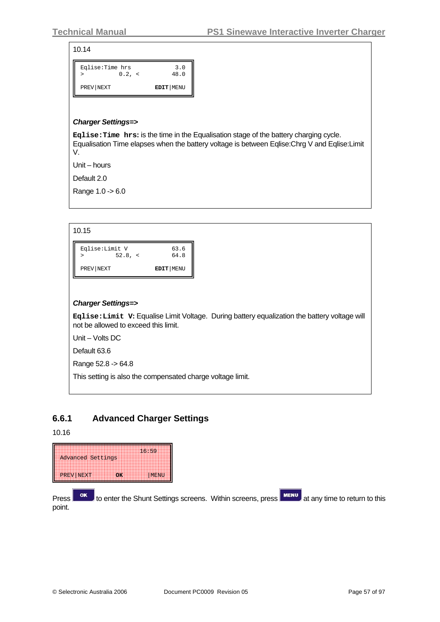| Eqlise:Time hrs | 0.2, < | 3.0<br>48.0 |
|-----------------|--------|-------------|
| PREV NEXT       |        | EDIT   MENU |

#### *Charger Settings=>*

**Eqlise:Time hrs:** is the time in the Equalisation stage of the battery charging cycle. Equalisation Time elapses when the battery voltage is between Eqlise:Chrg V and Eqlise:Limit V.

Unit – hours

Default 2.0

Range 1.0 -> 6.0

| Eqlise:Limit V | 52.8. < | 63.6<br>64.8 |
|----------------|---------|--------------|
| PREV NEXT      |         | EDIT   MENU  |

#### *Charger Settings=>*

**Eqlise:Limit V:** Equalise Limit Voltage. During battery equalization the battery voltage will not be allowed to exceed this limit.

Unit – Volts DC

Default 63.6

Range 52.8 -> 64.8

This setting is also the compensated charge voltage limit.

## **6.6.1 Advanced Charger Settings**

#### 10.16



Press **OK** to enter the Shunt Settings screens. Within screens, press **ALLO HOMO** at any time to return to this point.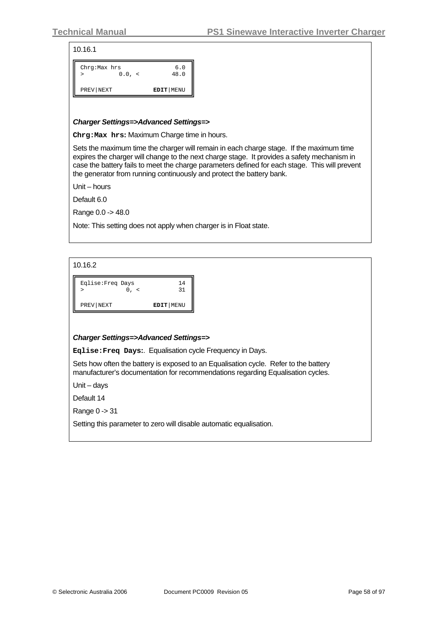10.16.1

| Chrg: Max hrs | $0.0, \le$ | 6.0<br>48.0 |
|---------------|------------|-------------|
| PREV NEXT     |            | EDIT   MENU |

#### *Charger Settings=>Advanced Settings=>*

**Chrg:Max hrs:** Maximum Charge time in hours.

Sets the maximum time the charger will remain in each charge stage. If the maximum time expires the charger will change to the next charge stage. It provides a safety mechanism in case the battery fails to meet the charge parameters defined for each stage. This will prevent the generator from running continuously and protect the battery bank.

Unit – hours

Default 6.0

Range 0.0 -> 48.0

Note: This setting does not apply when charger is in Float state.

10.16.2

| Eqlise: Freq Days | 14<br>31  |
|-------------------|-----------|
| PREV NEXT         | EDIT MENU |

#### *Charger Settings=>Advanced Settings=>*

**Eqlise:Freq Days:**. Equalisation cycle Frequency in Days.

Sets how often the battery is exposed to an Equalisation cycle. Refer to the battery manufacturer's documentation for recommendations regarding Equalisation cycles.

Unit – days

Default 14

Range 0 -> 31

Setting this parameter to zero will disable automatic equalisation.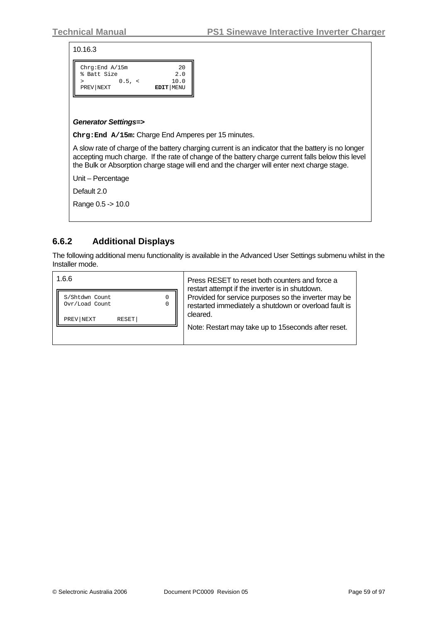#### 10.16.3

| Chrq: End A/15m |        | 20          |
|-----------------|--------|-------------|
| % Batt Size     |        | 2.0         |
|                 | 0.5. < | 10.0        |
| PREV NEXT       |        | EDIT   MENU |
|                 |        |             |

#### *Generator Settings=>*

**Chrg:End A/15m:** Charge End Amperes per 15 minutes.

A slow rate of charge of the battery charging current is an indicator that the battery is no longer accepting much charge. If the rate of change of the battery charge current falls below this level the Bulk or Absorption charge stage will end and the charger will enter next charge stage.

Unit – Percentage

Default 2.0

Range 0.5 -> 10.0

## **6.6.2 Additional Displays**

The following additional menu functionality is available in the Advanced User Settings submenu whilst in the Installer mode.

| 1.6.6                                                                   | Press RESET to reset both counters and force a<br>restart attempt if the inverter is in shutdown.                         |
|-------------------------------------------------------------------------|---------------------------------------------------------------------------------------------------------------------------|
| S/Shtdwn Count<br>0<br>Ovr/Load Count<br>0<br><b>RESET</b><br>PREV NEXT | Provided for service purposes so the inverter may be<br>restarted immediately a shutdown or overload fault is<br>cleared. |
|                                                                         | Note: Restart may take up to 15 seconds after reset.                                                                      |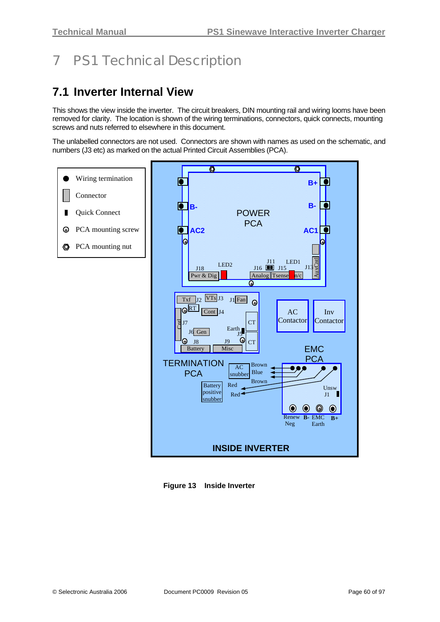# 7 PS1 Technical Description

## **7.1 Inverter Internal View**

This shows the view inside the inverter. The circuit breakers, DIN mounting rail and wiring looms have been removed for clarity. The location is shown of the wiring terminations, connectors, quick connects, mounting screws and nuts referred to elsewhere in this document.

The unlabelled connectors are not used. Connectors are shown with names as used on the schematic, and numbers (J3 etc) as marked on the actual Printed Circuit Assemblies (PCA).



**Figure 13 Inside Inverter**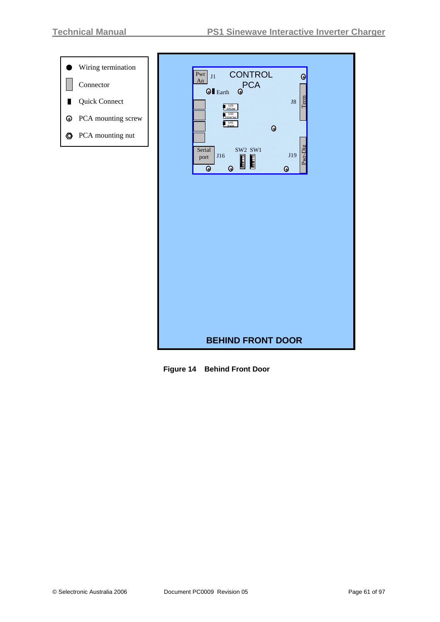

**Figure 14 Behind Front Door**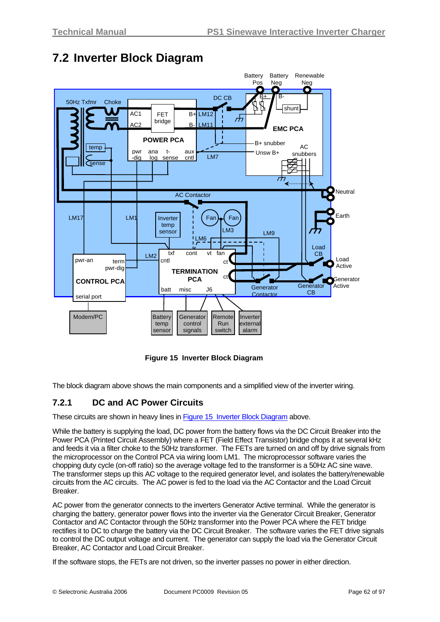

## **7.2 Inverter Block Diagram**

**Figure 15 Inverter Block Diagram** 

The block diagram above shows the main components and a simplified view of the inverter wiring.

## **7.2.1 DC and AC Power Circuits**

These circuits are shown in heavy lines in Figure 15 Inverter Block Diagram above.

While the battery is supplying the load, DC power from the battery flows via the DC Circuit Breaker into the Power PCA (Printed Circuit Assembly) where a FET (Field Effect Transistor) bridge chops it at several kHz and feeds it via a filter choke to the 50Hz transformer. The FETs are turned on and off by drive signals from the microprocessor on the Control PCA via wiring loom LM1. The microprocessor software varies the chopping duty cycle (on-off ratio) so the average voltage fed to the transformer is a 50Hz AC sine wave. The transformer steps up this AC voltage to the required generator level, and isolates the battery/renewable circuits from the AC circuits. The AC power is fed to the load via the AC Contactor and the Load Circuit Breaker.

AC power from the generator connects to the inverters Generator Active terminal. While the generator is charging the battery, generator power flows into the inverter via the Generator Circuit Breaker, Generator Contactor and AC Contactor through the 50Hz transformer into the Power PCA where the FET bridge rectifies it to DC to charge the battery via the DC Circuit Breaker. The software varies the FET drive signals to control the DC output voltage and current. The generator can supply the load via the Generator Circuit Breaker, AC Contactor and Load Circuit Breaker.

If the software stops, the FETs are not driven, so the inverter passes no power in either direction.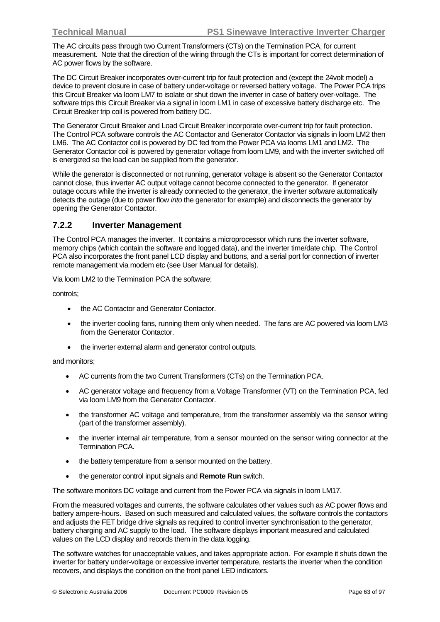The AC circuits pass through two Current Transformers (CTs) on the Termination PCA, for current measurement. Note that the direction of the wiring through the CTs is important for correct determination of AC power flows by the software.

The DC Circuit Breaker incorporates over-current trip for fault protection and (except the 24volt model) a device to prevent closure in case of battery under-voltage or reversed battery voltage. The Power PCA trips this Circuit Breaker via loom LM7 to isolate or shut down the inverter in case of battery over-voltage. The software trips this Circuit Breaker via a signal in loom LM1 in case of excessive battery discharge etc. The Circuit Breaker trip coil is powered from battery DC.

The Generator Circuit Breaker and Load Circuit Breaker incorporate over-current trip for fault protection. The Control PCA software controls the AC Contactor and Generator Contactor via signals in loom LM2 then LM6. The AC Contactor coil is powered by DC fed from the Power PCA via looms LM1 and LM2. The Generator Contactor coil is powered by generator voltage from loom LM9, and with the inverter switched off is energized so the load can be supplied from the generator.

While the generator is disconnected or not running, generator voltage is absent so the Generator Contactor cannot close, thus inverter AC output voltage cannot become connected to the generator. If generator outage occurs while the inverter is already connected to the generator, the inverter software automatically detects the outage (due to power flow *into* the generator for example) and disconnects the generator by opening the Generator Contactor.

### **7.2.2 Inverter Management**

The Control PCA manages the inverter. It contains a microprocessor which runs the inverter software, memory chips (which contain the software and logged data), and the inverter time/date chip. The Control PCA also incorporates the front panel LCD display and buttons, and a serial port for connection of inverter remote management via modem etc (see User Manual for details).

Via loom LM2 to the Termination PCA the software;

controls;

- the AC Contactor and Generator Contactor.
- the inverter cooling fans, running them only when needed. The fans are AC powered via loom LM3 from the Generator Contactor.
- the inverter external alarm and generator control outputs.

and monitors;

- AC currents from the two Current Transformers (CTs) on the Termination PCA.
- AC generator voltage and frequency from a Voltage Transformer (VT) on the Termination PCA, fed via loom LM9 from the Generator Contactor.
- the transformer AC voltage and temperature, from the transformer assembly via the sensor wiring (part of the transformer assembly).
- the inverter internal air temperature, from a sensor mounted on the sensor wiring connector at the Termination PCA.
- the battery temperature from a sensor mounted on the battery.
- the generator control input signals and **Remote Run** switch.

The software monitors DC voltage and current from the Power PCA via signals in loom LM17.

From the measured voltages and currents, the software calculates other values such as AC power flows and battery ampere-hours. Based on such measured and calculated values, the software controls the contactors and adjusts the FET bridge drive signals as required to control inverter synchronisation to the generator, battery charging and AC supply to the load. The software displays important measured and calculated values on the LCD display and records them in the data logging.

The software watches for unacceptable values, and takes appropriate action. For example it shuts down the inverter for battery under-voltage or excessive inverter temperature, restarts the inverter when the condition recovers, and displays the condition on the front panel LED indicators.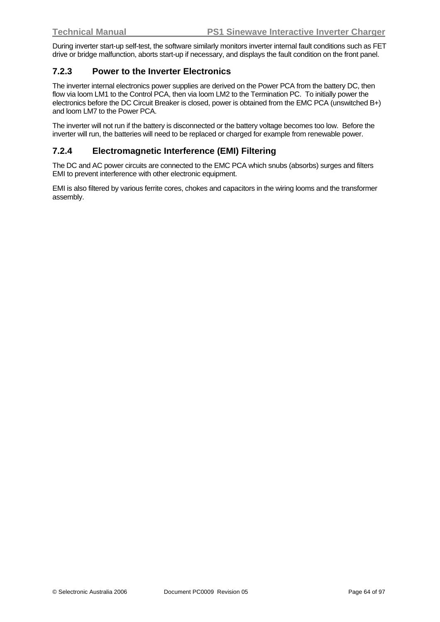During inverter start-up self-test, the software similarly monitors inverter internal fault conditions such as FET drive or bridge malfunction, aborts start-up if necessary, and displays the fault condition on the front panel.

### **7.2.3 Power to the Inverter Electronics**

The inverter internal electronics power supplies are derived on the Power PCA from the battery DC, then flow via loom LM1 to the Control PCA, then via loom LM2 to the Termination PC. To initially power the electronics before the DC Circuit Breaker is closed, power is obtained from the EMC PCA (unswitched B+) and loom LM7 to the Power PCA.

The inverter will not run if the battery is disconnected or the battery voltage becomes too low. Before the inverter will run, the batteries will need to be replaced or charged for example from renewable power.

### **7.2.4 Electromagnetic Interference (EMI) Filtering**

The DC and AC power circuits are connected to the EMC PCA which snubs (absorbs) surges and filters EMI to prevent interference with other electronic equipment.

EMI is also filtered by various ferrite cores, chokes and capacitors in the wiring looms and the transformer assembly.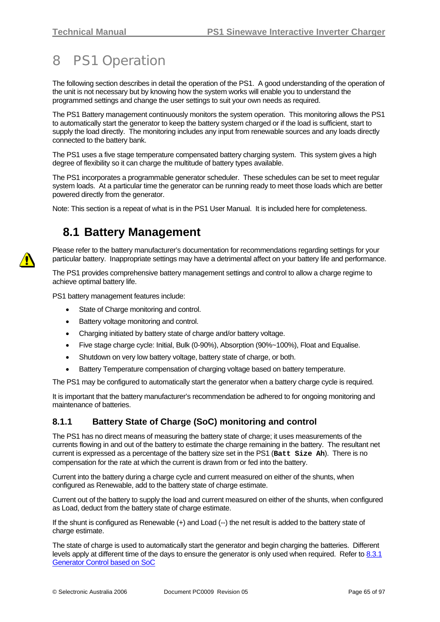# 8 PS1 Operation

The following section describes in detail the operation of the PS1. A good understanding of the operation of the unit is not necessary but by knowing how the system works will enable you to understand the programmed settings and change the user settings to suit your own needs as required.

The PS1 Battery management continuously monitors the system operation. This monitoring allows the PS1 to automatically start the generator to keep the battery system charged or if the load is sufficient, start to supply the load directly. The monitoring includes any input from renewable sources and any loads directly connected to the battery bank.

The PS1 uses a five stage temperature compensated battery charging system. This system gives a high degree of flexibility so it can charge the multitude of battery types available.

The PS1 incorporates a programmable generator scheduler. These schedules can be set to meet regular system loads. At a particular time the generator can be running ready to meet those loads which are better powered directly from the generator.

Note: This section is a repeat of what is in the PS1 User Manual. It is included here for completeness.

## **8.1 Battery Management**

Please refer to the battery manufacturer's documentation for recommendations regarding settings for your particular battery. Inappropriate settings may have a detrimental affect on your battery life and performance.

The PS1 provides comprehensive battery management settings and control to allow a charge regime to achieve optimal battery life.

PS1 battery management features include:

- State of Charge monitoring and control.
- Battery voltage monitoring and control.
- Charging initiated by battery state of charge and/or battery voltage.
- Five stage charge cycle: Initial, Bulk (0-90%), Absorption (90%~100%), Float and Equalise.
- Shutdown on very low battery voltage, battery state of charge, or both.
- Battery Temperature compensation of charging voltage based on battery temperature.

The PS1 may be configured to automatically start the generator when a battery charge cycle is required.

It is important that the battery manufacturer's recommendation be adhered to for ongoing monitoring and maintenance of batteries.

### **8.1.1 Battery State of Charge (SoC) monitoring and control**

The PS1 has no direct means of measuring the battery state of charge; it uses measurements of the currents flowing in and out of the battery to estimate the charge remaining in the battery. The resultant net current is expressed as a percentage of the battery size set in the PS1 (**Batt Size Ah**). There is no compensation for the rate at which the current is drawn from or fed into the battery.

Current into the battery during a charge cycle and current measured on either of the shunts, when configured as Renewable, add to the battery state of charge estimate.

Current out of the battery to supply the load and current measured on either of the shunts, when configured as Load, deduct from the battery state of charge estimate.

If the shunt is configured as Renewable (+) and Load (--) the net result is added to the battery state of charge estimate.

The state of charge is used to automatically start the generator and begin charging the batteries. Different levels apply at different time of the days to ensure the generator is only used when required. Refer to [8.3.1](#page-68-0) [Generator Control based on SoC](#page-68-0)

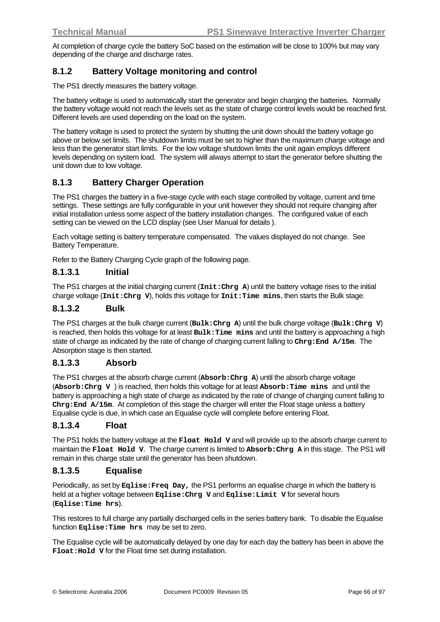At completion of charge cycle the battery SoC based on the estimation will be close to 100% but may vary depending of the charge and discharge rates.

### **8.1.2 Battery Voltage monitoring and control**

The PS1 directly measures the battery voltage.

The battery voltage is used to automatically start the generator and begin charging the batteries. Normally the battery voltage would not reach the levels set as the state of charge control levels would be reached first. Different levels are used depending on the load on the system.

The battery voltage is used to protect the system by shutting the unit down should the battery voltage go above or below set limits. The shutdown limits must be set to higher than the maximum charge voltage and less than the generator start limits. For the low voltage shutdown limits the unit again employs different levels depending on system load. The system will always attempt to start the generator before shutting the unit down due to low voltage.

### **8.1.3 Battery Charger Operation**

The PS1 charges the battery in a five-stage cycle with each stage controlled by voltage, current and time settings. These settings are fully configurable in your unit however they should not require changing after initial installation unless some aspect of the battery installation changes. The configured value of each setting can be viewed on the LCD display (see User Manual for details ).

Each voltage setting is battery temperature compensated. The values displayed do not change. See Battery Temperature.

Refer to the Battery Charging Cycle graph of the following page.

#### **8.1.3.1 Initial**

The PS1 charges at the initial charging current (**Init:Chrg A**) until the battery voltage rises to the initial charge voltage (**Init:Chrg V**), holds this voltage for **Init:Time mins**, then starts the Bulk stage.

#### **8.1.3.2 Bulk**

The PS1 charges at the bulk charge current (**Bulk:Chrg A**) until the bulk charge voltage (**Bulk:Chrg V**) is reached, then holds this voltage for at least **Bulk:Time mins** and until the battery is approaching a high state of charge as indicated by the rate of change of charging current falling to **Chrg:End A/15m**. The Absorption stage is then started.

#### **8.1.3.3 Absorb**

The PS1 charges at the absorb charge current (**Absorb:Chrg A**) until the absorb charge voltage (**Absorb:Chrg V** ) is reached, then holds this voltage for at least **Absorb:Time mins** and until the battery is approaching a high state of charge as indicated by the rate of change of charging current falling to **Chrg:End A/15m**. At completion of this stage the charger will enter the Float stage unless a battery Equalise cycle is due, in which case an Equalise cycle will complete before entering Float.

#### **8.1.3.4 Float**

The PS1 holds the battery voltage at the **Float Hold V** and will provide up to the absorb charge current to maintain the **Float Hold V**. The charge current is limited to **Absorb:Chrg A** in this stage. The PS1 will remain in this charge state until the generator has been shutdown.

#### **8.1.3.5 Equalise**

Periodically, as set by **Eqlise:Freq Day,** the PS1 performs an equalise charge in which the battery is held at a higher voltage between **Eqlise:Chrg V** and **Eqlise:Limit V** for several hours (**Eqlise:Time hrs**).

This restores to full charge any partially discharged cells in the series battery bank. To disable the Equalise function **Eqlise:Time hrs** may be set to zero.

The Equalise cycle will be automatically delayed by one day for each day the battery has been in above the **Float:Hold V** for the Float time set during installation.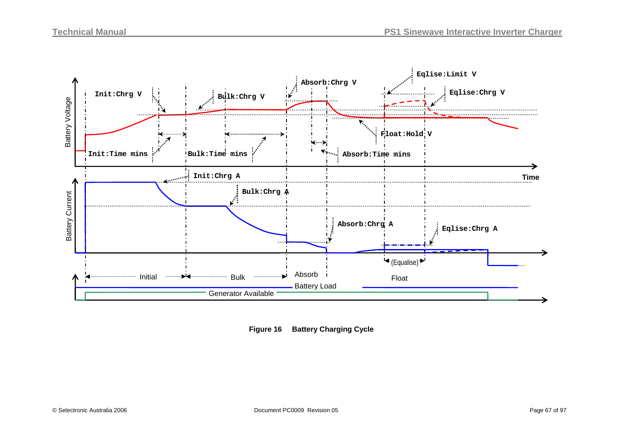

**Figure 16 Battery Charging Cycle**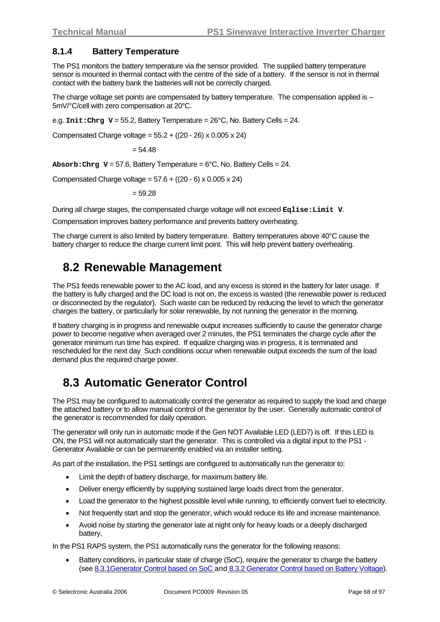### <span id="page-67-0"></span>**8.1.4 Battery Temperature**

The PS1 monitors the battery temperature via the sensor provided. The supplied battery temperature sensor is mounted in thermal contact with the centre of the side of a battery. If the sensor is not in thermal contact with the battery bank the batteries will not be correctly charged.

The charge voltage set points are compensated by battery temperature. The compensation applied is -- 5mV/°C/cell with zero compensation at 20°C.

e.g. **Init:Chrg V** = 55.2, Battery Temperature = 26°C, No. Battery Cells = 24.

Compensated Charge voltage = 55.2 + ((20 - 26) x 0.005 x 24)

 $= 54.48$ 

**Absorb:Chrg V** = 57.6, Battery Temperature = 6°C, No. Battery Cells = 24.

Compensated Charge voltage = 57.6 + ((20 - 6) x 0.005 x 24)

 $= 59.28$ 

During all charge stages, the compensated charge voltage will not exceed **Eqlise:Limit V**.

Compensation improves battery performance and prevents battery overheating.

The charge current is also limited by battery temperature. Battery temperatures above 40°C cause the battery charger to reduce the charge current limit point. This will help prevent battery overheating.

## **8.2 Renewable Management**

The PS1 feeds renewable power to the AC load, and any excess is stored in the battery for later usage. If the battery is fully charged and the DC load is not on, the excess is wasted (the renewable power is reduced or disconnected by the regulator). Such waste can be reduced by reducing the level to which the generator charges the battery, or particularly for solar renewable, by not running the generator in the morning.

If battery charging is in progress and renewable output increases sufficiently to cause the generator charge power to become negative when averaged over 2 minutes, the PS1 terminates the charge cycle after the generator minimum run time has expired. If equalize charging was in progress, it is terminated and rescheduled for the next day Such conditions occur when renewable output exceeds the sum of the load demand plus the required charge power.

## **8.3 Automatic Generator Control**

The PS1 may be configured to automatically control the generator as required to supply the load and charge the attached battery or to allow manual control of the generator by the user. Generally automatic control of the generator is recommended for daily operation.

The generator will only run in automatic mode if the Gen NOT Available LED (LED7) is off. If this LED is ON, the PS1 will not automatically start the generator. This is controlled via a digital input to the PS1 - Generator Available or can be permanently enabled via an installer setting.

As part of the installation, the PS1 settings are configured to automatically run the generator to:

- Limit the depth of battery discharge, for maximum battery life.
- Deliver energy efficiently by supplying sustained large loads direct from the generator.
- Load the generator to the highest possible level while running, to efficiently convert fuel to electricity.
- Not frequently start and stop the generator, which would reduce its life and increase maintenance.
- Avoid noise by starting the generator late at night only for heavy loads or a deeply discharged battery.

In the PS1 RAPS system, the PS1 automatically runs the generator for the following reasons:

Battery conditions, in particular state of charge (SoC), require the generator to charge the battery (see [8.3.1Generator Control based on SoC](#page-68-0) and [8.3.2 Generator Control based on Battery Voltage](#page-71-0)).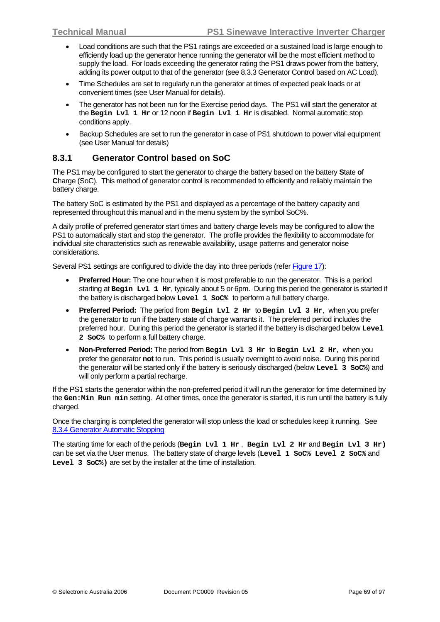- <span id="page-68-0"></span>• Load conditions are such that the PS1 ratings are exceeded or a sustained load is large enough to efficiently load up the generator hence running the generator will be the most efficient method to supply the load. For loads exceeding the generator rating the PS1 draws power from the battery, adding its power output to that of the generator (see [8.3.3 Generator Control based on AC Load\)](#page-71-0).
- Time Schedules are set to regularly run the generator at times of expected peak loads or at convenient times (see User Manual for details).
- The generator has not been run for the Exercise period days. The PS1 will start the generator at the **Begin Lvl 1 Hr** or 12 noon if **Begin Lvl 1 Hr** is disabled. Normal automatic stop conditions apply.
- Backup Schedules are set to run the generator in case of PS1 shutdown to power vital equipment (see User Manual for details)

### **8.3.1 Generator Control based on SoC**

The PS1 may be configured to start the generator to charge the battery based on the battery **S**tate **o**f **C**harge (SoC). This method of generator control is recommended to efficiently and reliably maintain the battery charge.

The battery SoC is estimated by the PS1 and displayed as a percentage of the battery capacity and represented throughout this manual and in the menu system by the symbol SoC%.

A daily profile of preferred generator start times and battery charge levels may be configured to allow the PS1 to automatically start and stop the generator. The profile provides the flexibility to accommodate for individual site characteristics such as renewable availability, usage patterns and generator noise considerations.

Several PS1 settings are configured to divide the day into three periods (refer Figure 17):

- **Preferred Hour:** The one hour when it is most preferable to run the generator. This is a period starting at **Begin Lvl 1 Hr**, typically about 5 or 6pm. During this period the generator is started if the battery is discharged below **Level 1 SoC%** to perform a full battery charge.
- **Preferred Period:** The period from **Begin Lvl 2 Hr** to **Begin Lvl 3 Hr**, when you prefer the generator to run if the battery state of charge warrants it. The preferred period includes the preferred hour. During this period the generator is started if the battery is discharged below **Level 2 SoC%** to perform a full battery charge.
- **Non-Preferred Period:** The period from **Begin Lvl 3 Hr** to **Begin Lvl 2 Hr**, when you prefer the generator **not** to run. This period is usually overnight to avoid noise. During this period the generator will be started only if the battery is seriously discharged (below **Level 3 SoC%**) and will only perform a partial recharge.

If the PS1 starts the generator within the non-preferred period it will run the generator for time determined by the **Gen:Min Run min** setting. At other times, once the generator is started, it is run until the battery is fully charged.

Once the charging is completed the generator will stop unless the load or schedules keep it running. See [8.3.4 Generator Automatic Stopping](#page-72-0)

The starting time for each of the periods (**Begin Lvl 1 Hr** , **Begin Lvl 2 Hr** and **Begin Lvl 3 Hr)** can be set via the User menus. The battery state of charge levels (**Level 1 SoC% Level 2 SoC%** and **Level 3 SoC%)** are set by the installer at the time of installation.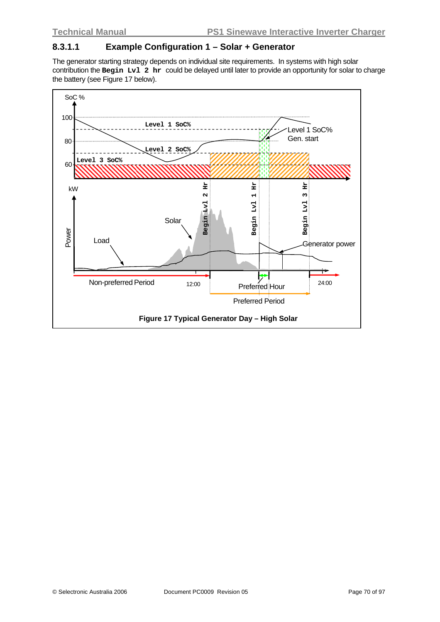## **8.3.1.1 Example Configuration 1 – Solar + Generator**

The generator starting strategy depends on individual site requirements. In systems with high solar contribution the **Begin Lvl 2 hr** could be delayed until later to provide an opportunity for solar to charge the battery (see Figure 17 below).

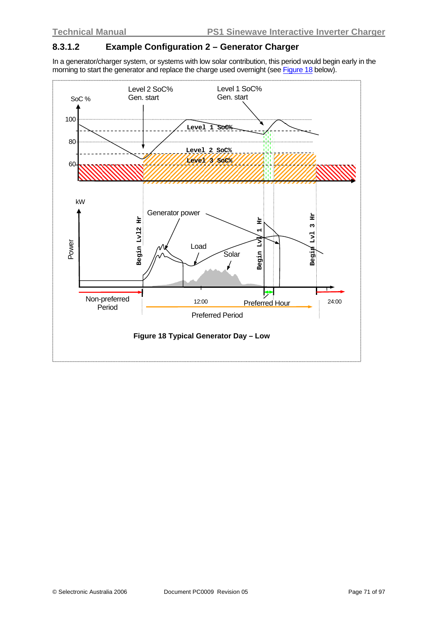### **8.3.1.2 Example Configuration 2 – Generator Charger**

In a generator/charger system, or systems with low solar contribution, this period would begin early in the morning to start the generator and replace the charge used overnight (see Figure 18 below).

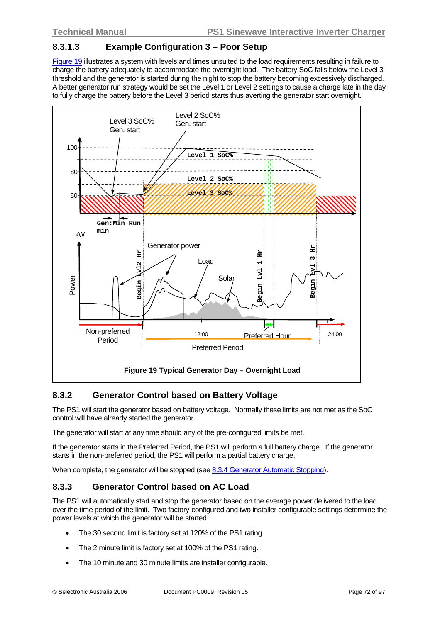## <span id="page-71-0"></span>**8.3.1.3 Example Configuration 3 – Poor Setup**

Figure 19 illustrates a system with levels and times unsuited to the load requirements resulting in failure to charge the battery adequately to accommodate the overnight load. The battery SoC falls below the Level 3 threshold and the generator is started during the night to stop the battery becoming excessively discharged. A better generator run strategy would be set the Level 1 or Level 2 settings to cause a charge late in the day to fully charge the battery before the Level 3 period starts thus averting the generator start overnight.



## **8.3.2 Generator Control based on Battery Voltage**

The PS1 will start the generator based on battery voltage. Normally these limits are not met as the SoC control will have already started the generator.

The generator will start at any time should any of the pre-configured limits be met.

If the generator starts in the Preferred Period, the PS1 will perform a full battery charge. If the generator starts in the non-preferred period, the PS1 will perform a partial battery charge.

When complete, the generator will be stopped (see [8.3.4 Generator Automatic Stopping\)](#page-72-0).

## **8.3.3 Generator Control based on AC Load**

The PS1 will automatically start and stop the generator based on the average power delivered to the load over the time period of the limit. Two factory-configured and two installer configurable settings determine the power levels at which the generator will be started.

- The 30 second limit is factory set at 120% of the PS1 rating.
- The 2 minute limit is factory set at 100% of the PS1 rating.
- The 10 minute and 30 minute limits are installer configurable.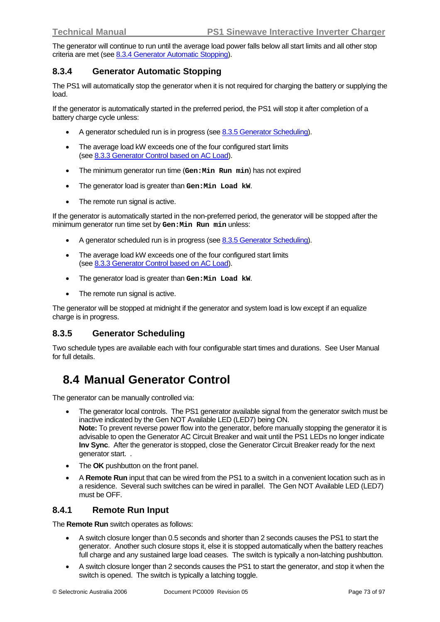<span id="page-72-0"></span>The generator will continue to run until the average load power falls below all start limits and all other stop criteria are met (see [8.3.4](#page-72-0) [Generator Automatic Stopping](#page-72-0)).

#### **8.3.4 Generator Automatic Stopping**

The PS1 will automatically stop the generator when it is not required for charging the battery or supplying the load.

If the generator is automatically started in the preferred period, the PS1 will stop it after completion of a battery charge cycle unless:

- A generator scheduled run is in progress (see [8.3.5 Generator Scheduling](#page-72-0)).
- The average load kW exceeds one of the four configured start limits (see [8.3.3 Generator Control based on AC Load\)](#page-71-0).
- The minimum generator run time (**Gen:Min Run min**) has not expired
- The generator load is greater than **Gen:Min Load kW**.
- The remote run signal is active.

If the generator is automatically started in the non-preferred period, the generator will be stopped after the minimum generator run time set by **Gen:Min Run min** unless:

- A generator scheduled run is in progress (see [8.3.5 Generator Scheduling](#page-72-0)).
- The average load kW exceeds one of the four configured start limits (see [8.3.3 Generator Control based on AC Load\)](#page-71-0).
- The generator load is greater than **Gen:Min Load kW**.
- The remote run signal is active.

The generator will be stopped at midnight if the generator and system load is low except if an equalize charge is in progress.

#### **8.3.5 Generator Scheduling**

Two schedule types are available each with four configurable start times and durations. See User Manual for full details.

## **8.4 Manual Generator Control**

The generator can be manually controlled via:

- The generator local controls. The PS1 generator available signal from the generator switch must be inactive indicated by the Gen NOT Available LED (LED7) being ON. **Note:** To prevent reverse power flow into the generator, before manually stopping the generator it is advisable to open the Generator AC Circuit Breaker and wait until the PS1 LEDs no longer indicate **Inv Sync**. After the generator is stopped, close the Generator Circuit Breaker ready for the next generator start. .
- The **OK** pushbutton on the front panel.
- A **Remote Run** input that can be wired from the PS1 to a switch in a convenient location such as in a residence. Several such switches can be wired in parallel. The Gen NOT Available LED (LED7) must be OFF.

#### **8.4.1 Remote Run Input**

The **Remote Run** switch operates as follows:

- A switch closure longer than 0.5 seconds and shorter than 2 seconds causes the PS1 to start the generator. Another such closure stops it, else it is stopped automatically when the battery reaches full charge and any sustained large load ceases. The switch is typically a non-latching pushbutton.
- A switch closure longer than 2 seconds causes the PS1 to start the generator, and stop it when the switch is opened. The switch is typically a latching toggle.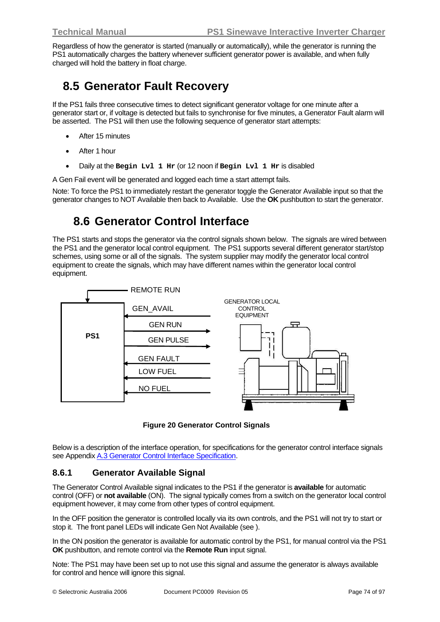<span id="page-73-0"></span>Regardless of how the generator is started (manually or automatically), while the generator is running the PS1 automatically charges the battery whenever sufficient generator power is available, and when fully charged will hold the battery in float charge.

### **8.5 Generator Fault Recovery**

If the PS1 fails three consecutive times to detect significant generator voltage for one minute after a generator start or, if voltage is detected but fails to synchronise for five minutes, a Generator Fault alarm will be asserted. The PS1 will then use the following sequence of generator start attempts:

- After 15 minutes
- After 1 hour
- Daily at the **Begin Lvl 1 Hr** (or 12 noon if **Begin Lvl 1 Hr** is disabled

A Gen Fail event will be generated and logged each time a start attempt fails.

Note: To force the PS1 to immediately restart the generator toggle the Generator Available input so that the generator changes to NOT Available then back to Available. Use the **OK** pushbutton to start the generator.

### **8.6 Generator Control Interface**

The PS1 starts and stops the generator via the control signals shown below. The signals are wired between the PS1 and the generator local control equipment. The PS1 supports several different generator start/stop schemes, using some or all of the signals. The system supplier may modify the generator local control equipment to create the signals, which may have different names within the generator local control equipment.



**Figure 20 Generator Control Signals** 

Below is a description of the interface operation, for specifications for the generator control interface signals see Appendix [A.3 Generator Control Interface Specification.](#page-84-0)

#### **8.6.1 Generator Available Signal**

The Generator Control Available signal indicates to the PS1 if the generator is **available** for automatic control (OFF) or **not available** (ON). The signal typically comes from a switch on the generator local control equipment however, it may come from other types of control equipment.

In the OFF position the generator is controlled locally via its own controls, and the PS1 will not try to start or stop it. The front panel LEDs will indicate Gen Not Available (see ).

In the ON position the generator is available for automatic control by the PS1, for manual control via the PS1 **OK** pushbutton, and remote control via the **Remote Run** input signal.

Note: The PS1 may have been set up to not use this signal and assume the generator is always available for control and hence will ignore this signal.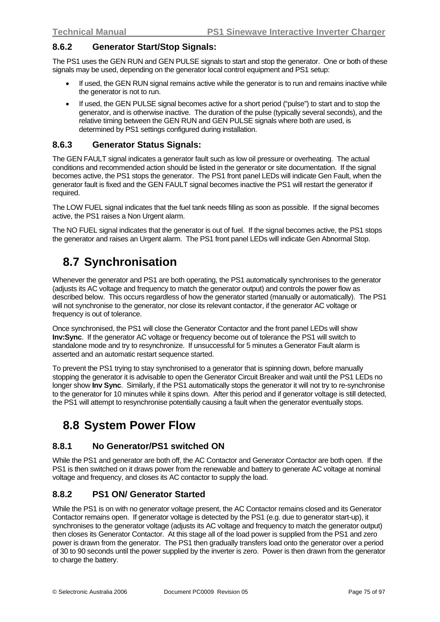#### **8.6.2 Generator Start/Stop Signals:**

The PS1 uses the GEN RUN and GEN PULSE signals to start and stop the generator. One or both of these signals may be used, depending on the generator local control equipment and PS1 setup:

- If used, the GEN RUN signal remains active while the generator is to run and remains inactive while the generator is not to run.
- If used, the GEN PULSE signal becomes active for a short period ("pulse") to start and to stop the generator, and is otherwise inactive. The duration of the pulse (typically several seconds), and the relative timing between the GEN RUN and GEN PULSE signals where both are used, is determined by PS1 settings configured during installation.

#### **8.6.3 Generator Status Signals:**

The GEN FAULT signal indicates a generator fault such as low oil pressure or overheating. The actual conditions and recommended action should be listed in the generator or site documentation. If the signal becomes active, the PS1 stops the generator. The PS1 front panel LEDs will indicate Gen Fault, when the generator fault is fixed and the GEN FAULT signal becomes inactive the PS1 will restart the generator if required.

The LOW FUEL signal indicates that the fuel tank needs filling as soon as possible. If the signal becomes active, the PS1 raises a Non Urgent alarm.

The NO FUEL signal indicates that the generator is out of fuel. If the signal becomes active, the PS1 stops the generator and raises an Urgent alarm. The PS1 front panel LEDs will indicate Gen Abnormal Stop.

### **8.7 Synchronisation**

Whenever the generator and PS1 are both operating, the PS1 automatically synchronises to the generator (adjusts its AC voltage and frequency to match the generator output) and controls the power flow as described below. This occurs regardless of how the generator started (manually or automatically). The PS1 will not synchronise to the generator, nor close its relevant contactor, if the generator AC voltage or frequency is out of tolerance.

Once synchronised, the PS1 will close the Generator Contactor and the front panel LEDs will show **Inv:Sync**. If the generator AC voltage or frequency become out of tolerance the PS1 will switch to standalone mode and try to resynchronize. If unsuccessful for 5 minutes a Generator Fault alarm is asserted and an automatic restart sequence started.

To prevent the PS1 trying to stay synchronised to a generator that is spinning down, before manually stopping the generator it is advisable to open the Generator Circuit Breaker and wait until the PS1 LEDs no longer show **Inv Sync**. Similarly, if the PS1 automatically stops the generator it will not try to re-synchronise to the generator for 10 minutes while it spins down. After this period and if generator voltage is still detected, the PS1 will attempt to resynchronise potentially causing a fault when the generator eventually stops.

#### **8.8 System Power Flow**

#### **8.8.1 No Generator/PS1 switched ON**

While the PS1 and generator are both off, the AC Contactor and Generator Contactor are both open. If the PS1 is then switched on it draws power from the renewable and battery to generate AC voltage at nominal voltage and frequency, and closes its AC contactor to supply the load.

#### **8.8.2 PS1 ON/ Generator Started**

While the PS1 is on with no generator voltage present, the AC Contactor remains closed and its Generator Contactor remains open. If generator voltage is detected by the PS1 (e.g. due to generator start-up), it synchronises to the generator voltage (adjusts its AC voltage and frequency to match the generator output) then closes its Generator Contactor. At this stage all of the load power is supplied from the PS1 and zero power is drawn from the generator. The PS1 then gradually transfers load onto the generator over a period of 30 to 90 seconds until the power supplied by the inverter is zero. Power is then drawn from the generator to charge the battery.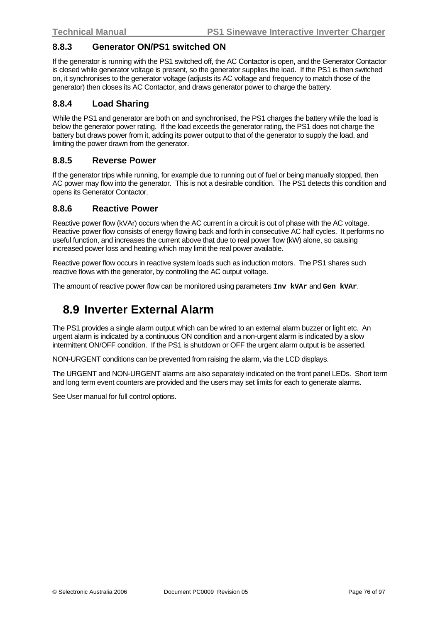#### **8.8.3 Generator ON/PS1 switched ON**

If the generator is running with the PS1 switched off, the AC Contactor is open, and the Generator Contactor is closed while generator voltage is present, so the generator supplies the load. If the PS1 is then switched on, it synchronises to the generator voltage (adjusts its AC voltage and frequency to match those of the generator) then closes its AC Contactor, and draws generator power to charge the battery.

#### **8.8.4 Load Sharing**

While the PS1 and generator are both on and synchronised, the PS1 charges the battery while the load is below the generator power rating. If the load exceeds the generator rating, the PS1 does not charge the battery but draws power from it, adding its power output to that of the generator to supply the load, and limiting the power drawn from the generator.

#### **8.8.5 Reverse Power**

If the generator trips while running, for example due to running out of fuel or being manually stopped, then AC power may flow into the generator. This is not a desirable condition. The PS1 detects this condition and opens its Generator Contactor.

#### **8.8.6 Reactive Power**

Reactive power flow (kVAr) occurs when the AC current in a circuit is out of phase with the AC voltage. Reactive power flow consists of energy flowing back and forth in consecutive AC half cycles. It performs no useful function, and increases the current above that due to real power flow (kW) alone, so causing increased power loss and heating which may limit the real power available.

Reactive power flow occurs in reactive system loads such as induction motors. The PS1 shares such reactive flows with the generator, by controlling the AC output voltage.

The amount of reactive power flow can be monitored using parameters **Inv kVAr** and **Gen kVAr**.

### **8.9 Inverter External Alarm**

The PS1 provides a single alarm output which can be wired to an external alarm buzzer or light etc. An urgent alarm is indicated by a continuous ON condition and a non-urgent alarm is indicated by a slow intermittent ON/OFF condition. If the PS1 is shutdown or OFF the urgent alarm output is be asserted.

NON-URGENT conditions can be prevented from raising the alarm, via the LCD displays.

The URGENT and NON-URGENT alarms are also separately indicated on the front panel LEDs. Short term and long term event counters are provided and the users may set limits for each to generate alarms.

See User manual for full control options.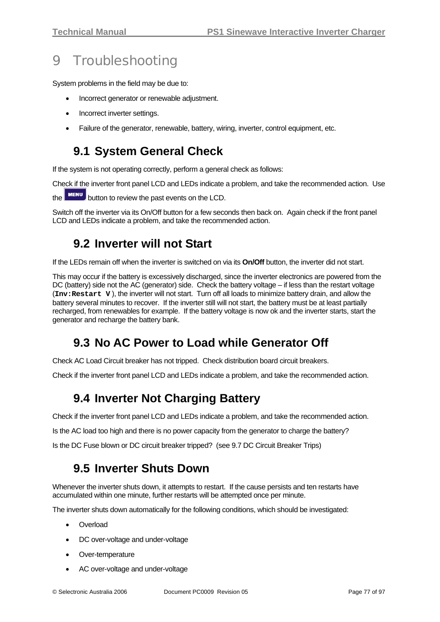## <span id="page-76-0"></span>9 Troubleshooting

System problems in the field may be due to:

- Incorrect generator or renewable adjustment.
- Incorrect inverter settings.
- Failure of the generator, renewable, battery, wiring, inverter, control equipment, etc.

### **9.1 System General Check**

If the system is not operating correctly, perform a general check as follows:

Check if the inverter front panel LCD and LEDs indicate a problem, and take the recommended action. Use

the **MENU** button to review the past events on the LCD.

Switch off the inverter via its On/Off button for a few seconds then back on. Again check if the front panel LCD and LEDs indicate a problem, and take the recommended action.

### **9.2 Inverter will not Start**

If the LEDs remain off when the inverter is switched on via its **On/Off** button, the inverter did not start.

This may occur if the battery is excessively discharged, since the inverter electronics are powered from the DC (battery) side not the AC (generator) side. Check the battery voltage – if less than the restart voltage (**Inv:Restart V** ), the inverter will not start. Turn off all loads to minimize battery drain, and allow the battery several minutes to recover. If the inverter still will not start, the battery must be at least partially recharged, from renewables for example. If the battery voltage is now ok and the inverter starts, start the generator and recharge the battery bank.

## **9.3 No AC Power to Load while Generator Off**

Check AC Load Circuit breaker has not tripped. Check distribution board circuit breakers.

Check if the inverter front panel LCD and LEDs indicate a problem, and take the recommended action.

### **9.4 Inverter Not Charging Battery**

Check if the inverter front panel LCD and LEDs indicate a problem, and take the recommended action.

Is the AC load too high and there is no power capacity from the generator to charge the battery?

Is the DC Fuse blown or DC circuit breaker tripped? (see [9.7 DC Circuit Breaker Trips](#page-77-0))

#### **9.5 Inverter Shuts Down**

Whenever the inverter shuts down, it attempts to restart. If the cause persists and ten restarts have accumulated within one minute, further restarts will be attempted once per minute.

The inverter shuts down automatically for the following conditions, which should be investigated:

- **Overload**
- DC over-voltage and under-voltage
- Over-temperature
- AC over-voltage and under-voltage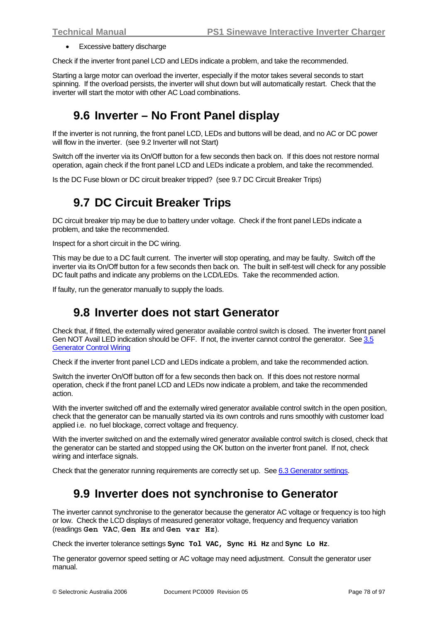• Excessive battery discharge

<span id="page-77-0"></span>Check if the inverter front panel LCD and LEDs indicate a problem, and take the recommended.

Starting a large motor can overload the inverter, especially if the motor takes several seconds to start spinning. If the overload persists, the inverter will shut down but will automatically restart. Check that the inverter will start the motor with other AC Load combinations.

#### **9.6 Inverter – No Front Panel display**

If the inverter is not running, the front panel LCD, LEDs and buttons will be dead, and no AC or DC power will flow in the inverter. (see [9.2 Inverter will not Start](#page-76-0))

Switch off the inverter via its On/Off button for a few seconds then back on. If this does not restore normal operation, again check if the front panel LCD and LEDs indicate a problem, and take the recommended.

Is the DC Fuse blown or DC circuit breaker tripped? (see [9.7 DC Circuit Breaker Trips](#page-77-0))

### **9.7 DC Circuit Breaker Trips**

DC circuit breaker trip may be due to battery under voltage. Check if the front panel LEDs indicate a problem, and take the recommended.

Inspect for a short circuit in the DC wiring.

This may be due to a DC fault current. The inverter will stop operating, and may be faulty. Switch off the inverter via its On/Off button for a few seconds then back on. The built in self-test will check for any possible DC fault paths and indicate any problems on the LCD/LEDs. Take the recommended action.

If faulty, run the generator manually to supply the loads.

#### **9.8 Inverter does not start Generator**

Check that, if fitted, the externally wired generator available control switch is closed. The inverter front panel Gen NOT Avail LED indication should be OFF. If not, the inverter cannot control the generator. See [3.5](#page-13-0) [Generator Control Wiring](#page-13-0)

Check if the inverter front panel LCD and LEDs indicate a problem, and take the recommended action.

Switch the inverter On/Off button off for a few seconds then back on. If this does not restore normal operation, check if the front panel LCD and LEDs now indicate a problem, and take the recommended action.

With the inverter switched off and the externally wired generator available control switch in the open position, check that the generator can be manually started via its own controls and runs smoothly with customer load applied i.e. no fuel blockage, correct voltage and frequency.

With the inverter switched on and the externally wired generator available control switch is closed, check that the generator can be started and stopped using the OK button on the inverter front panel. If not, check wiring and interface signals.

Check that the generator running requirements are correctly set up. See [6.3 Generator settings](#page-36-0).

#### **9.9 Inverter does not synchronise to Generator**

The inverter cannot synchronise to the generator because the generator AC voltage or frequency is too high or low. Check the LCD displays of measured generator voltage, frequency and frequency variation (readings **Gen VAC**, **Gen Hz** and **Gen var Hz**).

Check the inverter tolerance settings **Sync Tol VAC, Sync Hi Hz** and **Sync Lo Hz**.

The generator governor speed setting or AC voltage may need adjustment. Consult the generator user manual.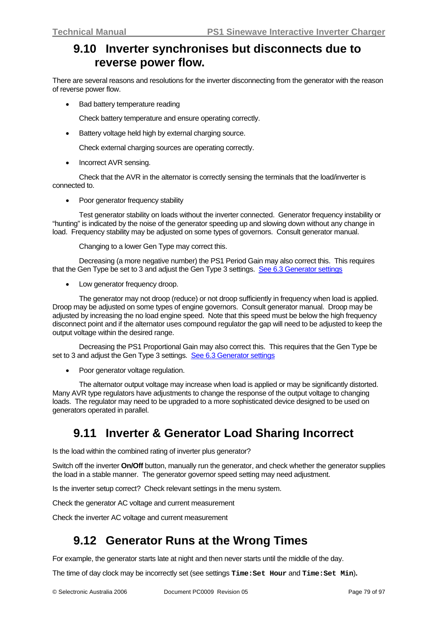### **9.10 Inverter synchronises but disconnects due to reverse power flow.**

There are several reasons and resolutions for the inverter disconnecting from the generator with the reason of reverse power flow.

• Bad battery temperature reading

Check battery temperature and ensure operating correctly.

Battery voltage held high by external charging source.

Check external charging sources are operating correctly.

• Incorrect AVR sensing.

 Check that the AVR in the alternator is correctly sensing the terminals that the load/inverter is connected to.

Poor generator frequency stability

 Test generator stability on loads without the inverter connected. Generator frequency instability or "hunting" is indicated by the noise of the generator speeding up and slowing down without any change in load. Frequency stability may be adjusted on some types of governors. Consult generator manual.

Changing to a lower Gen Type may correct this.

 Decreasing (a more negative number) the PS1 Period Gain may also correct this. This requires that the Gen Type be set to 3 and adjust the Gen Type 3 settings. See [6.3 Generator settings](#page-36-0)

Low generator frequency droop.

 The generator may not droop (reduce) or not droop sufficiently in frequency when load is applied. Droop may be adjusted on some types of engine governors. Consult generator manual. Droop may be adjusted by increasing the no load engine speed. Note that this speed must be below the high frequency disconnect point and if the alternator uses compound regulator the gap will need to be adjusted to keep the output voltage within the desired range.

 Decreasing the PS1 Proportional Gain may also correct this. This requires that the Gen Type be set to 3 and adjust the Gen Type 3 settings. See [6.3 Generator settings](#page-36-0)

• Poor generator voltage regulation.

 The alternator output voltage may increase when load is applied or may be significantly distorted. Many AVR type regulators have adjustments to change the response of the output voltage to changing loads. The regulator may need to be upgraded to a more sophisticated device designed to be used on generators operated in parallel.

## **9.11 Inverter & Generator Load Sharing Incorrect**

Is the load within the combined rating of inverter plus generator?

Switch off the inverter **On/Off** button, manually run the generator, and check whether the generator supplies the load in a stable manner. The generator governor speed setting may need adjustment.

Is the inverter setup correct? Check relevant settings in the menu system.

Check the generator AC voltage and current measurement

Check the inverter AC voltage and current measurement

## **9.12 Generator Runs at the Wrong Times**

For example, the generator starts late at night and then never starts until the middle of the day.

The time of day clock may be incorrectly set (see settings **Time:Set Hour** and **Time:Set Min**)**.**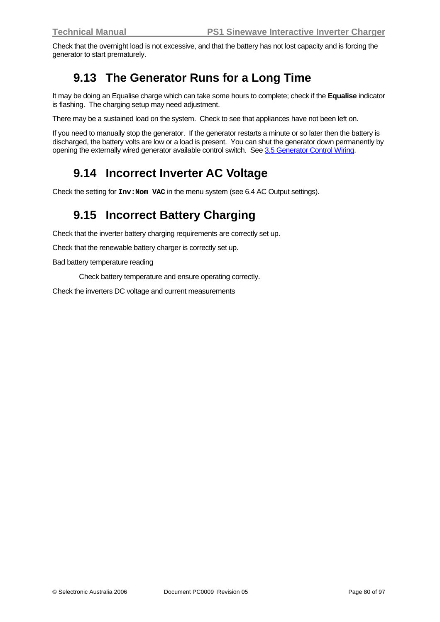Check that the overnight load is not excessive, and that the battery has not lost capacity and is forcing the generator to start prematurely.

### **9.13 The Generator Runs for a Long Time**

It may be doing an Equalise charge which can take some hours to complete; check if the **Equalise** indicator is flashing. The charging setup may need adjustment.

There may be a sustained load on the system. Check to see that appliances have not been left on.

If you need to manually stop the generator. If the generator restarts a minute or so later then the battery is discharged, the battery volts are low or a load is present. You can shut the generator down permanently by opening the externally wired generator available control switch. See [3.5 Generator Control Wiring.](#page-13-0)

### **9.14 Incorrect Inverter AC Voltage**

Check the setting for **Inv:Nom VAC** in the menu system (see [6.4 AC Output settings](#page-45-0)).

## **9.15 Incorrect Battery Charging**

Check that the inverter battery charging requirements are correctly set up.

Check that the renewable battery charger is correctly set up.

Bad battery temperature reading

Check battery temperature and ensure operating correctly.

Check the inverters DC voltage and current measurements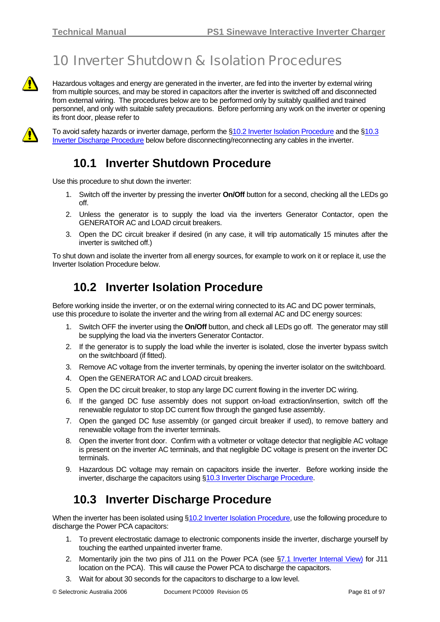## <span id="page-80-0"></span>10 Inverter Shutdown & Isolation Procedures



Hazardous voltages and energy are generated in the inverter, are fed into the inverter by external wiring from multiple sources, and may be stored in capacitors after the inverter is switched off and disconnected from external wiring. The procedures below are to be performed only by suitably qualified and trained personnel, and only with suitable safety precautions. Before performing any work on the inverter or opening its front door, please refer to

To avoid safety hazards or inverter damage, perform the §[10.2](#page-80-0) [Inverter Isolation Procedure](#page-80-0) and the [§10.3](#page-80-0) [Inverter Discharge Procedure](#page-80-0) below before disconnecting/reconnecting any cables in the inverter.

## **10.1 Inverter Shutdown Procedure**

Use this procedure to shut down the inverter:

- 1. Switch off the inverter by pressing the inverter **On/Off** button for a second, checking all the LEDs go off.
- 2. Unless the generator is to supply the load via the inverters Generator Contactor, open the GENERATOR AC and LOAD circuit breakers.
- 3. Open the DC circuit breaker if desired (in any case, it will trip automatically 15 minutes after the inverter is switched off.)

To shut down and isolate the inverter from all energy sources, for example to work on it or replace it, use the Inverter Isolation Procedure below.

## **10.2 Inverter Isolation Procedure**

Before working inside the inverter, or on the external wiring connected to its AC and DC power terminals, use this procedure to isolate the inverter and the wiring from all external AC and DC energy sources:

- 1. Switch OFF the inverter using the **On/Off** button, and check all LEDs go off. The generator may still be supplying the load via the inverters Generator Contactor.
- 2. If the generator is to supply the load while the inverter is isolated, close the inverter bypass switch on the switchboard (if fitted).
- 3. Remove AC voltage from the inverter terminals, by opening the inverter isolator on the switchboard.
- 4. Open the GENERATOR AC and LOAD circuit breakers.
- 5. Open the DC circuit breaker, to stop any large DC current flowing in the inverter DC wiring.
- 6. If the ganged DC fuse assembly does not support on-load extraction/insertion, switch off the renewable regulator to stop DC current flow through the ganged fuse assembly.
- 7. Open the ganged DC fuse assembly (or ganged circuit breaker if used), to remove battery and renewable voltage from the inverter terminals.
- 8. Open the inverter front door. Confirm with a voltmeter or voltage detector that negligible AC voltage is present on the inverter AC terminals, and that negligible DC voltage is present on the inverter DC terminals.
- 9. Hazardous DC voltage may remain on capacitors inside the inverter. Before working inside the inverter, discharge the capacitors using [§10.3 Inverter Discharge Procedure](#page-80-0).

## **10.3 Inverter Discharge Procedure**

When the inverter has been isolated using [§10.2 Inverter Isolation Procedure](#page-80-0), use the following procedure to discharge the Power PCA capacitors:

- 1. To prevent electrostatic damage to electronic components inside the inverter, discharge yourself by touching the earthed unpainted inverter frame.
- 2. Momentarily join the two pins of J11 on the Power PCA (see [§7.1 Inverter Internal View\)](#page-59-0) for J11 location on the PCA). This will cause the Power PCA to discharge the capacitors.
- 3. Wait for about 30 seconds for the capacitors to discharge to a low level.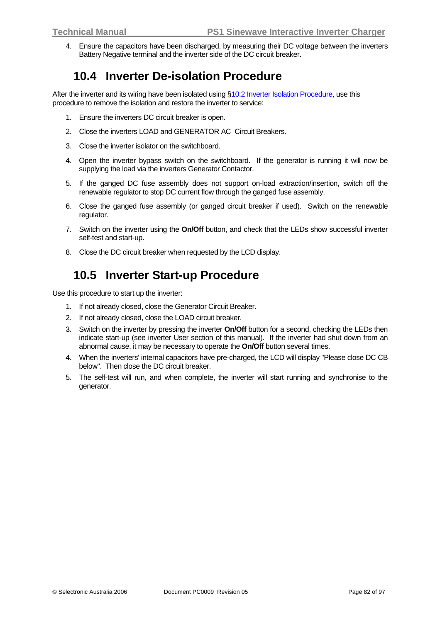4. Ensure the capacitors have been discharged, by measuring their DC voltage between the inverters Battery Negative terminal and the inverter side of the DC circuit breaker.

## **10.4 Inverter De-isolation Procedure**

After the inverter and its wiring have been isolated using §[10.2 Inverter Isolation Procedure,](#page-80-0) use this procedure to remove the isolation and restore the inverter to service:

- 1. Ensure the inverters DC circuit breaker is open.
- 2. Close the inverters LOAD and GENERATOR AC Circuit Breakers.
- 3. Close the inverter isolator on the switchboard.
- 4. Open the inverter bypass switch on the switchboard. If the generator is running it will now be supplying the load via the inverters Generator Contactor.
- 5. If the ganged DC fuse assembly does not support on-load extraction/insertion, switch off the renewable regulator to stop DC current flow through the ganged fuse assembly.
- 6. Close the ganged fuse assembly (or ganged circuit breaker if used). Switch on the renewable regulator.
- 7. Switch on the inverter using the **On/Off** button, and check that the LEDs show successful inverter self-test and start-up.
- 8. Close the DC circuit breaker when requested by the LCD display.

## **10.5 Inverter Start-up Procedure**

Use this procedure to start up the inverter:

- 1. If not already closed, close the Generator Circuit Breaker.
- 2. If not already closed, close the LOAD circuit breaker.
- 3. Switch on the inverter by pressing the inverter **On/Off** button for a second, checking the LEDs then indicate start-up (see inverter User section of this manual). If the inverter had shut down from an abnormal cause, it may be necessary to operate the **On/Off** button several times.
- 4. When the inverters' internal capacitors have pre-charged, the LCD will display "Please close DC CB below". Then close the DC circuit breaker.
- 5. The self-test will run, and when complete, the inverter will start running and synchronise to the generator.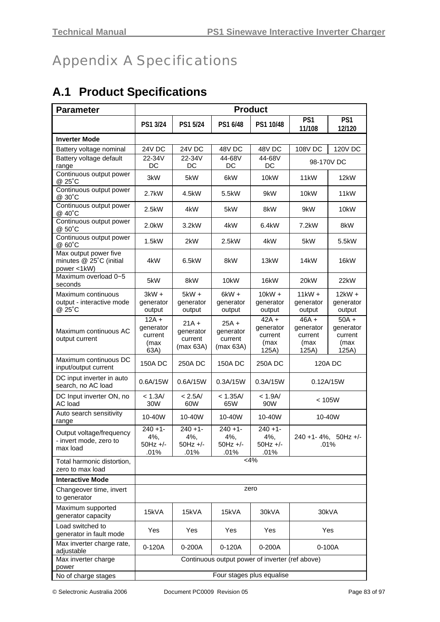# Appendix A Specifications

# **A.1 Product Specifications**

| <b>Parameter</b>                                                |                                                 | <b>Product</b>                               |                                              |                                                  |                                                  |                                                  |
|-----------------------------------------------------------------|-------------------------------------------------|----------------------------------------------|----------------------------------------------|--------------------------------------------------|--------------------------------------------------|--------------------------------------------------|
|                                                                 | PS1 3/24                                        | PS1 5/24                                     | PS1 6/48                                     | PS1 10/48                                        | PS1<br>11/108                                    | PS1<br>12/120                                    |
| <b>Inverter Mode</b>                                            |                                                 |                                              |                                              |                                                  |                                                  |                                                  |
| Battery voltage nominal                                         | <b>24V DC</b>                                   | 24V DC                                       | 48V DC                                       | 48V DC                                           | <b>108V DC</b>                                   | <b>120V DC</b>                                   |
| Battery voltage default<br>range                                | 22-34V<br>DC                                    | 22-34V<br>DC                                 | 44-68V<br>DC                                 | 44-68V<br>DC                                     | 98-170V DC                                       |                                                  |
| Continuous output power<br>@ 25°C                               | 3kW                                             | 5kW                                          | 6kW                                          | 10kW                                             | 11kW                                             | 12kW                                             |
| Continuous output power<br>@ 30°C                               | 2.7kW                                           | 4.5kW                                        | 5.5kW                                        | 9kW                                              | 10kW                                             | 11kW                                             |
| Continuous output power<br>@ 40°C                               | 2.5kW                                           | 4kW                                          | 5kW                                          | 8kW                                              | 9kW                                              | 10kW                                             |
| Continuous output power<br>@ 50°C                               | 2.0kW                                           | 3.2kW                                        | 4kW                                          | 6.4kW                                            | $7.2$ kW                                         | 8kW                                              |
| Continuous output power<br>@ 60°C                               | 1.5kW                                           | 2kW                                          | 2.5kW                                        | 4kW                                              | 5kW                                              | 5.5kW                                            |
| Max output power five<br>minutes @ 25°C (initial<br>power <1kW) | 4kW                                             | 6.5kW                                        | 8kW                                          | 13kW                                             | 14kW                                             | 16kW                                             |
| Maximum overload 0~5<br>seconds                                 | 5kW                                             | 8kW                                          | 10kW                                         | 16kW                                             | 20 <sub>k</sub> W                                | 22kW                                             |
| Maximum continuous<br>output - interactive mode<br>@ 25°C       | $3kW +$<br>generator<br>output                  | $5kW +$<br>generator<br>output               | $6kW +$<br>generator<br>output               | $10kW +$<br>generator<br>output                  | $11kW +$<br>generator<br>output                  | $12kW +$<br>generator<br>output                  |
| Maximum continuous AC<br>output current                         | $12A +$<br>generator<br>current<br>(max<br>63A) | $21A +$<br>generator<br>current<br>(max 63A) | $25A +$<br>generator<br>current<br>(max 63A) | $42A +$<br>generator<br>current<br>(max<br>125A) | $46A +$<br>generator<br>current<br>(max<br>125A) | $50A +$<br>generator<br>current<br>(max<br>125A) |
| Maximum continuous DC<br>input/output current                   | <b>150A DC</b>                                  | 250A DC                                      | <b>150A DC</b>                               | 250A DC                                          |                                                  | 120A DC                                          |
| DC input inverter in auto<br>search, no AC load                 | 0.6A/15W                                        | 0.6A/15W                                     | 0.3A/15W                                     | 0.3A/15W                                         |                                                  | 0.12A/15W                                        |
| DC Input inverter ON, no<br>AC load                             | < 1.3A/<br>30W                                  | < 2.5A/<br>60W                               | < 1.35A/<br>65W                              | < 1.9A/<br>90W                                   |                                                  | < 105W                                           |
| Auto search sensitivity<br>range                                | 10-40W                                          | 10-40W                                       | 10-40W                                       | 10-40W                                           |                                                  | 10-40W                                           |
| Output voltage/frequency<br>- invert mode, zero to<br>max load  | $240 + 1$<br>4%,<br>$50Hz +/-$<br>.01%          | $240 + 1$<br>4%,<br>$50Hz +/-$<br>.01%       | $240 + 1$ -<br>4%,<br>$50Hz +/-$<br>.01%     | $240 + 1$<br>4%,<br>$50Hz +/-$<br>.01%           |                                                  | 240 +1-4%, 50Hz +/-<br>.01%                      |
| Total harmonic distortion,<br>zero to max load                  |                                                 |                                              |                                              | <4%                                              |                                                  |                                                  |
| <b>Interactive Mode</b>                                         |                                                 |                                              |                                              |                                                  |                                                  |                                                  |
| Changeover time, invert<br>to generator                         |                                                 |                                              |                                              | zero                                             |                                                  |                                                  |
| Maximum supported<br>generator capacity                         | 15kVA                                           | 15kVA                                        | 15kVA                                        | 30kVA                                            |                                                  | 30kVA                                            |
| Load switched to<br>generator in fault mode                     | Yes                                             | Yes                                          | Yes                                          | Yes                                              |                                                  | Yes                                              |
| Max inverter charge rate,<br>adjustable                         | $0-120A$                                        | 0-200A                                       | $0-120A$                                     | 0-200A                                           |                                                  | 0-100A                                           |
| Max inverter charge<br>power                                    |                                                 |                                              |                                              | Continuous output power of inverter (ref above)  |                                                  |                                                  |
| No of charge stages                                             |                                                 |                                              |                                              | Four stages plus equalise                        |                                                  |                                                  |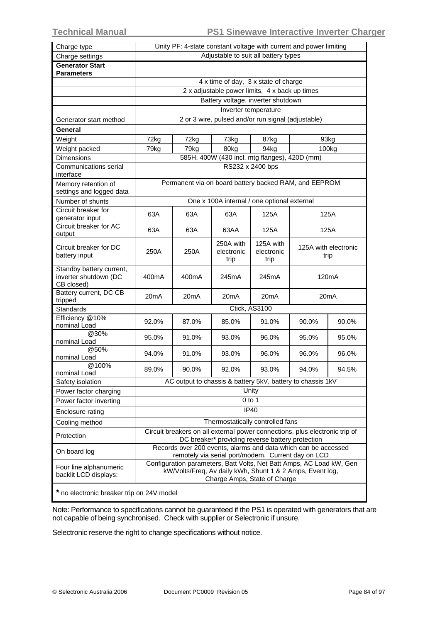| Charge type                                                     |                                                                                                                                                                                                                         |       |                                 | Unity PF: 4-state constant voltage with current and power limiting                                                              |                              |                   |
|-----------------------------------------------------------------|-------------------------------------------------------------------------------------------------------------------------------------------------------------------------------------------------------------------------|-------|---------------------------------|---------------------------------------------------------------------------------------------------------------------------------|------------------------------|-------------------|
| Charge settings                                                 | Adjustable to suit all battery types                                                                                                                                                                                    |       |                                 |                                                                                                                                 |                              |                   |
| <b>Generator Start</b><br><b>Parameters</b>                     |                                                                                                                                                                                                                         |       |                                 |                                                                                                                                 |                              |                   |
|                                                                 | 4 x time of day, 3 x state of charge                                                                                                                                                                                    |       |                                 |                                                                                                                                 |                              |                   |
|                                                                 |                                                                                                                                                                                                                         |       |                                 | 2 x adjustable power limits, 4 x back up times                                                                                  |                              |                   |
|                                                                 |                                                                                                                                                                                                                         |       |                                 | Battery voltage, inverter shutdown                                                                                              |                              |                   |
|                                                                 |                                                                                                                                                                                                                         |       |                                 | Inverter temperature                                                                                                            |                              |                   |
| Generator start method                                          |                                                                                                                                                                                                                         |       |                                 | 2 or 3 wire, pulsed and/or run signal (adjustable)                                                                              |                              |                   |
| General                                                         |                                                                                                                                                                                                                         |       |                                 |                                                                                                                                 |                              |                   |
| Weight                                                          | 72kg                                                                                                                                                                                                                    | 72kg  | 73kg                            | 87kg                                                                                                                            | 93kg                         |                   |
| Weight packed                                                   | 79kg                                                                                                                                                                                                                    | 79kg  | 80kg                            | 94kg                                                                                                                            |                              | 100 <sub>kg</sub> |
| <b>Dimensions</b>                                               |                                                                                                                                                                                                                         |       |                                 | 585H, 400W (430 incl. mtg flanges), 420D (mm)                                                                                   |                              |                   |
| Communications serial<br>interface                              |                                                                                                                                                                                                                         |       |                                 | RS232 x 2400 bps                                                                                                                |                              |                   |
| Memory retention of<br>settings and logged data                 |                                                                                                                                                                                                                         |       |                                 | Permanent via on board battery backed RAM, and EEPROM                                                                           |                              |                   |
| Number of shunts                                                |                                                                                                                                                                                                                         |       |                                 | One x 100A internal / one optional external                                                                                     |                              |                   |
| Circuit breaker for<br>generator input                          | 63A                                                                                                                                                                                                                     | 63A   | 63A                             | 125A                                                                                                                            |                              | 125A              |
| Circuit breaker for AC<br>output                                | 63A                                                                                                                                                                                                                     | 63A   | 63AA                            | 125A                                                                                                                            |                              | 125A              |
| Circuit breaker for DC<br>battery input                         | 250A                                                                                                                                                                                                                    | 250A  | 250A with<br>electronic<br>trip | 125A with<br>electronic<br>trip                                                                                                 | 125A with electronic<br>trip |                   |
| Standby battery current,<br>inverter shutdown (DC<br>CB closed) | 400 <sub>m</sub> A                                                                                                                                                                                                      | 400mA | 245mA                           | 245mA                                                                                                                           | 120 <sub>m</sub> A           |                   |
| Battery current, DC CB<br>tripped                               | 20mA                                                                                                                                                                                                                    | 20mA  | 20 <sub>m</sub> A               | 20 <sub>m</sub> A                                                                                                               | 20 <sub>m</sub> A            |                   |
| <b>Standards</b>                                                |                                                                                                                                                                                                                         |       |                                 | Ctick, AS3100                                                                                                                   |                              |                   |
| Efficiency @10%<br>nominal Load                                 | 92.0%                                                                                                                                                                                                                   | 87.0% | 85.0%                           | 91.0%                                                                                                                           | 90.0%                        | 90.0%             |
| @30%<br>nominal Load                                            | 95.0%                                                                                                                                                                                                                   | 91.0% | 93.0%                           | 96.0%                                                                                                                           | 95.0%                        | 95.0%             |
| @50%<br>nominal Load                                            | 94.0%                                                                                                                                                                                                                   | 91.0% | 93.0%                           | 96.0%                                                                                                                           | 96.0%                        | 96.0%             |
| @100%<br>nominal Load                                           | 89.0%                                                                                                                                                                                                                   | 90.0% | 92.0%                           | 93.0%                                                                                                                           | 94.0%                        | 94.5%             |
| Safety isolation                                                |                                                                                                                                                                                                                         |       |                                 | AC output to chassis & battery 5kV, battery to chassis 1kV                                                                      |                              |                   |
| Power factor charging                                           |                                                                                                                                                                                                                         |       |                                 | Unity                                                                                                                           |                              |                   |
| Power factor inverting                                          |                                                                                                                                                                                                                         |       | $0$ to 1                        |                                                                                                                                 |                              |                   |
| Enclosure rating                                                |                                                                                                                                                                                                                         |       |                                 | <b>IP40</b>                                                                                                                     |                              |                   |
| Cooling method                                                  |                                                                                                                                                                                                                         |       |                                 | Thermostatically controlled fans                                                                                                |                              |                   |
| Protection                                                      |                                                                                                                                                                                                                         |       |                                 | Circuit breakers on all external power connections, plus electronic trip of<br>DC breaker* providing reverse battery protection |                              |                   |
| On board log                                                    |                                                                                                                                                                                                                         |       |                                 | Records over 200 events, alarms and data which can be accessed                                                                  |                              |                   |
| Four line alphanumeric<br>backlit LCD displays:                 | remotely via serial port/modem. Current day on LCD<br>Configuration parameters, Batt Volts, Net Batt Amps, AC Load kW, Gen<br>kW/Volts/Freq, Av daily kWh, Shunt 1 & 2 Amps, Event log,<br>Charge Amps, State of Charge |       |                                 |                                                                                                                                 |                              |                   |
| * no electronic breaker trip on 24V model                       |                                                                                                                                                                                                                         |       |                                 |                                                                                                                                 |                              |                   |

Note: Performance to specifications cannot be guaranteed if the PS1 is operated with generators that are not capable of being synchronised. Check with supplier or Selectronic if unsure.

Selectronic reserve the right to change specifications without notice.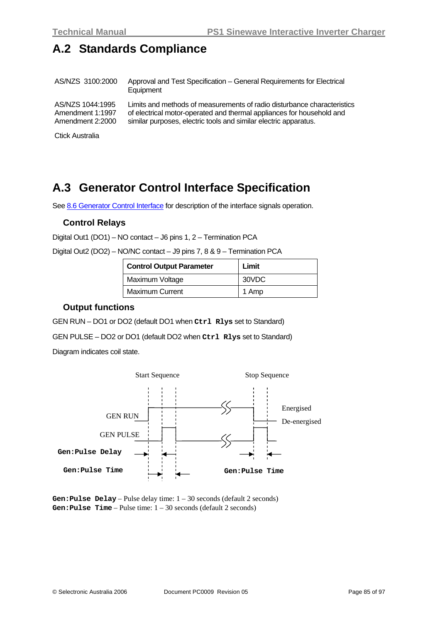## <span id="page-84-0"></span>**A.2 Standards Compliance**

AS/NZS 3100:2000 Approval and Test Specification – General Requirements for Electrical Equipment AS/NZS 1044:1995 Amendment 1:1997 Amendment 2:2000 Limits and methods of measurements of radio disturbance characteristics of electrical motor-operated and thermal appliances for household and similar purposes, electric tools and similar electric apparatus.

Ctick Australia

## **A.3 Generator Control Interface Specification**

See [8.6 Generator Control Interface](#page-73-0) for description of the interface signals operation.

#### **Control Relays**

Digital Out1 (DO1) – NO contact – J6 pins 1, 2 – Termination PCA

|  | Digital Out2 (DO2) – NO/NC contact – J9 pins 7, 8 & 9 – Termination PCA |  |  |
|--|-------------------------------------------------------------------------|--|--|
|  |                                                                         |  |  |

| <b>Control Output Parameter</b> | Limit |
|---------------------------------|-------|
| Maximum Voltage                 | 30VDC |
| <b>Maximum Current</b>          | 1 Amp |

#### **Output functions**

GEN RUN – DO1 or DO2 (default DO1 when **Ctrl Rlys** set to Standard)

GEN PULSE – DO2 or DO1 (default DO2 when **Ctrl Rlys** set to Standard)

Diagram indicates coil state.



**Gen:Pulse Delay** – Pulse delay time: 1 – 30 seconds (default 2 seconds) **Gen:Pulse Time** – Pulse time: 1 – 30 seconds (default 2 seconds)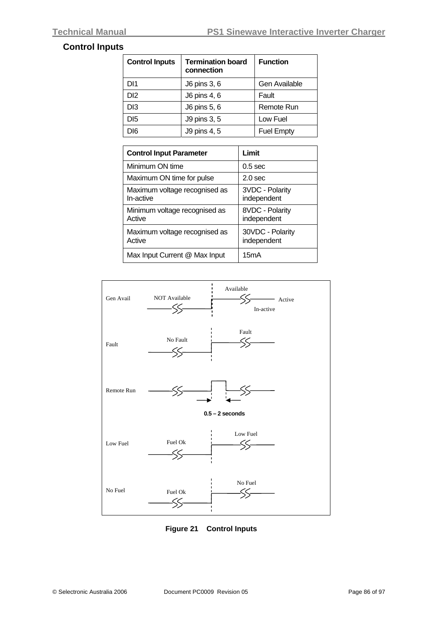#### **Control Inputs**

| <b>Control Inputs</b> | <b>Termination board</b><br>connection | <b>Function</b>      |
|-----------------------|----------------------------------------|----------------------|
| DI1                   | J6 pins 3, 6                           | <b>Gen Available</b> |
| DI <sub>2</sub>       | J6 pins 4, 6                           | Fault                |
| D <sub>13</sub>       | J6 pins 5, 6                           | Remote Run           |
| D <sub>15</sub>       | J9 pins 3, 5                           | Low Fuel             |
| DI <sub>6</sub>       | J9 pins 4, 5                           | <b>Fuel Empty</b>    |

| <b>Control Input Parameter</b>             | Limit                           |
|--------------------------------------------|---------------------------------|
| Minimum ON time                            | $0.5$ sec                       |
| Maximum ON time for pulse                  | 2.0 <sub>sec</sub>              |
| Maximum voltage recognised as<br>In-active | 3VDC - Polarity<br>independent  |
| Minimum voltage recognised as<br>Active    | 8VDC - Polarity<br>independent  |
| Maximum voltage recognised as<br>Active    | 30VDC - Polarity<br>independent |
| Max Input Current @ Max Input              | 15 <sub>mA</sub>                |



**Figure 21 Control Inputs**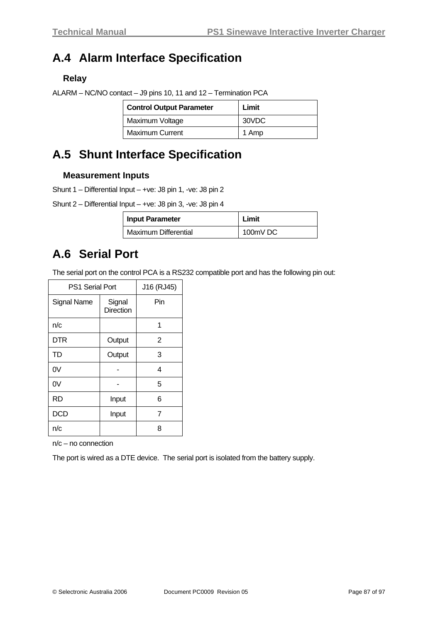## **A.4 Alarm Interface Specification**

#### **Relay**

ALARM – NC/NO contact – J9 pins 10, 11 and 12 – Termination PCA

| <b>Control Output Parameter</b> | Limit |
|---------------------------------|-------|
| Maximum Voltage                 | 30VDC |
| <b>Maximum Current</b>          | 1 Amp |

## **A.5 Shunt Interface Specification**

#### **Measurement Inputs**

Shunt 1 – Differential Input – +ve: J8 pin 1, -ve: J8 pin 2

Shunt 2 – Differential Input – +ve: J8 pin 3, -ve: J8 pin 4

| <b>Input Parameter</b> | Limit    |
|------------------------|----------|
| Maximum Differential   | 100mV DC |

### **A.6 Serial Port**

The serial port on the control PCA is a RS232 compatible port and has the following pin out:

| PS1 Serial Port    | J16 (RJ45)                 |                |
|--------------------|----------------------------|----------------|
| <b>Signal Name</b> | Signal<br><b>Direction</b> | Pin            |
| n/c                |                            | 1              |
| DTR                | Output                     | $\overline{2}$ |
| TD                 | Output                     | 3              |
| 0V                 |                            | 4              |
| 0V                 |                            | 5              |
| RD                 | Input                      | 6              |
| <b>DCD</b>         | Input                      | 7              |
| n/c                |                            | 8              |

n/c – no connection

The port is wired as a DTE device. The serial port is isolated from the battery supply.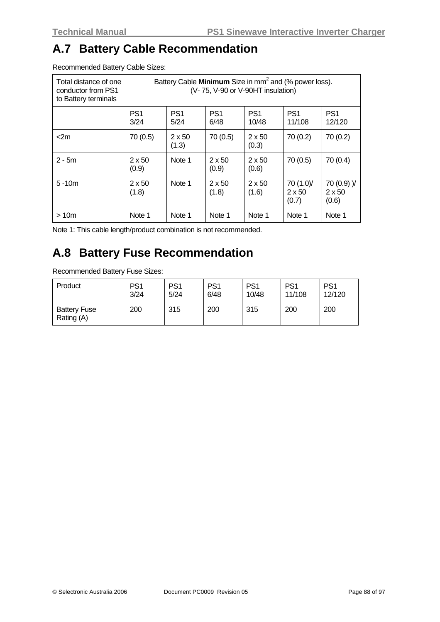## **A.7 Battery Cable Recommendation**

Recommended Battery Cable Sizes:

| Total distance of one<br>conductor from PS1<br>to Battery terminals | Battery Cable Minimum Size in mm <sup>2</sup> and (% power loss).<br>(V-75, V-90 or V-90HT insulation) |                         |                         |                          |                                     |                                        |
|---------------------------------------------------------------------|--------------------------------------------------------------------------------------------------------|-------------------------|-------------------------|--------------------------|-------------------------------------|----------------------------------------|
|                                                                     | PS <sub>1</sub><br>3/24                                                                                | PS <sub>1</sub><br>5/24 | PS <sub>1</sub><br>6/48 | PS <sub>1</sub><br>10/48 | PS <sub>1</sub><br>11/108           | PS <sub>1</sub><br>12/120              |
| <2m                                                                 | 70(0.5)                                                                                                | $2 \times 50$<br>(1.3)  | 70(0.5)                 | $2 \times 50$<br>(0.3)   | 70(0.2)                             | 70 (0.2)                               |
| $2 - 5m$                                                            | $2 \times 50$<br>(0.9)                                                                                 | Note 1                  | $2 \times 50$<br>(0.9)  | $2 \times 50$<br>(0.6)   | 70(0.5)                             | 70 (0.4)                               |
| $5 - 10m$                                                           | $2 \times 50$<br>(1.8)                                                                                 | Note 1                  | $2 \times 50$<br>(1.8)  | $2 \times 50$<br>(1.6)   | 70 (1.0)/<br>$2 \times 50$<br>(0.7) | $70(0.9)$ )/<br>$2 \times 50$<br>(0.6) |
| >10m                                                                | Note 1                                                                                                 | Note 1                  | Note 1                  | Note 1                   | Note 1                              | Note 1                                 |

Note 1: This cable length/product combination is not recommended.

## **A.8 Battery Fuse Recommendation**

Recommended Battery Fuse Sizes:

| Product                           | PS <sub>1</sub> | PS <sub>1</sub> | PS <sub>1</sub> | PS <sub>1</sub> | PS <sub>1</sub> | PS <sub>1</sub> |
|-----------------------------------|-----------------|-----------------|-----------------|-----------------|-----------------|-----------------|
|                                   | 3/24            | 5/24            | 6/48            | 10/48           | 11/108          | 12/120          |
| <b>Battery Fuse</b><br>Rating (A) | 200             | 315             | 200             | 315             | 200             | 200             |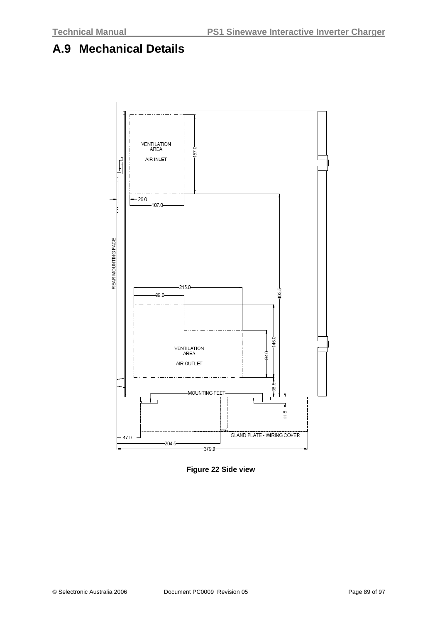## **A.9 Mechanical Details**



**Figure 22 Side view**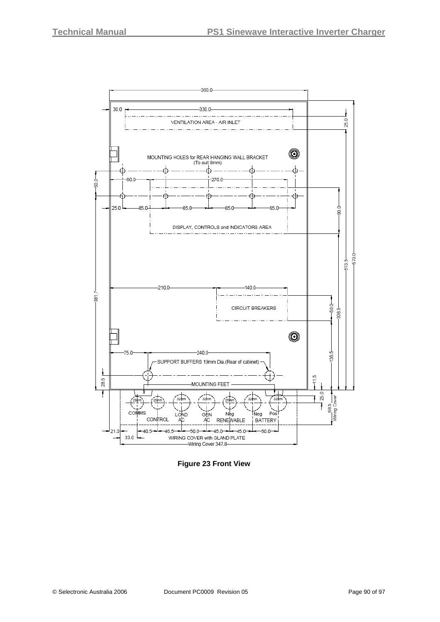

**Figure 23 Front View**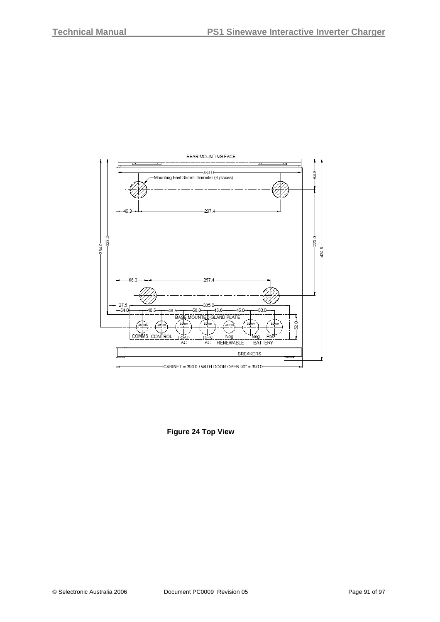

**Figure 24 Top View**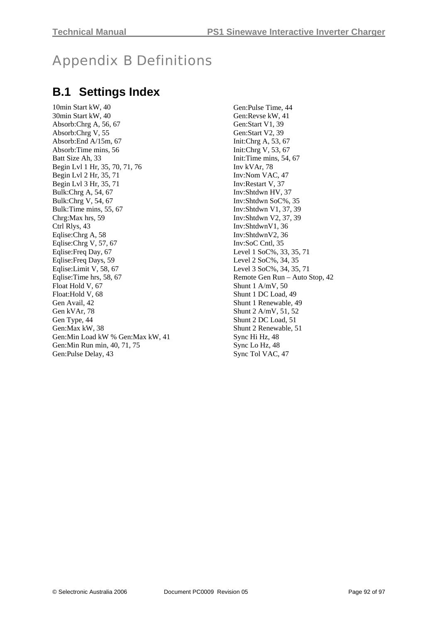# Appendix B Definitions

## **B.1 Settings Index**

10min Start kW, 40 30min Start kW, 40 Absorb:Chrg A, 56, 67 Absorb:Chrg V, 55 Absorb:End A/15m, 67 Absorb:Time mins, 56 Batt Size Ah, 33 Begin Lvl 1 Hr, 35, 70, 71, 76 Begin Lvl 2 Hr, 35, 71 Begin Lvl 3 Hr, 35, 71 Bulk:Chrg A, 54, 67 Bulk:Chrg V, 54, 67 Bulk:Time mins, 55, 67 Chrg:Max hrs, 59 Ctrl Rlys, 43 Eqlise:Chrg A, 58 Eqlise:Chrg V, 57, 67 Eqlise:Freq Day, 67 Eqlise:Freq Days, 59 Eqlise:Limit V, 58, 67 Eqlise:Time hrs, 58, 67 Float Hold V, 67 Float:Hold V, 68 Gen Avail, 42 Gen kVAr, 78 Gen Type, 44 Gen:Max kW, 38 Gen:Min Load kW % Gen:Max kW, 41 Gen:Min Run min, 40, 71, 75 Gen:Pulse Delay, 43

Gen:Pulse Time, 44 Gen:Revse kW, 41 Gen:Start V1, 39 Gen:Start V2, 39 Init:Chrg A, 53, 67 Init:Chrg V, 53, 67 Init:Time mins, 54, 67 Inv kVAr, 78 Inv:Nom VAC, 47 Inv:Restart V, 37 Inv:Shtdwn HV, 37 Inv:Shtdwn SoC%, 35 Inv:Shtdwn V1, 37, 39 Inv:Shtdwn V2, 37, 39 Inv:ShtdwnV1, 36 Inv:ShtdwnV2, 36 Inv:SoC Cntl, 35 Level 1 SoC%, 33, 35, 71 Level 2 SoC%, 34, 35 Level 3 SoC%, 34, 35, 71 Remote Gen Run – Auto Stop, 42 Shunt 1 A/mV, 50 Shunt 1 DC Load, 49 Shunt 1 Renewable, 49 Shunt 2 A/mV, 51, 52 Shunt 2 DC Load, 51 Shunt 2 Renewable, 51 Sync Hi Hz, 48 Sync Lo Hz, 48 Sync Tol VAC, 47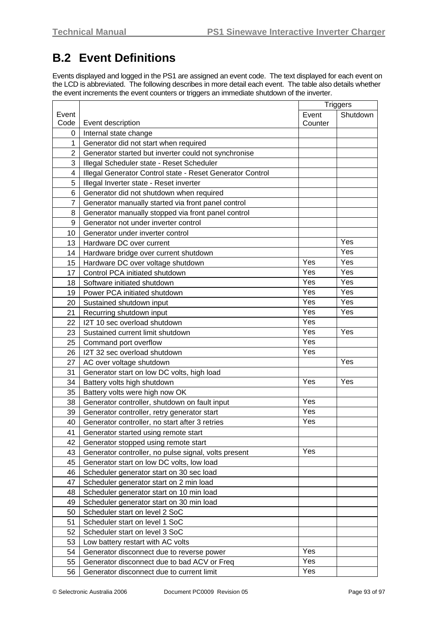## **B.2 Event Definitions**

Events displayed and logged in the PS1 are assigned an event code. The text displayed for each event on the LCD is abbreviated. The following describes in more detail each event. The table also details whether the event increments the event counters or triggers an immediate shutdown of the inverter.

|                |                                                           |                   | <b>Triggers</b> |
|----------------|-----------------------------------------------------------|-------------------|-----------------|
| Event          |                                                           | Event             | Shutdown        |
| Code           | Event description                                         | Counter           |                 |
| 0              | Internal state change                                     |                   |                 |
| 1              | Generator did not start when required                     |                   |                 |
| $\overline{2}$ | Generator started but inverter could not synchronise      |                   |                 |
| 3              | Illegal Scheduler state - Reset Scheduler                 |                   |                 |
| 4              | Illegal Generator Control state - Reset Generator Control |                   |                 |
| 5              | Illegal Inverter state - Reset inverter                   |                   |                 |
| 6              | Generator did not shutdown when required                  |                   |                 |
| $\overline{7}$ | Generator manually started via front panel control        |                   |                 |
| 8              | Generator manually stopped via front panel control        |                   |                 |
| 9              | Generator not under inverter control                      |                   |                 |
| 10             | Generator under inverter control                          |                   |                 |
| 13             | Hardware DC over current                                  |                   | Yes             |
| 14             | Hardware bridge over current shutdown                     |                   | Yes             |
| 15             | Hardware DC over voltage shutdown                         | Yes               | Yes             |
| 17             | Control PCA initiated shutdown                            | Yes               | Yes             |
| 18             | Software initiated shutdown                               | Yes               | Yes             |
| 19             | Power PCA initiated shutdown                              | Yes               | Yes             |
| 20             | Sustained shutdown input                                  | Yes               | Yes             |
| 21             | Recurring shutdown input                                  | Yes               | Yes             |
| 22             | I2T 10 sec overload shutdown                              | Yes               |                 |
| 23             | Sustained current limit shutdown                          | Yes               | Yes             |
| 25             | Command port overflow                                     | $\overline{Y}$ es |                 |
| 26             | I2T 32 sec overload shutdown                              | Yes               |                 |
| 27             | AC over voltage shutdown                                  |                   | Yes             |
| 31             | Generator start on low DC volts, high load                |                   |                 |
| 34             | Battery volts high shutdown                               | Yes               | Yes             |
| 35             | Battery volts were high now OK                            |                   |                 |
| 38             | Generator controller, shutdown on fault input             | Yes               |                 |
| 39             | Generator controller, retry generator start               | Yes               |                 |
| 40             | Generator controller, no start after 3 retries            | Yes               |                 |
| 41             | Generator started using remote start                      |                   |                 |
| 42             | Generator stopped using remote start                      |                   |                 |
| 43             | Generator controller, no pulse signal, volts present      | Yes               |                 |
| 45             | Generator start on low DC volts, low load                 |                   |                 |
| 46             | Scheduler generator start on 30 sec load                  |                   |                 |
| 47             | Scheduler generator start on 2 min load                   |                   |                 |
| 48             | Scheduler generator start on 10 min load                  |                   |                 |
| 49             | Scheduler generator start on 30 min load                  |                   |                 |
| 50             | Scheduler start on level 2 SoC                            |                   |                 |
| 51             | Scheduler start on level 1 SoC                            |                   |                 |
| 52             | Scheduler start on level 3 SoC                            |                   |                 |
| 53             | Low battery restart with AC volts                         |                   |                 |
| 54             | Generator disconnect due to reverse power                 | Yes               |                 |
| 55             | Generator disconnect due to bad ACV or Freq               | Yes               |                 |
| 56             | Generator disconnect due to current limit                 | Yes               |                 |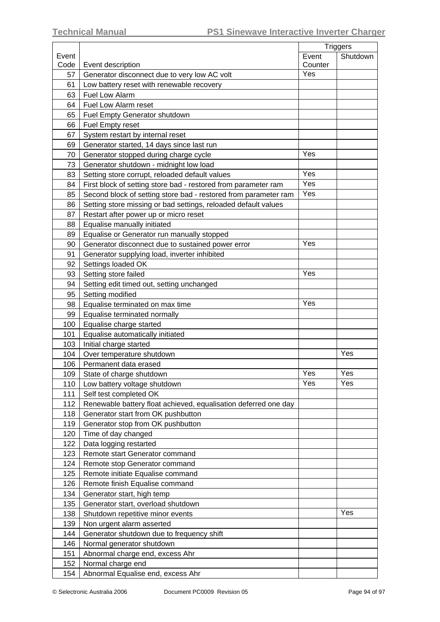|       |                                                                 | <b>Triggers</b> |          |
|-------|-----------------------------------------------------------------|-----------------|----------|
| Event |                                                                 | Event           | Shutdown |
| Code  | Event description                                               | Counter         |          |
| 57    | Generator disconnect due to very low AC volt                    | Yes             |          |
| 61    | Low battery reset with renewable recovery                       |                 |          |
| 63    | <b>Fuel Low Alarm</b>                                           |                 |          |
| 64    | <b>Fuel Low Alarm reset</b>                                     |                 |          |
| 65    | Fuel Empty Generator shutdown                                   |                 |          |
| 66    | Fuel Empty reset                                                |                 |          |
| 67    | System restart by internal reset                                |                 |          |
| 69    | Generator started, 14 days since last run                       |                 |          |
| 70    | Generator stopped during charge cycle                           | Yes             |          |
| 73    | Generator shutdown - midnight low load                          |                 |          |
| 83    | Setting store corrupt, reloaded default values                  | Yes             |          |
| 84    | First block of setting store bad - restored from parameter ram  | Yes             |          |
| 85    | Second block of setting store bad - restored from parameter ram | Yes             |          |
| 86    | Setting store missing or bad settings, reloaded default values  |                 |          |
| 87    | Restart after power up or micro reset                           |                 |          |
| 88    | Equalise manually initiated                                     |                 |          |
| 89    | Equalise or Generator run manually stopped                      |                 |          |
| 90    | Generator disconnect due to sustained power error               | Yes             |          |
| 91    | Generator supplying load, inverter inhibited                    |                 |          |
| 92    | Settings loaded OK                                              |                 |          |
| 93    | Setting store failed                                            | Yes             |          |
| 94    | Setting edit timed out, setting unchanged                       |                 |          |
| 95    | Setting modified                                                |                 |          |
| 98    | Equalise terminated on max time                                 | Yes             |          |
| 99    | Equalise terminated normally                                    |                 |          |
| 100   | Equalise charge started                                         |                 |          |
| 101   | Equalise automatically initiated                                |                 |          |
| 103   | Initial charge started                                          |                 |          |
| 104   | Over temperature shutdown                                       |                 | Yes      |
| 106   | Permanent data erased                                           |                 |          |
| 109   | State of charge shutdown                                        | Yes             | Yes      |
| 110   | Low battery voltage shutdown                                    | Yes             | Yes      |
| 111   | Self test completed OK                                          |                 |          |
| 112   | Renewable battery float achieved, equalisation deferred one day |                 |          |
| 118   | Generator start from OK pushbutton                              |                 |          |
| 119   | Generator stop from OK pushbutton                               |                 |          |
| 120   | Time of day changed                                             |                 |          |
| 122   | Data logging restarted                                          |                 |          |
| 123   | Remote start Generator command                                  |                 |          |
| 124   | Remote stop Generator command                                   |                 |          |
| 125   | Remote initiate Equalise command                                |                 |          |
| 126   | Remote finish Equalise command                                  |                 |          |
| 134   | Generator start, high temp                                      |                 |          |
| 135   | Generator start, overload shutdown                              |                 |          |
| 138   | Shutdown repetitive minor events                                |                 | Yes      |
| 139   | Non urgent alarm asserted                                       |                 |          |
| 144   | Generator shutdown due to frequency shift                       |                 |          |
| 146   | Normal generator shutdown                                       |                 |          |
| 151   | Abnormal charge end, excess Ahr                                 |                 |          |
| 152   | Normal charge end                                               |                 |          |
| 154   | Abnormal Equalise end, excess Ahr                               |                 |          |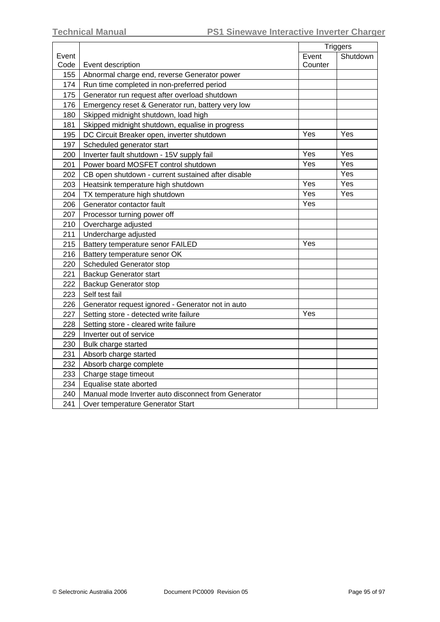|       |                                                     |                   | <b>Triggers</b> |  |  |
|-------|-----------------------------------------------------|-------------------|-----------------|--|--|
| Event |                                                     | Event             | Shutdown        |  |  |
| Code  | Event description                                   | Counter           |                 |  |  |
| 155   | Abnormal charge end, reverse Generator power        |                   |                 |  |  |
| 174   | Run time completed in non-preferred period          |                   |                 |  |  |
| 175   | Generator run request after overload shutdown       |                   |                 |  |  |
| 176   | Emergency reset & Generator run, battery very low   |                   |                 |  |  |
| 180   | Skipped midnight shutdown, load high                |                   |                 |  |  |
| 181   | Skipped midnight shutdown, equalise in progress     |                   |                 |  |  |
| 195   | DC Circuit Breaker open, inverter shutdown          | Yes               | Yes             |  |  |
| 197   | Scheduled generator start                           |                   |                 |  |  |
| 200   | Inverter fault shutdown - 15V supply fail           | $\overline{Y}$ es | Yes             |  |  |
| 201   | Power board MOSFET control shutdown                 | Yes               | Yes             |  |  |
| 202   | CB open shutdown - current sustained after disable  |                   | Yes             |  |  |
| 203   | Heatsink temperature high shutdown                  | Yes               | Yes             |  |  |
| 204   | TX temperature high shutdown                        | Yes               | Yes             |  |  |
| 206   | Generator contactor fault                           | Yes               |                 |  |  |
| 207   | Processor turning power off                         |                   |                 |  |  |
| 210   | Overcharge adjusted                                 |                   |                 |  |  |
| 211   | Undercharge adjusted                                |                   |                 |  |  |
| 215   | Battery temperature senor FAILED                    | Yes               |                 |  |  |
| 216   | Battery temperature senor OK                        |                   |                 |  |  |
| 220   | <b>Scheduled Generator stop</b>                     |                   |                 |  |  |
| 221   | <b>Backup Generator start</b>                       |                   |                 |  |  |
| 222   | <b>Backup Generator stop</b>                        |                   |                 |  |  |
| 223   | Self test fail                                      |                   |                 |  |  |
| 226   | Generator request ignored - Generator not in auto   |                   |                 |  |  |
| 227   | Setting store - detected write failure              | Yes               |                 |  |  |
| 228   | Setting store - cleared write failure               |                   |                 |  |  |
| 229   | Inverter out of service                             |                   |                 |  |  |
| 230   | Bulk charge started                                 |                   |                 |  |  |
| 231   | Absorb charge started                               |                   |                 |  |  |
| 232   | Absorb charge complete                              |                   |                 |  |  |
| 233   | Charge stage timeout                                |                   |                 |  |  |
| 234   | Equalise state aborted                              |                   |                 |  |  |
| 240   | Manual mode Inverter auto disconnect from Generator |                   |                 |  |  |
| 241   | Over temperature Generator Start                    |                   |                 |  |  |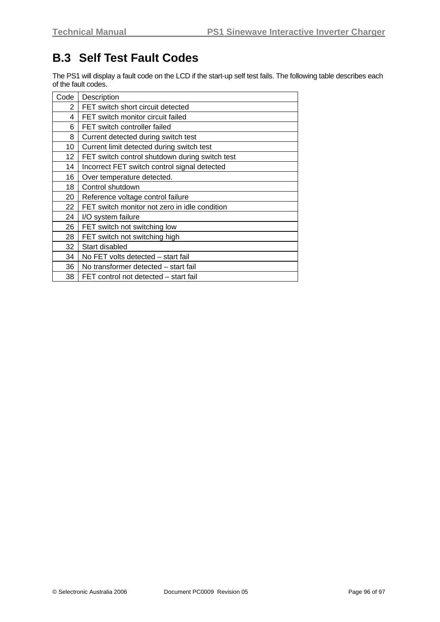## **B.3 Self Test Fault Codes**

The PS1 will display a fault code on the LCD if the start-up self test fails. The following table describes each of the fault codes.

| Code | Description                                    |  |  |  |
|------|------------------------------------------------|--|--|--|
| 2    | FET switch short circuit detected              |  |  |  |
| 4    | FET switch monitor circuit failed              |  |  |  |
| 6    | FET switch controller failed                   |  |  |  |
| 8    | Current detected during switch test            |  |  |  |
| 10   | Current limit detected during switch test      |  |  |  |
| 12   | FET switch control shutdown during switch test |  |  |  |
| 14   | Incorrect FET switch control signal detected   |  |  |  |
| 16   | Over temperature detected.                     |  |  |  |
| 18   | Control shutdown                               |  |  |  |
| 20   | Reference voltage control failure              |  |  |  |
| 22   | FET switch monitor not zero in idle condition  |  |  |  |
| 24   | I/O system failure                             |  |  |  |
| 26   | FET switch not switching low                   |  |  |  |
| 28   | FET switch not switching high                  |  |  |  |
| 32   | Start disabled                                 |  |  |  |
| 34   | No FET volts detected – start fail             |  |  |  |
| 36   | No transformer detected - start fail           |  |  |  |
| 38   | FET control not detected - start fail          |  |  |  |